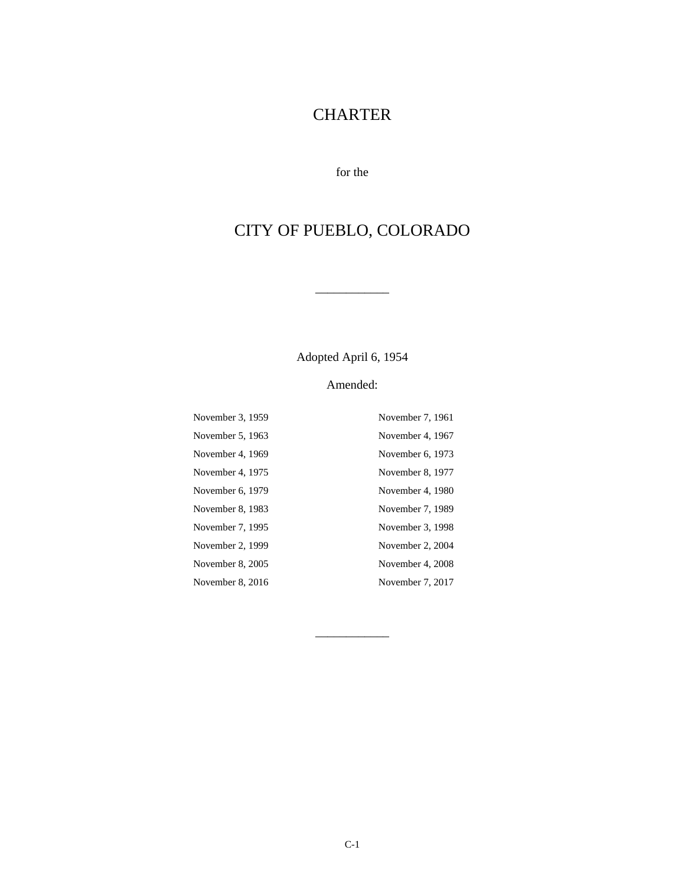# **CHARTER**

for the

# CITY OF PUEBLO, COLORADO

Adopted April 6, 1954

 $\overline{\phantom{a}}$ 

### Amended:

| November 3, 1959 | November 7, 1961 |
|------------------|------------------|
| November 5, 1963 | November 4, 1967 |
| November 4, 1969 | November 6, 1973 |
| November 4, 1975 | November 8, 1977 |
| November 6, 1979 | November 4, 1980 |
| November 8, 1983 | November 7, 1989 |
| November 7, 1995 | November 3, 1998 |
| November 2, 1999 | November 2, 2004 |
| November 8, 2005 | November 4, 2008 |
| November 8, 2016 | November 7, 2017 |

\_\_\_\_\_\_\_\_\_\_\_\_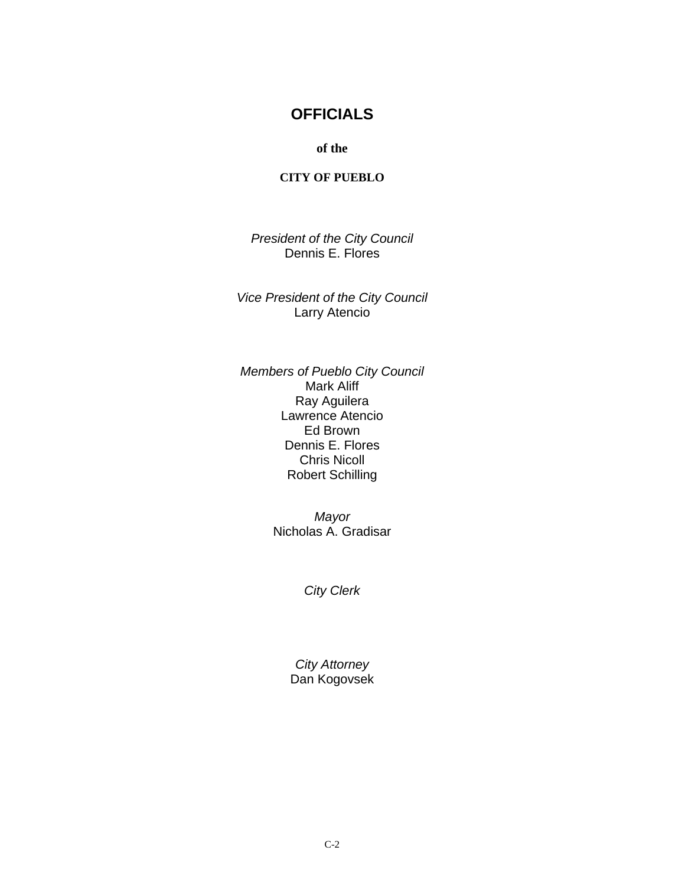## **OFFICIALS**

**of the** 

#### **CITY OF PUEBLO**

*President of the City Council*  Dennis E. Flores

*Vice President of the City Council*  Larry Atencio

*Members of Pueblo City Council*  Mark Aliff Ray Aguilera Lawrence Atencio Ed Brown Dennis E. Flores Chris Nicoll Robert Schilling

> *Mayor*  Nicholas A. Gradisar

> > *City Clerk*

*City Attorney*  Dan Kogovsek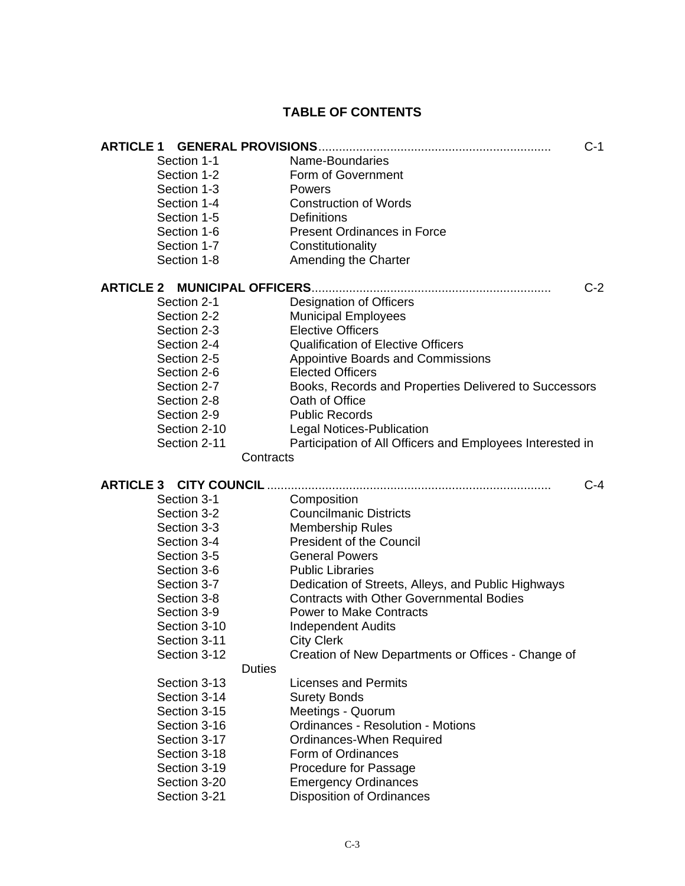### **TABLE OF CONTENTS**

| <b>ARTICLE 1</b>              |                                                           | $C-1$ |
|-------------------------------|-----------------------------------------------------------|-------|
| Section 1-1                   | Name-Boundaries                                           |       |
| Section 1-2                   | Form of Government                                        |       |
| Section 1-3                   | Powers                                                    |       |
| Section 1-4                   | <b>Construction of Words</b>                              |       |
| Section 1-5                   | <b>Definitions</b>                                        |       |
| Section 1-6                   | <b>Present Ordinances in Force</b>                        |       |
| Section 1-7                   | Constitutionality                                         |       |
| Section 1-8                   | Amending the Charter                                      |       |
| <b>ARTICLE 2</b>              |                                                           | $C-2$ |
| Section 2-1                   | <b>Designation of Officers</b>                            |       |
| Section 2-2                   | <b>Municipal Employees</b>                                |       |
| Section 2-3                   | <b>Elective Officers</b>                                  |       |
| Section 2-4                   | <b>Qualification of Elective Officers</b>                 |       |
| Section 2-5                   | <b>Appointive Boards and Commissions</b>                  |       |
| Section 2-6                   | <b>Elected Officers</b>                                   |       |
| Section 2-7                   | Books, Records and Properties Delivered to Successors     |       |
| Section 2-8                   | Oath of Office                                            |       |
| Section 2-9                   | <b>Public Records</b>                                     |       |
| Section 2-10                  | <b>Legal Notices-Publication</b>                          |       |
| Section 2-11                  | Participation of All Officers and Employees Interested in |       |
|                               | Contracts                                                 |       |
| <b>ARTICLE 3 CITY COUNCIL</b> |                                                           | $C-4$ |
| Section 3-1                   | Composition                                               |       |
| Section 3-2                   | <b>Councilmanic Districts</b>                             |       |
| Section 3-3                   | <b>Membership Rules</b>                                   |       |
| Section 3-4                   | <b>President of the Council</b>                           |       |
| Section 3-5                   | <b>General Powers</b>                                     |       |
| Section 3-6                   | <b>Public Libraries</b>                                   |       |
| Section 3-7                   | Dedication of Streets, Alleys, and Public Highways        |       |
| Section 3-8                   | <b>Contracts with Other Governmental Bodies</b>           |       |
| Section 3-9                   | <b>Power to Make Contracts</b>                            |       |
| Section 3-10                  | <b>Independent Audits</b>                                 |       |
| Section 3-11                  | <b>City Clerk</b>                                         |       |
| Section 3-12                  | Creation of New Departments or Offices - Change of        |       |
| <b>Duties</b>                 |                                                           |       |
| Section 3-13                  | <b>Licenses and Permits</b>                               |       |
| Section 3-14                  | <b>Surety Bonds</b>                                       |       |
| Section 3-15                  | Meetings - Quorum                                         |       |
| Section 3-16                  | <b>Ordinances - Resolution - Motions</b>                  |       |
| Section 3-17                  | Ordinances-When Required                                  |       |
| Section 3-18                  | Form of Ordinances                                        |       |
| Section 3-19                  | Procedure for Passage                                     |       |
| Section 3-20                  | <b>Emergency Ordinances</b>                               |       |
| Section 3-21                  | <b>Disposition of Ordinances</b>                          |       |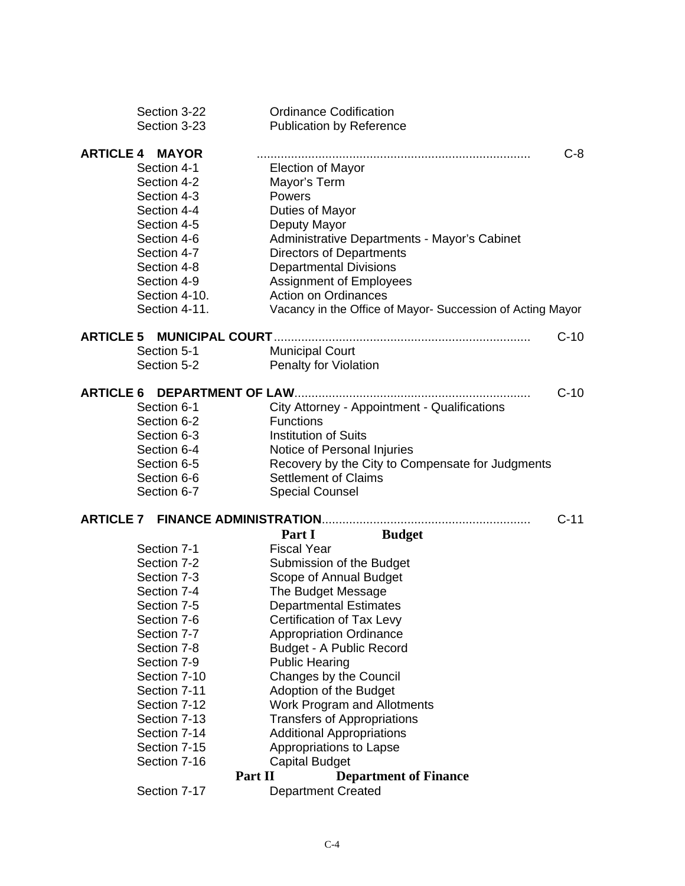| Section 3-22                     | <b>Ordinance Codification</b>                              |        |
|----------------------------------|------------------------------------------------------------|--------|
| Section 3-23                     | <b>Publication by Reference</b>                            |        |
| <b>ARTICLE 4</b><br><b>MAYOR</b> |                                                            | $C-8$  |
| Section 4-1                      |                                                            |        |
|                                  | <b>Election of Mayor</b>                                   |        |
| Section 4-2                      | Mayor's Term                                               |        |
| Section 4-3                      | Powers                                                     |        |
| Section 4-4                      | Duties of Mayor                                            |        |
| Section 4-5                      | Deputy Mayor                                               |        |
| Section 4-6                      | Administrative Departments - Mayor's Cabinet               |        |
| Section 4-7                      | <b>Directors of Departments</b>                            |        |
| Section 4-8                      | <b>Departmental Divisions</b>                              |        |
| Section 4-9                      | <b>Assignment of Employees</b>                             |        |
| Section 4-10.                    | <b>Action on Ordinances</b>                                |        |
| Section 4-11.                    | Vacancy in the Office of Mayor- Succession of Acting Mayor |        |
| <b>ARTICLE 5</b>                 |                                                            | $C-10$ |
| Section 5-1                      | <b>Municipal Court</b>                                     |        |
| Section 5-2                      | Penalty for Violation                                      |        |
|                                  |                                                            |        |
| <b>ARTICLE 6</b>                 | DEPARTMENT OF LAW                                          | $C-10$ |
| Section 6-1                      | City Attorney - Appointment - Qualifications               |        |
| Section 6-2                      | <b>Functions</b>                                           |        |
| Section 6-3                      | <b>Institution of Suits</b>                                |        |
| Section 6-4                      | Notice of Personal Injuries                                |        |
| Section 6-5                      | Recovery by the City to Compensate for Judgments           |        |
| Section 6-6                      | <b>Settlement of Claims</b>                                |        |
| Section 6-7                      | <b>Special Counsel</b>                                     |        |
| <b>ARTICLE 7</b>                 |                                                            | $C-11$ |
|                                  | Part I<br><b>Budget</b>                                    |        |
| Section 7-1                      | <b>Fiscal Year</b>                                         |        |
| Section 7-2                      | Submission of the Budget                                   |        |
| Section 7-3                      | Scope of Annual Budget                                     |        |
| Section 7-4                      | The Budget Message                                         |        |
| Section 7-5                      | <b>Departmental Estimates</b>                              |        |
| Section 7-6                      | Certification of Tax Levy                                  |        |
| Section 7-7                      | <b>Appropriation Ordinance</b>                             |        |
| Section 7-8                      | <b>Budget - A Public Record</b>                            |        |
| Section 7-9                      | <b>Public Hearing</b>                                      |        |
| Section 7-10                     | Changes by the Council                                     |        |
| Section 7-11                     | Adoption of the Budget                                     |        |
| Section 7-12                     | <b>Work Program and Allotments</b>                         |        |
| Section 7-13                     | <b>Transfers of Appropriations</b>                         |        |
| Section 7-14                     | <b>Additional Appropriations</b>                           |        |
| Section 7-15                     | Appropriations to Lapse                                    |        |
| Section 7-16                     | <b>Capital Budget</b>                                      |        |
|                                  | Part II                                                    |        |
| Section 7-17                     | <b>Department of Finance</b><br><b>Department Created</b>  |        |
|                                  |                                                            |        |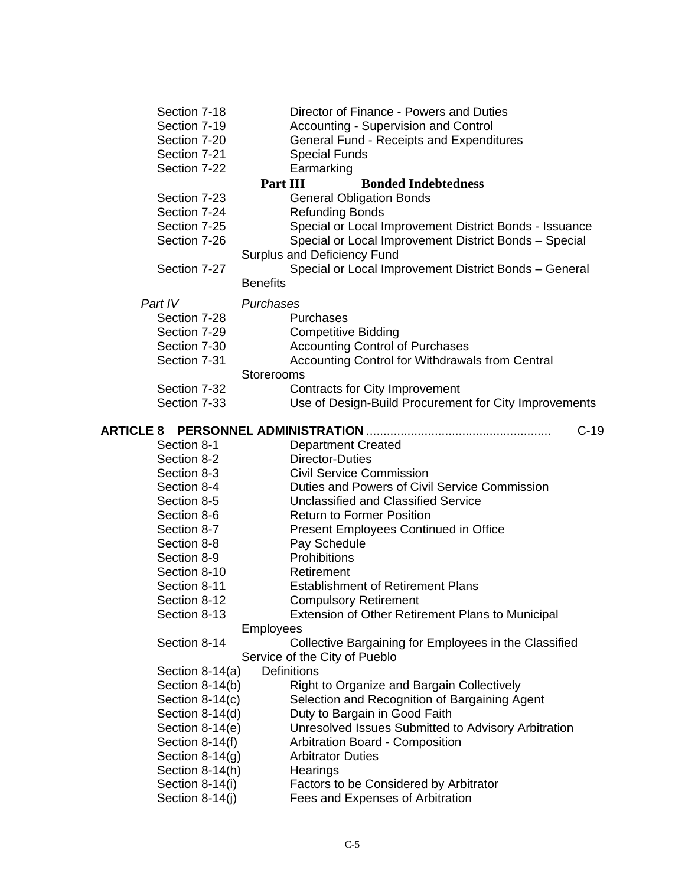| Section 7-18      | Director of Finance - Powers and Duties                              |
|-------------------|----------------------------------------------------------------------|
| Section 7-19      | <b>Accounting - Supervision and Control</b>                          |
| Section 7-20      | General Fund - Receipts and Expenditures                             |
| Section 7-21      | <b>Special Funds</b>                                                 |
| Section 7-22      | Earmarking                                                           |
|                   | Part III<br><b>Bonded Indebtedness</b>                               |
| Section 7-23      | <b>General Obligation Bonds</b>                                      |
| Section 7-24      | <b>Refunding Bonds</b>                                               |
| Section 7-25      | Special or Local Improvement District Bonds - Issuance               |
| Section 7-26      | Special or Local Improvement District Bonds - Special                |
|                   | <b>Surplus and Deficiency Fund</b>                                   |
| Section 7-27      | Special or Local Improvement District Bonds - General                |
|                   | <b>Benefits</b>                                                      |
| Part IV           | Purchases                                                            |
| Section 7-28      | Purchases                                                            |
| Section 7-29      |                                                                      |
| Section 7-30      | <b>Competitive Bidding</b><br><b>Accounting Control of Purchases</b> |
| Section 7-31      |                                                                      |
|                   | Accounting Control for Withdrawals from Central<br>Storerooms        |
| Section 7-32      | Contracts for City Improvement                                       |
| Section 7-33      | Use of Design-Build Procurement for City Improvements                |
|                   |                                                                      |
| <b>ARTICLE 8</b>  | $C-19$                                                               |
| Section 8-1       | <b>Department Created</b>                                            |
| Section 8-2       | <b>Director-Duties</b>                                               |
| Section 8-3       | <b>Civil Service Commission</b>                                      |
| Section 8-4       | Duties and Powers of Civil Service Commission                        |
| Section 8-5       | <b>Unclassified and Classified Service</b>                           |
| Section 8-6       | <b>Return to Former Position</b>                                     |
| Section 8-7       | <b>Present Employees Continued in Office</b>                         |
| Section 8-8       | Pay Schedule                                                         |
| Section 8-9       | Prohibitions                                                         |
| Section 8-10      | Retirement                                                           |
| Section 8-11      | <b>Establishment of Retirement Plans</b>                             |
| Section 8-12      | <b>Compulsory Retirement</b>                                         |
| Section 8-13      | Extension of Other Retirement Plans to Municipal                     |
|                   | Employees                                                            |
| Section 8-14      | Collective Bargaining for Employees in the Classified                |
|                   | Service of the City of Pueblo                                        |
| Section 8-14(a)   | <b>Definitions</b>                                                   |
| Section 8-14(b)   | Right to Organize and Bargain Collectively                           |
| Section $8-14(c)$ | Selection and Recognition of Bargaining Agent                        |
| Section 8-14(d)   | Duty to Bargain in Good Faith                                        |
| Section 8-14(e)   | Unresolved Issues Submitted to Advisory Arbitration                  |
| Section 8-14(f)   | Arbitration Board - Composition                                      |
| Section $8-14(g)$ | <b>Arbitrator Duties</b>                                             |
| Section 8-14(h)   | Hearings                                                             |
| Section 8-14(i)   | Factors to be Considered by Arbitrator                               |
| Section 8-14(j)   | Fees and Expenses of Arbitration                                     |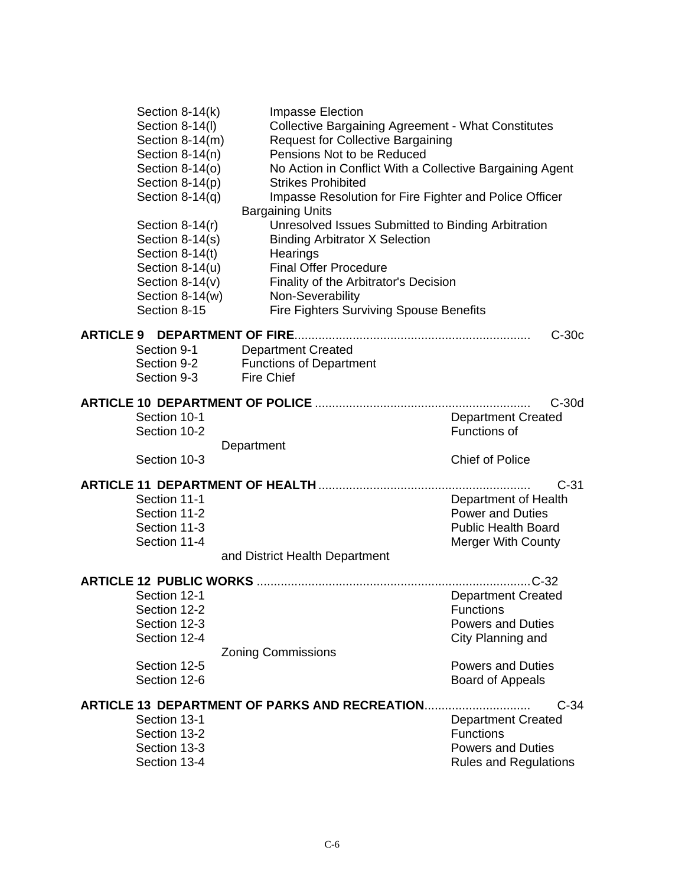|                              | Section 8-14(k)    |            | Impasse Election               |                                                |                                                           |         |
|------------------------------|--------------------|------------|--------------------------------|------------------------------------------------|-----------------------------------------------------------|---------|
|                              | Section 8-14(I)    |            |                                |                                                | <b>Collective Bargaining Agreement - What Constitutes</b> |         |
|                              | Section 8-14(m)    |            |                                | <b>Request for Collective Bargaining</b>       |                                                           |         |
|                              | Section 8-14(n)    |            |                                | Pensions Not to be Reduced                     |                                                           |         |
|                              | Section $8-14$ (o) |            |                                |                                                | No Action in Conflict With a Collective Bargaining Agent  |         |
|                              | Section 8-14(p)    |            | <b>Strikes Prohibited</b>      |                                                |                                                           |         |
|                              | Section $8-14(q)$  |            |                                |                                                | Impasse Resolution for Fire Fighter and Police Officer    |         |
|                              |                    |            | <b>Bargaining Units</b>        |                                                |                                                           |         |
|                              | Section $8-14(r)$  |            |                                |                                                | Unresolved Issues Submitted to Binding Arbitration        |         |
|                              | Section 8-14(s)    |            |                                | <b>Binding Arbitrator X Selection</b>          |                                                           |         |
|                              | Section 8-14(t)    |            | Hearings                       |                                                |                                                           |         |
|                              | Section $8-14(u)$  |            | <b>Final Offer Procedure</b>   |                                                |                                                           |         |
|                              | Section $8-14(v)$  |            |                                | Finality of the Arbitrator's Decision          |                                                           |         |
|                              | Section $8-14(w)$  |            | Non-Severability               |                                                |                                                           |         |
|                              | Section 8-15       |            |                                | <b>Fire Fighters Surviving Spouse Benefits</b> |                                                           |         |
| ARTICLE 9 DEPARTMENT OF FIRE |                    |            |                                |                                                |                                                           | $C-30c$ |
|                              | Section 9-1        |            | <b>Department Created</b>      |                                                |                                                           |         |
|                              | Section 9-2        |            | <b>Functions of Department</b> |                                                |                                                           |         |
|                              | Section 9-3        |            | <b>Fire Chief</b>              |                                                |                                                           |         |
|                              |                    |            |                                |                                                |                                                           |         |
|                              |                    |            |                                |                                                |                                                           | $C-30d$ |
|                              | Section 10-1       |            |                                |                                                | <b>Department Created</b>                                 |         |
|                              | Section 10-2       |            |                                |                                                | Functions of                                              |         |
|                              |                    | Department |                                |                                                |                                                           |         |
|                              | Section 10-3       |            |                                |                                                | <b>Chief of Police</b>                                    |         |
|                              |                    |            |                                |                                                |                                                           | $C-31$  |
|                              | Section 11-1       |            |                                |                                                | Department of Health                                      |         |
|                              | Section 11-2       |            |                                |                                                | <b>Power and Duties</b>                                   |         |
|                              | Section 11-3       |            |                                |                                                | <b>Public Health Board</b>                                |         |
|                              | Section 11-4       |            |                                |                                                | <b>Merger With County</b>                                 |         |
|                              |                    |            | and District Health Department |                                                |                                                           |         |
|                              |                    |            |                                |                                                |                                                           |         |
|                              |                    |            |                                |                                                | $.C-32$                                                   |         |
|                              | Section 12-1       |            |                                |                                                | <b>Department Created</b>                                 |         |
|                              | Section 12-2       |            |                                |                                                | <b>Functions</b>                                          |         |
|                              | Section 12-3       |            |                                |                                                | <b>Powers and Duties</b>                                  |         |
|                              | Section 12-4       |            |                                |                                                | City Planning and                                         |         |
|                              |                    |            | <b>Zoning Commissions</b>      |                                                |                                                           |         |
|                              | Section 12-5       |            |                                |                                                | <b>Powers and Duties</b>                                  |         |
|                              | Section 12-6       |            |                                |                                                | <b>Board of Appeals</b>                                   |         |
|                              |                    |            |                                |                                                |                                                           |         |
|                              | Section 13-1       |            |                                | ARTICLE 13  DEPARTMENT OF PARKS AND RECREATION |                                                           | $C-34$  |
|                              |                    |            |                                |                                                | <b>Department Created</b><br><b>Functions</b>             |         |
|                              | Section 13-2       |            |                                |                                                |                                                           |         |
|                              | Section 13-3       |            |                                |                                                | <b>Powers and Duties</b>                                  |         |
|                              | Section 13-4       |            |                                |                                                | <b>Rules and Regulations</b>                              |         |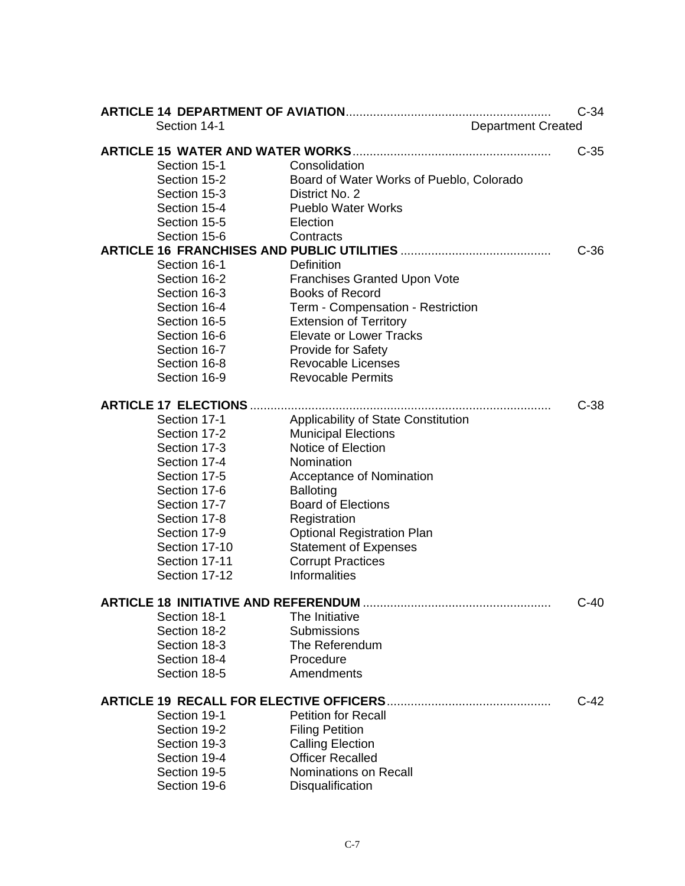|                                                |                                          | $C-34$ |
|------------------------------------------------|------------------------------------------|--------|
| Section 14-1                                   | <b>Department Created</b>                |        |
|                                                |                                          | $C-35$ |
| Section 15-1                                   | Consolidation                            |        |
| Section 15-2                                   | Board of Water Works of Pueblo, Colorado |        |
| Section 15-3                                   | District No. 2                           |        |
| Section 15-4                                   | <b>Pueblo Water Works</b>                |        |
| Section 15-5                                   | Election                                 |        |
| Section 15-6                                   | Contracts                                |        |
|                                                |                                          | $C-36$ |
| Section 16-1                                   | <b>Definition</b>                        |        |
| Section 16-2                                   | <b>Franchises Granted Upon Vote</b>      |        |
| Section 16-3                                   | <b>Books of Record</b>                   |        |
| Section 16-4                                   | Term - Compensation - Restriction        |        |
| Section 16-5                                   | <b>Extension of Territory</b>            |        |
| Section 16-6                                   | <b>Elevate or Lower Tracks</b>           |        |
| Section 16-7                                   | Provide for Safety                       |        |
| Section 16-8                                   | <b>Revocable Licenses</b>                |        |
| Section 16-9                                   | <b>Revocable Permits</b>                 |        |
|                                                |                                          |        |
| <b>ARTICLE 17 ELECTIONS </b>                   |                                          | $C-38$ |
| Section 17-1                                   | Applicability of State Constitution      |        |
| Section 17-2                                   | <b>Municipal Elections</b>               |        |
| Section 17-3                                   | Notice of Election                       |        |
| Section 17-4                                   | Nomination                               |        |
| Section 17-5                                   | Acceptance of Nomination                 |        |
| Section 17-6                                   | <b>Balloting</b>                         |        |
| Section 17-7                                   | <b>Board of Elections</b>                |        |
| Section 17-8                                   | Registration                             |        |
| Section 17-9                                   | <b>Optional Registration Plan</b>        |        |
| Section 17-10                                  | <b>Statement of Expenses</b>             |        |
| Section 17-11                                  | <b>Corrupt Practices</b>                 |        |
| Section 17-12                                  | <b>Informalities</b>                     |        |
|                                                |                                          |        |
| <b>ARTICLE 18 INITIATIVE AND REFERENDUM</b>    |                                          | $C-40$ |
| Section 18-1                                   | The Initiative                           |        |
| Section 18-2                                   | <b>Submissions</b>                       |        |
| Section 18-3                                   | The Referendum                           |        |
| Section 18-4                                   | Procedure                                |        |
| Section 18-5                                   | Amendments                               |        |
|                                                |                                          |        |
| <b>ARTICLE 19 RECALL FOR ELECTIVE OFFICERS</b> |                                          | $C-42$ |
| Section 19-1                                   | <b>Petition for Recall</b>               |        |
| Section 19-2                                   | <b>Filing Petition</b>                   |        |
| Section 19-3                                   | <b>Calling Election</b>                  |        |
| Section 19-4                                   | <b>Officer Recalled</b>                  |        |
| Section 19-5                                   | <b>Nominations on Recall</b>             |        |
| Section 19-6                                   | Disqualification                         |        |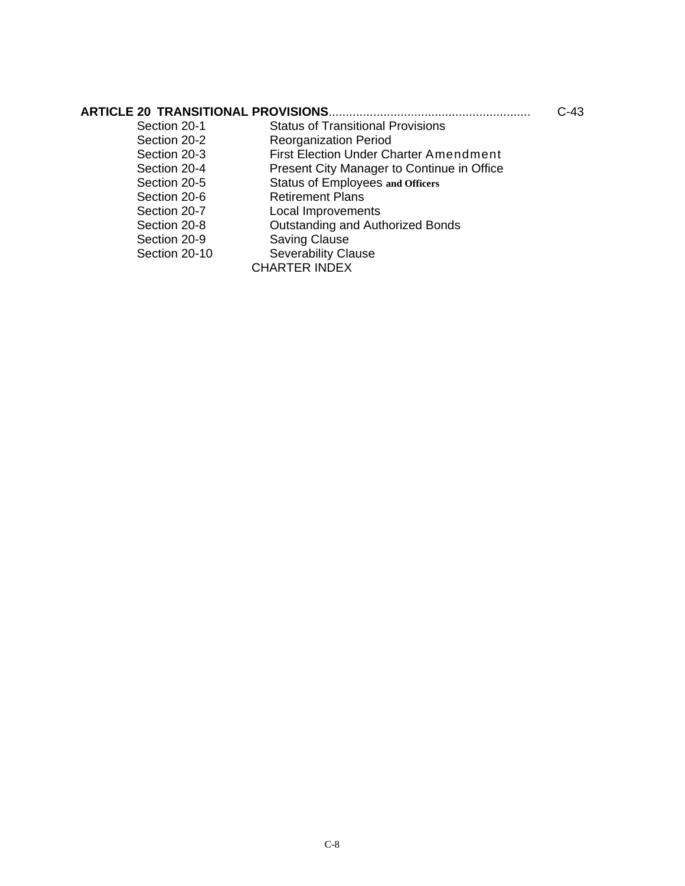| <b>ARTICLE 20 TRANSITIONAL PROVISIONS.</b> |                                               | C-43 |
|--------------------------------------------|-----------------------------------------------|------|
| Section 20-1                               | <b>Status of Transitional Provisions</b>      |      |
| Section 20-2                               | <b>Reorganization Period</b>                  |      |
| Section 20-3                               | <b>First Election Under Charter Amendment</b> |      |
| Section 20-4                               | Present City Manager to Continue in Office    |      |
| Section 20-5                               | <b>Status of Employees and Officers</b>       |      |
| Section 20-6                               | <b>Retirement Plans</b>                       |      |
| Section 20-7                               | Local Improvements                            |      |
| Section 20-8                               | Outstanding and Authorized Bonds              |      |
| Section 20-9                               | <b>Saving Clause</b>                          |      |
| Section 20-10                              | <b>Severability Clause</b>                    |      |
|                                            | <b>CHARTER INDEX</b>                          |      |
|                                            |                                               |      |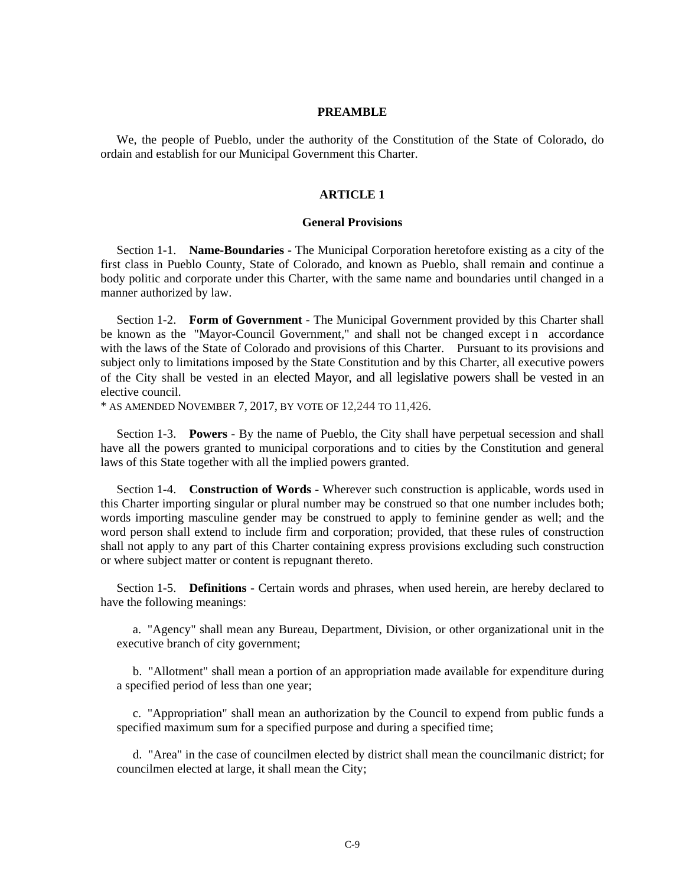#### **PREAMBLE**

We, the people of Pueblo, under the authority of the Constitution of the State of Colorado, do ordain and establish for our Municipal Government this Charter.

#### **ARTICLE 1**

#### **General Provisions**

Section 1-1. **Name-Boundaries** - The Municipal Corporation heretofore existing as a city of the first class in Pueblo County, State of Colorado, and known as Pueblo, shall remain and continue a body politic and corporate under this Charter, with the same name and boundaries until changed in a manner authorized by law.

Section 1-2. **Form of Government** - The Municipal Government provided by this Charter shall be known as the "Mayor-Council Government," and shall not be changed except i n accordance with the laws of the State of Colorado and provisions of this Charter. Pursuant to its provisions and subject only to limitations imposed by the State Constitution and by this Charter, all executive powers of the City shall be vested in an elected Mayor, and all legislative powers shall be vested in an elective council.

\* AS AMENDED NOVEMBER 7, 2017, BY VOTE OF 12,244 TO 11,426.

Section 1-3. **Powers** - By the name of Pueblo, the City shall have perpetual secession and shall have all the powers granted to municipal corporations and to cities by the Constitution and general laws of this State together with all the implied powers granted.

Section 1-4. **Construction of Words** - Wherever such construction is applicable, words used in this Charter importing singular or plural number may be construed so that one number includes both; words importing masculine gender may be construed to apply to feminine gender as well; and the word person shall extend to include firm and corporation; provided, that these rules of construction shall not apply to any part of this Charter containing express provisions excluding such construction or where subject matter or content is repugnant thereto.

Section 1-5. **Definitions** - Certain words and phrases, when used herein, are hereby declared to have the following meanings:

a. "Agency" shall mean any Bureau, Department, Division, or other organizational unit in the executive branch of city government;

b. "Allotment" shall mean a portion of an appropriation made available for expenditure during a specified period of less than one year;

c. "Appropriation" shall mean an authorization by the Council to expend from public funds a specified maximum sum for a specified purpose and during a specified time;

d. "Area" in the case of councilmen elected by district shall mean the councilmanic district; for councilmen elected at large, it shall mean the City;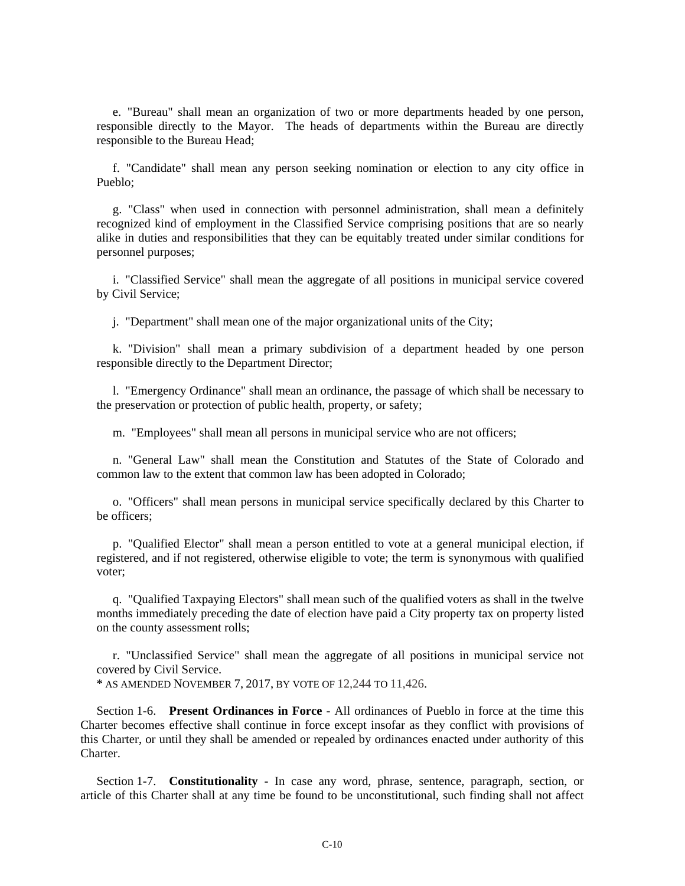e. "Bureau" shall mean an organization of two or more departments headed by one person, responsible directly to the Mayor. The heads of departments within the Bureau are directly responsible to the Bureau Head;

f. "Candidate" shall mean any person seeking nomination or election to any city office in Pueblo;

g. "Class" when used in connection with personnel administration, shall mean a definitely recognized kind of employment in the Classified Service comprising positions that are so nearly alike in duties and responsibilities that they can be equitably treated under similar conditions for personnel purposes;

i. "Classified Service" shall mean the aggregate of all positions in municipal service covered by Civil Service;

j. "Department" shall mean one of the major organizational units of the City;

k. "Division" shall mean a primary subdivision of a department headed by one person responsible directly to the Department Director;

l. "Emergency Ordinance" shall mean an ordinance, the passage of which shall be necessary to the preservation or protection of public health, property, or safety;

m. "Employees" shall mean all persons in municipal service who are not officers;

n. "General Law" shall mean the Constitution and Statutes of the State of Colorado and common law to the extent that common law has been adopted in Colorado;

o. "Officers" shall mean persons in municipal service specifically declared by this Charter to be officers;

p. "Qualified Elector" shall mean a person entitled to vote at a general municipal election, if registered, and if not registered, otherwise eligible to vote; the term is synonymous with qualified voter;

q. "Qualified Taxpaying Electors" shall mean such of the qualified voters as shall in the twelve months immediately preceding the date of election have paid a City property tax on property listed on the county assessment rolls;

r. "Unclassified Service" shall mean the aggregate of all positions in municipal service not covered by Civil Service.

\* AS AMENDED NOVEMBER 7, 2017, BY VOTE OF 12,244 TO 11,426.

Section 1-6. **Present Ordinances in Force** - All ordinances of Pueblo in force at the time this Charter becomes effective shall continue in force except insofar as they conflict with provisions of this Charter, or until they shall be amended or repealed by ordinances enacted under authority of this Charter.

Section 1-7. **Constitutionality** - In case any word, phrase, sentence, paragraph, section, or article of this Charter shall at any time be found to be unconstitutional, such finding shall not affect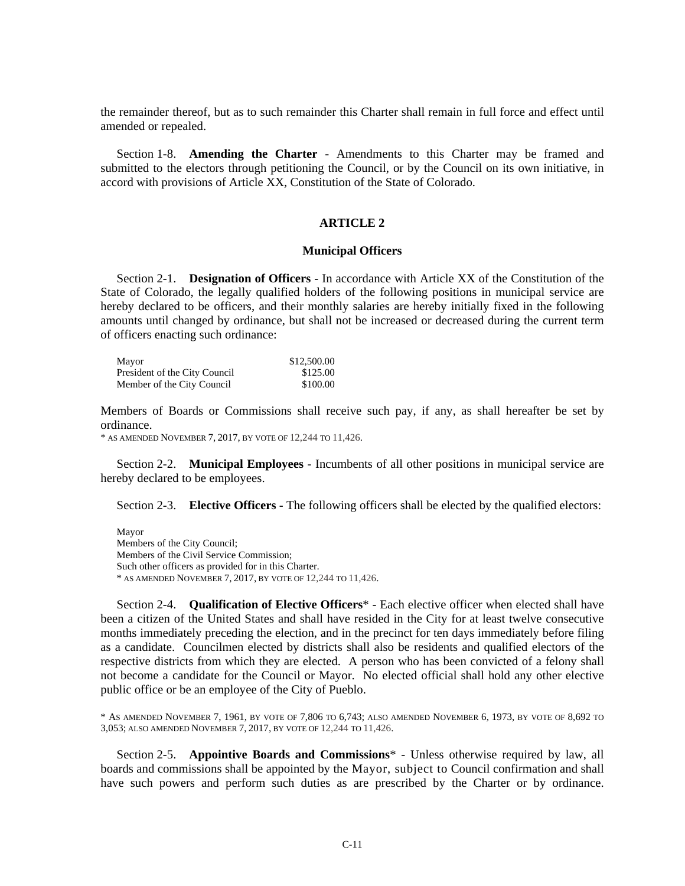the remainder thereof, but as to such remainder this Charter shall remain in full force and effect until amended or repealed.

Section 1-8. **Amending the Charter** - Amendments to this Charter may be framed and submitted to the electors through petitioning the Council, or by the Council on its own initiative, in accord with provisions of Article XX, Constitution of the State of Colorado.

#### **ARTICLE 2**

#### **Municipal Officers**

Section 2-1. **Designation of Officers** - In accordance with Article XX of the Constitution of the State of Colorado, the legally qualified holders of the following positions in municipal service are hereby declared to be officers, and their monthly salaries are hereby initially fixed in the following amounts until changed by ordinance, but shall not be increased or decreased during the current term of officers enacting such ordinance:

| Mayor                         | \$12,500.00 |
|-------------------------------|-------------|
| President of the City Council | \$125.00    |
| Member of the City Council    | \$100.00    |

Members of Boards or Commissions shall receive such pay, if any, as shall hereafter be set by ordinance.

\* AS AMENDED NOVEMBER 7, 2017, BY VOTE OF 12,244 TO 11,426.

Section 2-2. **Municipal Employees** - Incumbents of all other positions in municipal service are hereby declared to be employees.

Section 2-3. **Elective Officers** - The following officers shall be elected by the qualified electors:

Mayor Members of the City Council; Members of the Civil Service Commission; Such other officers as provided for in this Charter. \* AS AMENDED NOVEMBER 7, 2017, BY VOTE OF 12,244 TO 11,426.

Section 2-4. **Qualification of Elective Officers**\* - Each elective officer when elected shall have been a citizen of the United States and shall have resided in the City for at least twelve consecutive months immediately preceding the election, and in the precinct for ten days immediately before filing as a candidate. Councilmen elected by districts shall also be residents and qualified electors of the respective districts from which they are elected. A person who has been convicted of a felony shall not become a candidate for the Council or Mayor. No elected official shall hold any other elective public office or be an employee of the City of Pueblo.

\* AS AMENDED NOVEMBER 7, 1961, BY VOTE OF 7,806 TO 6,743; ALSO AMENDED NOVEMBER 6, 1973, BY VOTE OF 8,692 TO 3,053; ALSO AMENDED NOVEMBER 7, 2017, BY VOTE OF 12,244 TO 11,426.

Section 2-5. **Appointive Boards and Commissions**\* - Unless otherwise required by law, all boards and commissions shall be appointed by the Mayor, subject to Council confirmation and shall have such powers and perform such duties as are prescribed by the Charter or by ordinance.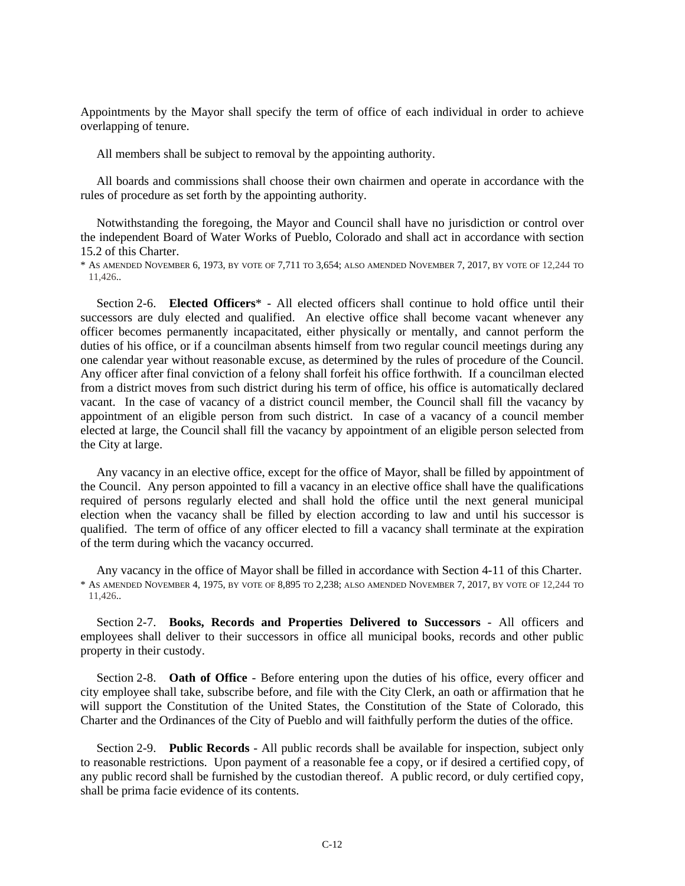Appointments by the Mayor shall specify the term of office of each individual in order to achieve overlapping of tenure.

All members shall be subject to removal by the appointing authority.

All boards and commissions shall choose their own chairmen and operate in accordance with the rules of procedure as set forth by the appointing authority.

Notwithstanding the foregoing, the Mayor and Council shall have no jurisdiction or control over the independent Board of Water Works of Pueblo, Colorado and shall act in accordance with section 15.2 of this Charter.

\* AS AMENDED NOVEMBER 6, 1973, BY VOTE OF 7,711 TO 3,654; ALSO AMENDED NOVEMBER 7, 2017, BY VOTE OF 12,244 TO 11,426..

Section 2-6. **Elected Officers**\* - All elected officers shall continue to hold office until their successors are duly elected and qualified. An elective office shall become vacant whenever any officer becomes permanently incapacitated, either physically or mentally, and cannot perform the duties of his office, or if a councilman absents himself from two regular council meetings during any one calendar year without reasonable excuse, as determined by the rules of procedure of the Council. Any officer after final conviction of a felony shall forfeit his office forthwith. If a councilman elected from a district moves from such district during his term of office, his office is automatically declared vacant. In the case of vacancy of a district council member, the Council shall fill the vacancy by appointment of an eligible person from such district. In case of a vacancy of a council member elected at large, the Council shall fill the vacancy by appointment of an eligible person selected from the City at large.

Any vacancy in an elective office, except for the office of Mayor, shall be filled by appointment of the Council. Any person appointed to fill a vacancy in an elective office shall have the qualifications required of persons regularly elected and shall hold the office until the next general municipal election when the vacancy shall be filled by election according to law and until his successor is qualified. The term of office of any officer elected to fill a vacancy shall terminate at the expiration of the term during which the vacancy occurred.

Any vacancy in the office of Mayor shall be filled in accordance with Section 4-11 of this Charter. \* AS AMENDED NOVEMBER 4, 1975, BY VOTE OF 8,895 TO 2,238; ALSO AMENDED NOVEMBER 7, 2017, BY VOTE OF 12,244 TO 11,426..

Section 2-7. **Books, Records and Properties Delivered to Successors** - All officers and employees shall deliver to their successors in office all municipal books, records and other public property in their custody.

Section 2-8. **Oath of Office** - Before entering upon the duties of his office, every officer and city employee shall take, subscribe before, and file with the City Clerk, an oath or affirmation that he will support the Constitution of the United States, the Constitution of the State of Colorado, this Charter and the Ordinances of the City of Pueblo and will faithfully perform the duties of the office.

Section 2-9. **Public Records** - All public records shall be available for inspection, subject only to reasonable restrictions. Upon payment of a reasonable fee a copy, or if desired a certified copy, of any public record shall be furnished by the custodian thereof. A public record, or duly certified copy, shall be prima facie evidence of its contents.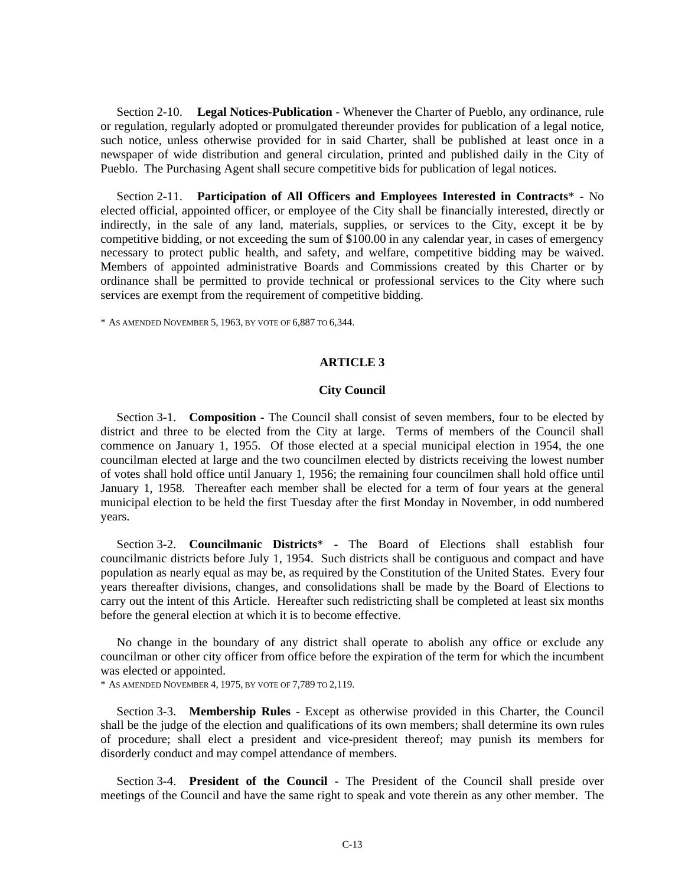Section 2-10. **Legal Notices-Publication** - Whenever the Charter of Pueblo, any ordinance, rule or regulation, regularly adopted or promulgated thereunder provides for publication of a legal notice, such notice, unless otherwise provided for in said Charter, shall be published at least once in a newspaper of wide distribution and general circulation, printed and published daily in the City of Pueblo. The Purchasing Agent shall secure competitive bids for publication of legal notices.

Section 2-11. **Participation of All Officers and Employees Interested in Contracts**\* - No elected official, appointed officer, or employee of the City shall be financially interested, directly or indirectly, in the sale of any land, materials, supplies, or services to the City, except it be by competitive bidding, or not exceeding the sum of \$100.00 in any calendar year, in cases of emergency necessary to protect public health, and safety, and welfare, competitive bidding may be waived. Members of appointed administrative Boards and Commissions created by this Charter or by ordinance shall be permitted to provide technical or professional services to the City where such services are exempt from the requirement of competitive bidding.

\* AS AMENDED NOVEMBER 5, 1963, BY VOTE OF 6,887 TO 6,344.

#### **ARTICLE 3**

#### **City Council**

Section 3-1. **Composition** - The Council shall consist of seven members, four to be elected by district and three to be elected from the City at large. Terms of members of the Council shall commence on January 1, 1955. Of those elected at a special municipal election in 1954, the one councilman elected at large and the two councilmen elected by districts receiving the lowest number of votes shall hold office until January 1, 1956; the remaining four councilmen shall hold office until January 1, 1958. Thereafter each member shall be elected for a term of four years at the general municipal election to be held the first Tuesday after the first Monday in November, in odd numbered years.

Section 3-2. **Councilmanic Districts**\* - The Board of Elections shall establish four councilmanic districts before July 1, 1954. Such districts shall be contiguous and compact and have population as nearly equal as may be, as required by the Constitution of the United States. Every four years thereafter divisions, changes, and consolidations shall be made by the Board of Elections to carry out the intent of this Article. Hereafter such redistricting shall be completed at least six months before the general election at which it is to become effective.

No change in the boundary of any district shall operate to abolish any office or exclude any councilman or other city officer from office before the expiration of the term for which the incumbent was elected or appointed.

\* AS AMENDED NOVEMBER 4, 1975, BY VOTE OF 7,789 TO 2,119.

Section 3-3. **Membership Rules** - Except as otherwise provided in this Charter, the Council shall be the judge of the election and qualifications of its own members; shall determine its own rules of procedure; shall elect a president and vice-president thereof; may punish its members for disorderly conduct and may compel attendance of members.

Section 3-4. **President of the Council** - The President of the Council shall preside over meetings of the Council and have the same right to speak and vote therein as any other member. The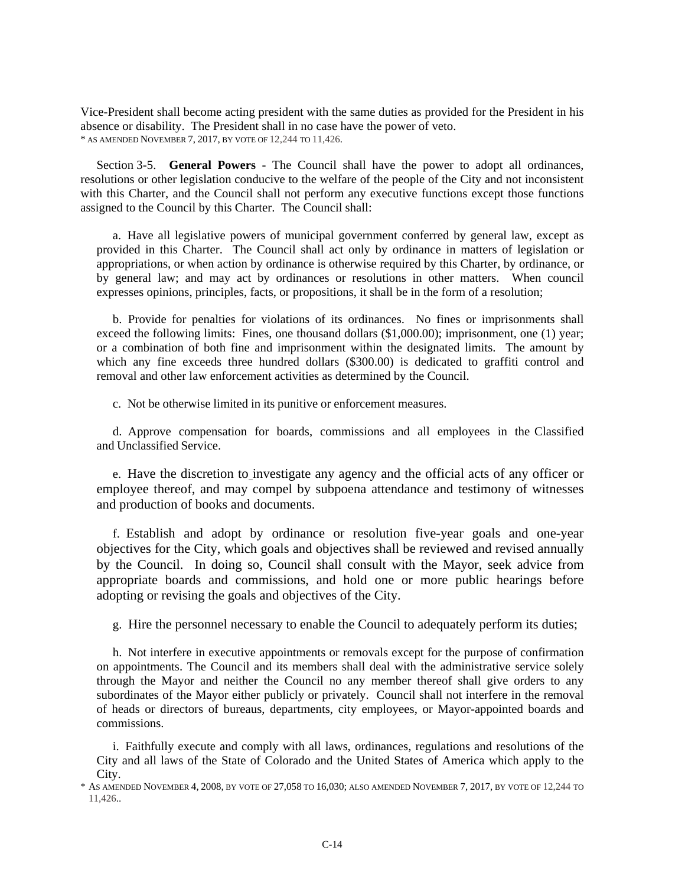Vice-President shall become acting president with the same duties as provided for the President in his absence or disability. The President shall in no case have the power of veto. \* AS AMENDED NOVEMBER 7, 2017, BY VOTE OF 12,244 TO 11,426.

Section 3-5. **General Powers** - The Council shall have the power to adopt all ordinances, resolutions or other legislation conducive to the welfare of the people of the City and not inconsistent with this Charter, and the Council shall not perform any executive functions except those functions assigned to the Council by this Charter. The Council shall:

a. Have all legislative powers of municipal government conferred by general law, except as provided in this Charter. The Council shall act only by ordinance in matters of legislation or appropriations, or when action by ordinance is otherwise required by this Charter, by ordinance, or by general law; and may act by ordinances or resolutions in other matters. When council expresses opinions, principles, facts, or propositions, it shall be in the form of a resolution;

b. Provide for penalties for violations of its ordinances. No fines or imprisonments shall exceed the following limits: Fines, one thousand dollars (\$1,000.00); imprisonment, one (1) year; or a combination of both fine and imprisonment within the designated limits. The amount by which any fine exceeds three hundred dollars (\$300.00) is dedicated to graffiti control and removal and other law enforcement activities as determined by the Council.

c. Not be otherwise limited in its punitive or enforcement measures.

d. Approve compensation for boards, commissions and all employees in the Classified and Unclassified Service.

e. Have the discretion to investigate any agency and the official acts of any officer or employee thereof, and may compel by subpoena attendance and testimony of witnesses and production of books and documents.

f. Establish and adopt by ordinance or resolution five-year goals and one-year objectives for the City, which goals and objectives shall be reviewed and revised annually by the Council. In doing so, Council shall consult with the Mayor, seek advice from appropriate boards and commissions, and hold one or more public hearings before adopting or revising the goals and objectives of the City.

g. Hire the personnel necessary to enable the Council to adequately perform its duties;

h. Not interfere in executive appointments or removals except for the purpose of confirmation on appointments. The Council and its members shall deal with the administrative service solely through the Mayor and neither the Council no any member thereof shall give orders to any subordinates of the Mayor either publicly or privately. Council shall not interfere in the removal of heads or directors of bureaus, departments, city employees, or Mayor-appointed boards and commissions.

i. Faithfully execute and comply with all laws, ordinances, regulations and resolutions of the City and all laws of the State of Colorado and the United States of America which apply to the City.

\* AS AMENDED NOVEMBER 4, 2008, BY VOTE OF 27,058 TO 16,030; ALSO AMENDED NOVEMBER 7, 2017, BY VOTE OF 12,244 TO 11,426..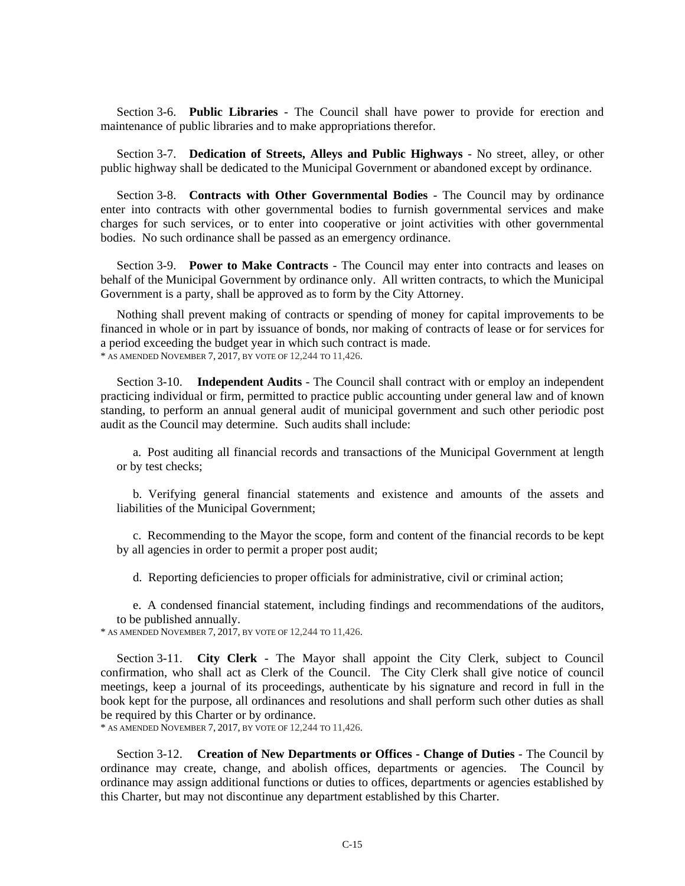Section 3-6. **Public Libraries** - The Council shall have power to provide for erection and maintenance of public libraries and to make appropriations therefor.

Section 3-7. **Dedication of Streets, Alleys and Public Highways** - No street, alley, or other public highway shall be dedicated to the Municipal Government or abandoned except by ordinance.

Section 3-8. **Contracts with Other Governmental Bodies** - The Council may by ordinance enter into contracts with other governmental bodies to furnish governmental services and make charges for such services, or to enter into cooperative or joint activities with other governmental bodies. No such ordinance shall be passed as an emergency ordinance.

Section 3-9. **Power to Make Contracts** - The Council may enter into contracts and leases on behalf of the Municipal Government by ordinance only. All written contracts, to which the Municipal Government is a party, shall be approved as to form by the City Attorney.

Nothing shall prevent making of contracts or spending of money for capital improvements to be financed in whole or in part by issuance of bonds, nor making of contracts of lease or for services for a period exceeding the budget year in which such contract is made. \* AS AMENDED NOVEMBER 7, 2017, BY VOTE OF 12,244 TO 11,426.

Section 3-10. **Independent Audits** - The Council shall contract with or employ an independent practicing individual or firm, permitted to practice public accounting under general law and of known standing, to perform an annual general audit of municipal government and such other periodic post audit as the Council may determine. Such audits shall include:

a. Post auditing all financial records and transactions of the Municipal Government at length or by test checks;

b. Verifying general financial statements and existence and amounts of the assets and liabilities of the Municipal Government;

c. Recommending to the Mayor the scope, form and content of the financial records to be kept by all agencies in order to permit a proper post audit;

d. Reporting deficiencies to proper officials for administrative, civil or criminal action;

e. A condensed financial statement, including findings and recommendations of the auditors, to be published annually.<br>\* AS AMENDED NOVEMBER 7, 2017, BY VOTE OF 12,244 TO 11,426.

Section 3-11. **City Clerk** - The Mayor shall appoint the City Clerk, subject to Council confirmation, who shall act as Clerk of the Council. The City Clerk shall give notice of council meetings, keep a journal of its proceedings, authenticate by his signature and record in full in the book kept for the purpose, all ordinances and resolutions and shall perform such other duties as shall be required by this Charter or by ordinance.

\* AS AMENDED NOVEMBER 7, 2017, BY VOTE OF 12,244 TO 11,426.

Section 3-12. **Creation of New Departments or Offices - Change of Duties** - The Council by ordinance may create, change, and abolish offices, departments or agencies. The Council by ordinance may assign additional functions or duties to offices, departments or agencies established by this Charter, but may not discontinue any department established by this Charter.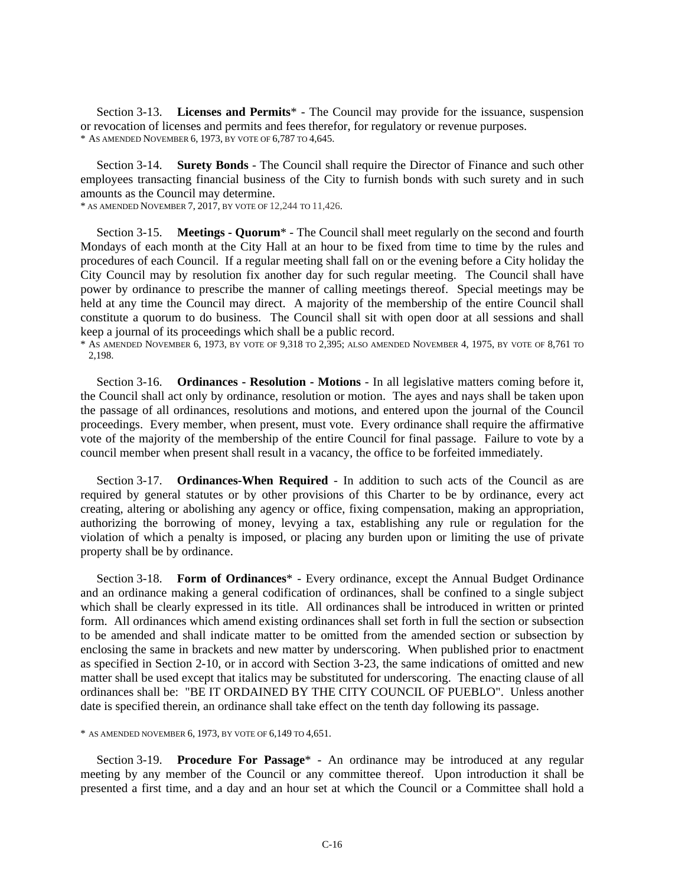Section 3-13. **Licenses and Permits**\* - The Council may provide for the issuance, suspension or revocation of licenses and permits and fees therefor, for regulatory or revenue purposes. \* AS AMENDED NOVEMBER 6, 1973, BY VOTE OF 6,787 TO 4,645.

Section 3-14. **Surety Bonds** - The Council shall require the Director of Finance and such other employees transacting financial business of the City to furnish bonds with such surety and in such amounts as the Council may determine.

\* AS AMENDED NOVEMBER 7, 2017, BY VOTE OF 12,244 TO 11,426.

Section 3-15. **Meetings - Quorum**\* - The Council shall meet regularly on the second and fourth Mondays of each month at the City Hall at an hour to be fixed from time to time by the rules and procedures of each Council. If a regular meeting shall fall on or the evening before a City holiday the City Council may by resolution fix another day for such regular meeting. The Council shall have power by ordinance to prescribe the manner of calling meetings thereof. Special meetings may be held at any time the Council may direct. A majority of the membership of the entire Council shall constitute a quorum to do business. The Council shall sit with open door at all sessions and shall keep a journal of its proceedings which shall be a public record.

\* AS AMENDED NOVEMBER 6, 1973, BY VOTE OF 9,318 TO 2,395; ALSO AMENDED NOVEMBER 4, 1975, BY VOTE OF 8,761 TO 2,198.

Section 3-16. **Ordinances - Resolution - Motions** - In all legislative matters coming before it, the Council shall act only by ordinance, resolution or motion. The ayes and nays shall be taken upon the passage of all ordinances, resolutions and motions, and entered upon the journal of the Council proceedings. Every member, when present, must vote. Every ordinance shall require the affirmative vote of the majority of the membership of the entire Council for final passage. Failure to vote by a council member when present shall result in a vacancy, the office to be forfeited immediately.

Section 3-17. **Ordinances-When Required** - In addition to such acts of the Council as are required by general statutes or by other provisions of this Charter to be by ordinance, every act creating, altering or abolishing any agency or office, fixing compensation, making an appropriation, authorizing the borrowing of money, levying a tax, establishing any rule or regulation for the violation of which a penalty is imposed, or placing any burden upon or limiting the use of private property shall be by ordinance.

Section 3-18. **Form of Ordinances**\* - Every ordinance, except the Annual Budget Ordinance and an ordinance making a general codification of ordinances, shall be confined to a single subject which shall be clearly expressed in its title. All ordinances shall be introduced in written or printed form. All ordinances which amend existing ordinances shall set forth in full the section or subsection to be amended and shall indicate matter to be omitted from the amended section or subsection by enclosing the same in brackets and new matter by underscoring. When published prior to enactment as specified in Section 2-10, or in accord with Section 3-23, the same indications of omitted and new matter shall be used except that italics may be substituted for underscoring. The enacting clause of all ordinances shall be: "BE IT ORDAINED BY THE CITY COUNCIL OF PUEBLO". Unless another date is specified therein, an ordinance shall take effect on the tenth day following its passage.

\* AS AMENDED NOVEMBER 6, 1973, BY VOTE OF 6,149 TO 4,651.

Section 3-19. **Procedure For Passage**\* - An ordinance may be introduced at any regular meeting by any member of the Council or any committee thereof. Upon introduction it shall be presented a first time, and a day and an hour set at which the Council or a Committee shall hold a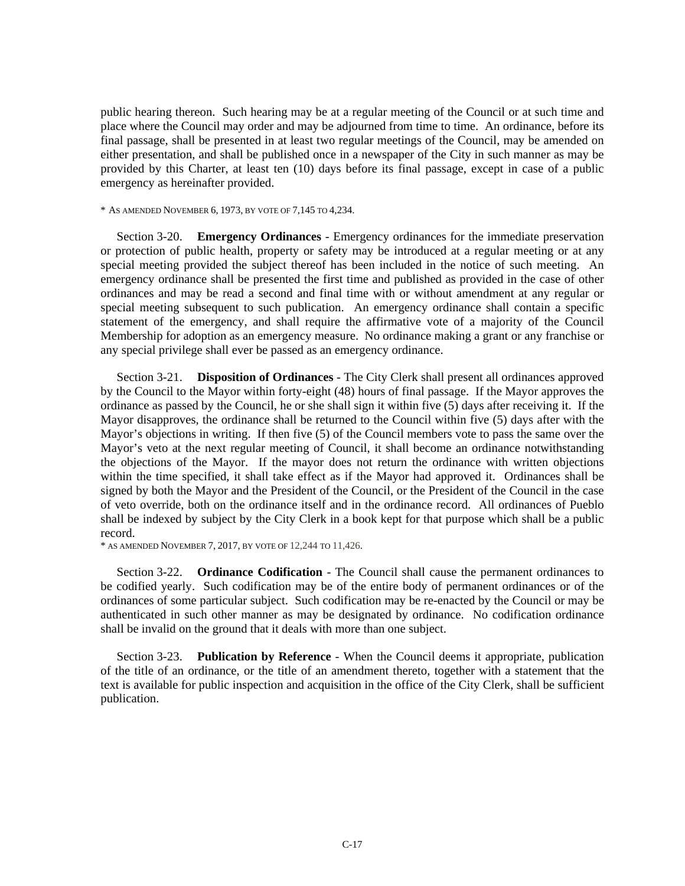public hearing thereon. Such hearing may be at a regular meeting of the Council or at such time and place where the Council may order and may be adjourned from time to time. An ordinance, before its final passage, shall be presented in at least two regular meetings of the Council, may be amended on either presentation, and shall be published once in a newspaper of the City in such manner as may be provided by this Charter, at least ten (10) days before its final passage, except in case of a public emergency as hereinafter provided.

\* AS AMENDED NOVEMBER 6, 1973, BY VOTE OF 7,145 TO 4,234.

Section 3-20. **Emergency Ordinances** - Emergency ordinances for the immediate preservation or protection of public health, property or safety may be introduced at a regular meeting or at any special meeting provided the subject thereof has been included in the notice of such meeting. An emergency ordinance shall be presented the first time and published as provided in the case of other ordinances and may be read a second and final time with or without amendment at any regular or special meeting subsequent to such publication. An emergency ordinance shall contain a specific statement of the emergency, and shall require the affirmative vote of a majority of the Council Membership for adoption as an emergency measure. No ordinance making a grant or any franchise or any special privilege shall ever be passed as an emergency ordinance.

Section 3-21. **Disposition of Ordinances** - The City Clerk shall present all ordinances approved by the Council to the Mayor within forty-eight (48) hours of final passage. If the Mayor approves the ordinance as passed by the Council, he or she shall sign it within five (5) days after receiving it. If the Mayor disapproves, the ordinance shall be returned to the Council within five (5) days after with the Mayor's objections in writing. If then five (5) of the Council members vote to pass the same over the Mayor's veto at the next regular meeting of Council, it shall become an ordinance notwithstanding the objections of the Mayor. If the mayor does not return the ordinance with written objections within the time specified, it shall take effect as if the Mayor had approved it. Ordinances shall be signed by both the Mayor and the President of the Council, or the President of the Council in the case of veto override, both on the ordinance itself and in the ordinance record. All ordinances of Pueblo shall be indexed by subject by the City Clerk in a book kept for that purpose which shall be a public record.

\* AS AMENDED NOVEMBER 7, 2017, BY VOTE OF 12,244 TO 11,426.

Section 3-22. **Ordinance Codification** - The Council shall cause the permanent ordinances to be codified yearly. Such codification may be of the entire body of permanent ordinances or of the ordinances of some particular subject. Such codification may be re-enacted by the Council or may be authenticated in such other manner as may be designated by ordinance. No codification ordinance shall be invalid on the ground that it deals with more than one subject.

Section 3-23. **Publication by Reference** - When the Council deems it appropriate, publication of the title of an ordinance, or the title of an amendment thereto, together with a statement that the text is available for public inspection and acquisition in the office of the City Clerk, shall be sufficient publication.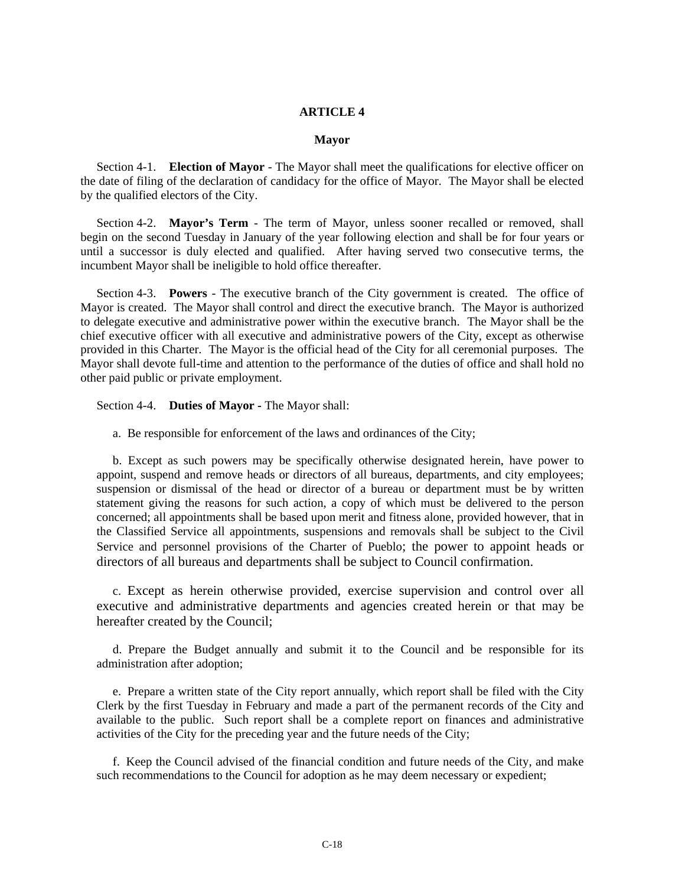#### **ARTICLE 4**

#### **Mayor**

Section 4-1. **Election of Mayor** - The Mayor shall meet the qualifications for elective officer on the date of filing of the declaration of candidacy for the office of Mayor. The Mayor shall be elected by the qualified electors of the City.

Section 4-2. **Mayor's Term** - The term of Mayor, unless sooner recalled or removed, shall begin on the second Tuesday in January of the year following election and shall be for four years or until a successor is duly elected and qualified. After having served two consecutive terms, the incumbent Mayor shall be ineligible to hold office thereafter.

Section 4-3. **Powers** - The executive branch of the City government is created. The office of Mayor is created. The Mayor shall control and direct the executive branch. The Mayor is authorized to delegate executive and administrative power within the executive branch. The Mayor shall be the chief executive officer with all executive and administrative powers of the City, except as otherwise provided in this Charter. The Mayor is the official head of the City for all ceremonial purposes. The Mayor shall devote full-time and attention to the performance of the duties of office and shall hold no other paid public or private employment.

Section 4-4. **Duties of Mayor - The Mayor shall:** 

a. Be responsible for enforcement of the laws and ordinances of the City;

b. Except as such powers may be specifically otherwise designated herein, have power to appoint, suspend and remove heads or directors of all bureaus, departments, and city employees; suspension or dismissal of the head or director of a bureau or department must be by written statement giving the reasons for such action, a copy of which must be delivered to the person concerned; all appointments shall be based upon merit and fitness alone, provided however, that in the Classified Service all appointments, suspensions and removals shall be subject to the Civil Service and personnel provisions of the Charter of Pueblo; the power to appoint heads or directors of all bureaus and departments shall be subject to Council confirmation.

c. Except as herein otherwise provided, exercise supervision and control over all executive and administrative departments and agencies created herein or that may be hereafter created by the Council;

d. Prepare the Budget annually and submit it to the Council and be responsible for its administration after adoption;

e. Prepare a written state of the City report annually, which report shall be filed with the City Clerk by the first Tuesday in February and made a part of the permanent records of the City and available to the public. Such report shall be a complete report on finances and administrative activities of the City for the preceding year and the future needs of the City;

f. Keep the Council advised of the financial condition and future needs of the City, and make such recommendations to the Council for adoption as he may deem necessary or expedient;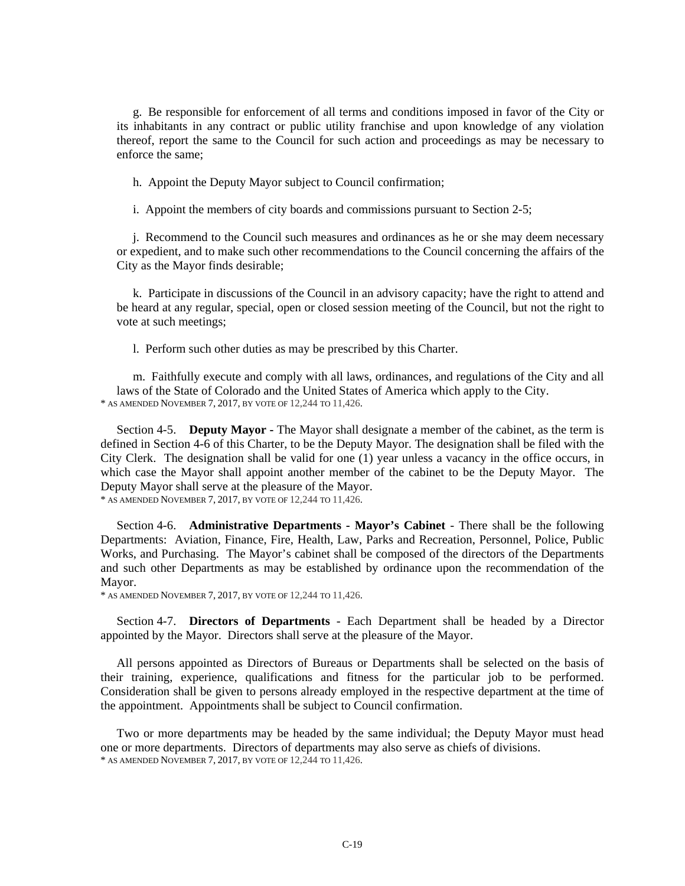g. Be responsible for enforcement of all terms and conditions imposed in favor of the City or its inhabitants in any contract or public utility franchise and upon knowledge of any violation thereof, report the same to the Council for such action and proceedings as may be necessary to enforce the same;

h. Appoint the Deputy Mayor subject to Council confirmation;

i. Appoint the members of city boards and commissions pursuant to Section 2-5;

j. Recommend to the Council such measures and ordinances as he or she may deem necessary or expedient, and to make such other recommendations to the Council concerning the affairs of the City as the Mayor finds desirable;

k. Participate in discussions of the Council in an advisory capacity; have the right to attend and be heard at any regular, special, open or closed session meeting of the Council, but not the right to vote at such meetings;

l. Perform such other duties as may be prescribed by this Charter.

m. Faithfully execute and comply with all laws, ordinances, and regulations of the City and all laws of the State of Colorado and the United States of America which apply to the City.<br>\* AS AMENDED NOVEMBER 7, 2017, BY VOTE OF 12,244 TO 11,426.

Section 4-5. **Deputy Mayor -** The Mayor shall designate a member of the cabinet, as the term is defined in Section 4-6 of this Charter, to be the Deputy Mayor. The designation shall be filed with the City Clerk. The designation shall be valid for one (1) year unless a vacancy in the office occurs, in which case the Mayor shall appoint another member of the cabinet to be the Deputy Mayor. The Deputy Mayor shall serve at the pleasure of the Mayor.

\* AS AMENDED NOVEMBER 7, 2017, BY VOTE OF 12,244 TO 11,426.

Section 4-6. **Administrative Departments - Mayor's Cabinet** - There shall be the following Departments: Aviation, Finance, Fire, Health, Law, Parks and Recreation, Personnel, Police, Public Works, and Purchasing. The Mayor's cabinet shall be composed of the directors of the Departments and such other Departments as may be established by ordinance upon the recommendation of the Mayor.

\* AS AMENDED NOVEMBER 7, 2017, BY VOTE OF 12,244 TO 11,426.

Section 4-7. **Directors of Departments** - Each Department shall be headed by a Director appointed by the Mayor. Directors shall serve at the pleasure of the Mayor.

All persons appointed as Directors of Bureaus or Departments shall be selected on the basis of their training, experience, qualifications and fitness for the particular job to be performed. Consideration shall be given to persons already employed in the respective department at the time of the appointment. Appointments shall be subject to Council confirmation.

Two or more departments may be headed by the same individual; the Deputy Mayor must head one or more departments. Directors of departments may also serve as chiefs of divisions.<br>\* AS AMENDED NOVEMBER 7, 2017, BY VOTE OF 12,244 TO 11,426.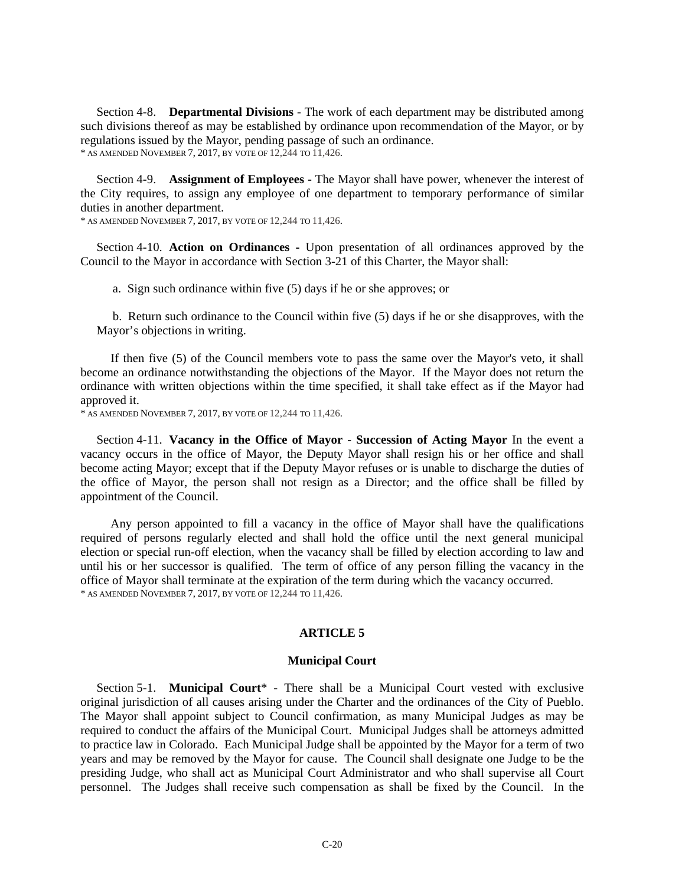Section 4-8. **Departmental Divisions** - The work of each department may be distributed among such divisions thereof as may be established by ordinance upon recommendation of the Mayor, or by regulations issued by the Mayor, pending passage of such an ordinance. \* AS AMENDED NOVEMBER 7, 2017, BY VOTE OF 12,244 TO 11,426.

Section 4-9. **Assignment of Employees** - The Mayor shall have power, whenever the interest of the City requires, to assign any employee of one department to temporary performance of similar duties in another department.

\* AS AMENDED NOVEMBER 7, 2017, BY VOTE OF 12,244 TO 11,426.

Section 4-10. **Action on Ordinances -** Upon presentation of all ordinances approved by the Council to the Mayor in accordance with Section 3-21 of this Charter, the Mayor shall:

a. Sign such ordinance within five (5) days if he or she approves; or

b. Return such ordinance to the Council within five (5) days if he or she disapproves, with the Mayor's objections in writing.

If then five (5) of the Council members vote to pass the same over the Mayor's veto, it shall become an ordinance notwithstanding the objections of the Mayor. If the Mayor does not return the ordinance with written objections within the time specified, it shall take effect as if the Mayor had approved it.

\* AS AMENDED NOVEMBER 7, 2017, BY VOTE OF 12,244 TO 11,426.

Section 4-11. **Vacancy in the Office of Mayor - Succession of Acting Mayor** In the event a vacancy occurs in the office of Mayor, the Deputy Mayor shall resign his or her office and shall become acting Mayor; except that if the Deputy Mayor refuses or is unable to discharge the duties of the office of Mayor, the person shall not resign as a Director; and the office shall be filled by appointment of the Council.

Any person appointed to fill a vacancy in the office of Mayor shall have the qualifications required of persons regularly elected and shall hold the office until the next general municipal election or special run-off election, when the vacancy shall be filled by election according to law and until his or her successor is qualified. The term of office of any person filling the vacancy in the office of Mayor shall terminate at the expiration of the term during which the vacancy occurred. \* AS AMENDED NOVEMBER 7, 2017, BY VOTE OF 12,244 TO 11,426.

#### **ARTICLE 5**

#### **Municipal Court**

Section 5-1. **Municipal Court**\* - There shall be a Municipal Court vested with exclusive original jurisdiction of all causes arising under the Charter and the ordinances of the City of Pueblo. The Mayor shall appoint subject to Council confirmation, as many Municipal Judges as may be required to conduct the affairs of the Municipal Court. Municipal Judges shall be attorneys admitted to practice law in Colorado. Each Municipal Judge shall be appointed by the Mayor for a term of two years and may be removed by the Mayor for cause. The Council shall designate one Judge to be the presiding Judge, who shall act as Municipal Court Administrator and who shall supervise all Court personnel. The Judges shall receive such compensation as shall be fixed by the Council. In the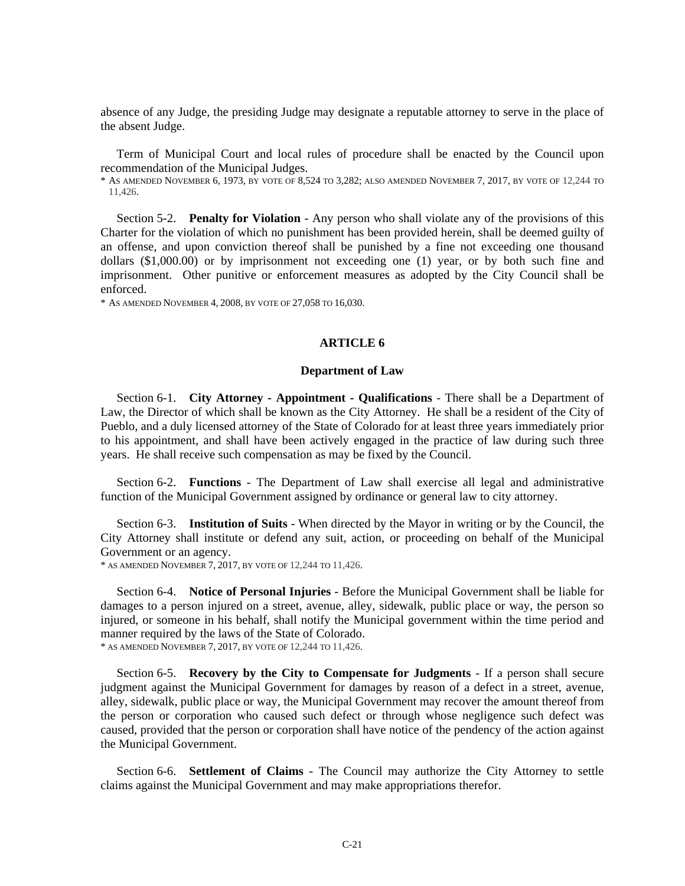absence of any Judge, the presiding Judge may designate a reputable attorney to serve in the place of the absent Judge.

Term of Municipal Court and local rules of procedure shall be enacted by the Council upon recommendation of the Municipal Judges.

\* AS AMENDED NOVEMBER 6, 1973, BY VOTE OF 8,524 TO 3,282; ALSO AMENDED NOVEMBER 7, 2017, BY VOTE OF 12,244 TO 11,426.

Section 5-2. **Penalty for Violation** - Any person who shall violate any of the provisions of this Charter for the violation of which no punishment has been provided herein, shall be deemed guilty of an offense, and upon conviction thereof shall be punished by a fine not exceeding one thousand dollars (\$1,000.00) or by imprisonment not exceeding one (1) year, or by both such fine and imprisonment. Other punitive or enforcement measures as adopted by the City Council shall be enforced.

\* AS AMENDED NOVEMBER 4, 2008, BY VOTE OF 27,058 TO 16,030.

#### **ARTICLE 6**

#### **Department of Law**

Section 6-1. **City Attorney - Appointment - Qualifications** - There shall be a Department of Law, the Director of which shall be known as the City Attorney. He shall be a resident of the City of Pueblo, and a duly licensed attorney of the State of Colorado for at least three years immediately prior to his appointment, and shall have been actively engaged in the practice of law during such three years. He shall receive such compensation as may be fixed by the Council.

Section 6-2. **Functions** - The Department of Law shall exercise all legal and administrative function of the Municipal Government assigned by ordinance or general law to city attorney.

Section 6-3. **Institution of Suits** - When directed by the Mayor in writing or by the Council, the City Attorney shall institute or defend any suit, action, or proceeding on behalf of the Municipal Government or an agency.

\* AS AMENDED NOVEMBER 7, 2017, BY VOTE OF 12,244 TO 11,426.

Section 6-4. **Notice of Personal Injuries** - Before the Municipal Government shall be liable for damages to a person injured on a street, avenue, alley, sidewalk, public place or way, the person so injured, or someone in his behalf, shall notify the Municipal government within the time period and manner required by the laws of the State of Colorado.

\* AS AMENDED NOVEMBER 7, 2017, BY VOTE OF 12,244 TO 11,426.

Section 6-5. **Recovery by the City to Compensate for Judgments** - If a person shall secure judgment against the Municipal Government for damages by reason of a defect in a street, avenue, alley, sidewalk, public place or way, the Municipal Government may recover the amount thereof from the person or corporation who caused such defect or through whose negligence such defect was caused, provided that the person or corporation shall have notice of the pendency of the action against the Municipal Government.

Section 6-6. **Settlement of Claims** - The Council may authorize the City Attorney to settle claims against the Municipal Government and may make appropriations therefor.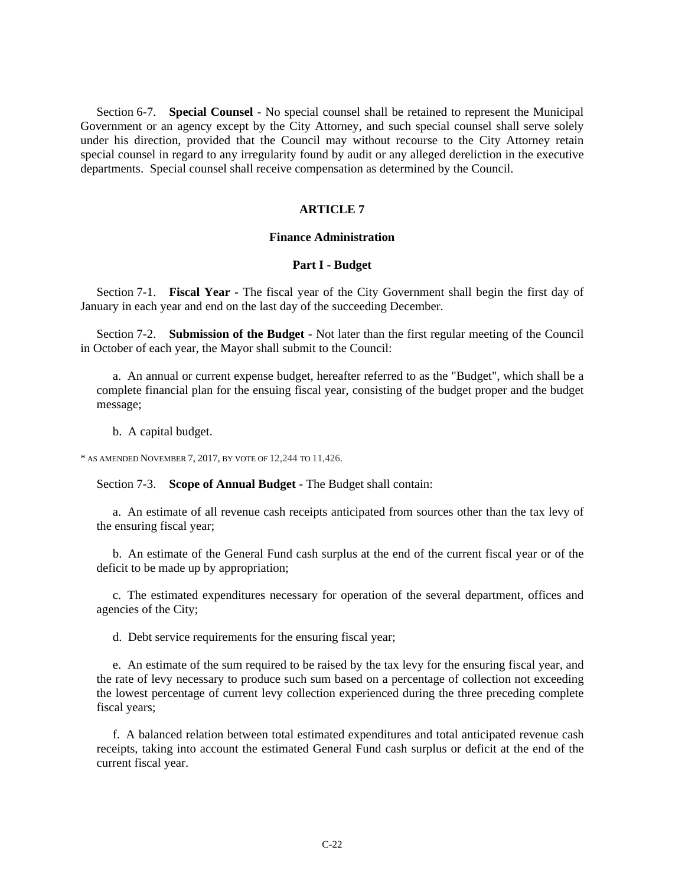Section 6-7. **Special Counsel** - No special counsel shall be retained to represent the Municipal Government or an agency except by the City Attorney, and such special counsel shall serve solely under his direction, provided that the Council may without recourse to the City Attorney retain special counsel in regard to any irregularity found by audit or any alleged dereliction in the executive departments. Special counsel shall receive compensation as determined by the Council.

#### **ARTICLE 7**

#### **Finance Administration**

#### **Part I - Budget**

Section 7-1. **Fiscal Year** - The fiscal year of the City Government shall begin the first day of January in each year and end on the last day of the succeeding December.

Section 7-2. **Submission of the Budget** - Not later than the first regular meeting of the Council in October of each year, the Mayor shall submit to the Council:

a. An annual or current expense budget, hereafter referred to as the "Budget", which shall be a complete financial plan for the ensuing fiscal year, consisting of the budget proper and the budget message;

b. A capital budget.

\* AS AMENDED NOVEMBER 7, 2017, BY VOTE OF 12,244 TO 11,426.

Section 7-3. **Scope of Annual Budget** - The Budget shall contain:

a. An estimate of all revenue cash receipts anticipated from sources other than the tax levy of the ensuring fiscal year;

b. An estimate of the General Fund cash surplus at the end of the current fiscal year or of the deficit to be made up by appropriation;

c. The estimated expenditures necessary for operation of the several department, offices and agencies of the City;

d. Debt service requirements for the ensuring fiscal year;

e. An estimate of the sum required to be raised by the tax levy for the ensuring fiscal year, and the rate of levy necessary to produce such sum based on a percentage of collection not exceeding the lowest percentage of current levy collection experienced during the three preceding complete fiscal years;

f. A balanced relation between total estimated expenditures and total anticipated revenue cash receipts, taking into account the estimated General Fund cash surplus or deficit at the end of the current fiscal year.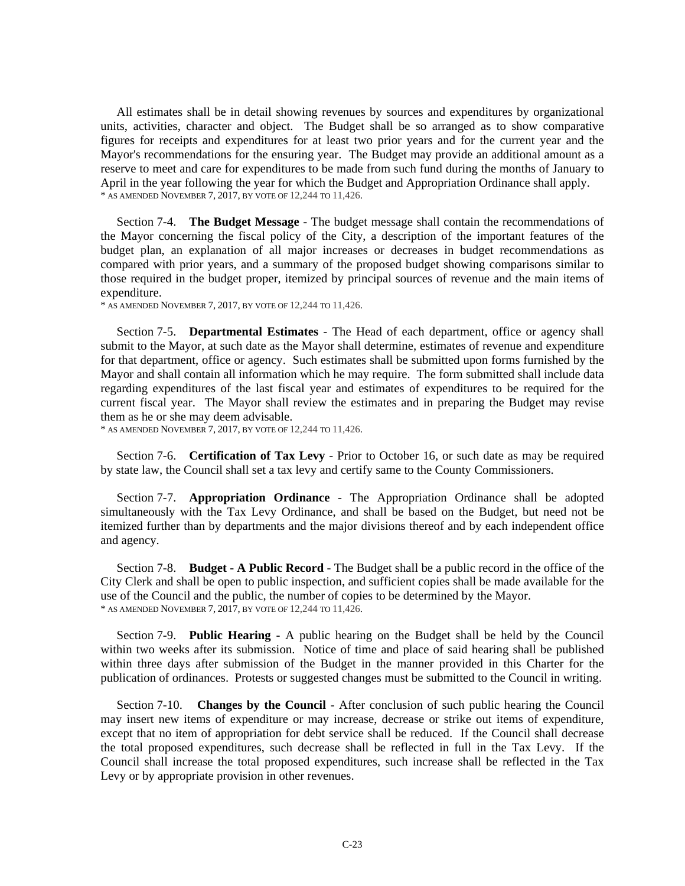All estimates shall be in detail showing revenues by sources and expenditures by organizational units, activities, character and object. The Budget shall be so arranged as to show comparative figures for receipts and expenditures for at least two prior years and for the current year and the Mayor's recommendations for the ensuring year. The Budget may provide an additional amount as a reserve to meet and care for expenditures to be made from such fund during the months of January to April in the year following the year for which the Budget and Appropriation Ordinance shall apply.<br>\* AS AMENDED NOVEMBER 7, 2017, BY VOTE OF 12,244 TO 11,426.

Section 7-4. **The Budget Message** - The budget message shall contain the recommendations of the Mayor concerning the fiscal policy of the City, a description of the important features of the budget plan, an explanation of all major increases or decreases in budget recommendations as compared with prior years, and a summary of the proposed budget showing comparisons similar to those required in the budget proper, itemized by principal sources of revenue and the main items of expenditure.

\* AS AMENDED NOVEMBER 7, 2017, BY VOTE OF 12,244 TO 11,426.

Section 7-5. **Departmental Estimates** - The Head of each department, office or agency shall submit to the Mayor, at such date as the Mayor shall determine, estimates of revenue and expenditure for that department, office or agency. Such estimates shall be submitted upon forms furnished by the Mayor and shall contain all information which he may require. The form submitted shall include data regarding expenditures of the last fiscal year and estimates of expenditures to be required for the current fiscal year. The Mayor shall review the estimates and in preparing the Budget may revise them as he or she may deem advisable.

\* AS AMENDED NOVEMBER 7, 2017, BY VOTE OF 12,244 TO 11,426.

Section 7-6. **Certification of Tax Levy** - Prior to October 16, or such date as may be required by state law, the Council shall set a tax levy and certify same to the County Commissioners.

Section 7-7. **Appropriation Ordinance** - The Appropriation Ordinance shall be adopted simultaneously with the Tax Levy Ordinance, and shall be based on the Budget, but need not be itemized further than by departments and the major divisions thereof and by each independent office and agency.

Section 7-8. **Budget - A Public Record** - The Budget shall be a public record in the office of the City Clerk and shall be open to public inspection, and sufficient copies shall be made available for the use of the Council and the public, the number of copies to be determined by the Mayor. \* AS AMENDED NOVEMBER 7, 2017, BY VOTE OF 12,244 TO 11,426.

Section 7-9. **Public Hearing** - A public hearing on the Budget shall be held by the Council within two weeks after its submission. Notice of time and place of said hearing shall be published within three days after submission of the Budget in the manner provided in this Charter for the publication of ordinances. Protests or suggested changes must be submitted to the Council in writing.

Section 7-10. **Changes by the Council** - After conclusion of such public hearing the Council may insert new items of expenditure or may increase, decrease or strike out items of expenditure, except that no item of appropriation for debt service shall be reduced. If the Council shall decrease the total proposed expenditures, such decrease shall be reflected in full in the Tax Levy. If the Council shall increase the total proposed expenditures, such increase shall be reflected in the Tax Levy or by appropriate provision in other revenues.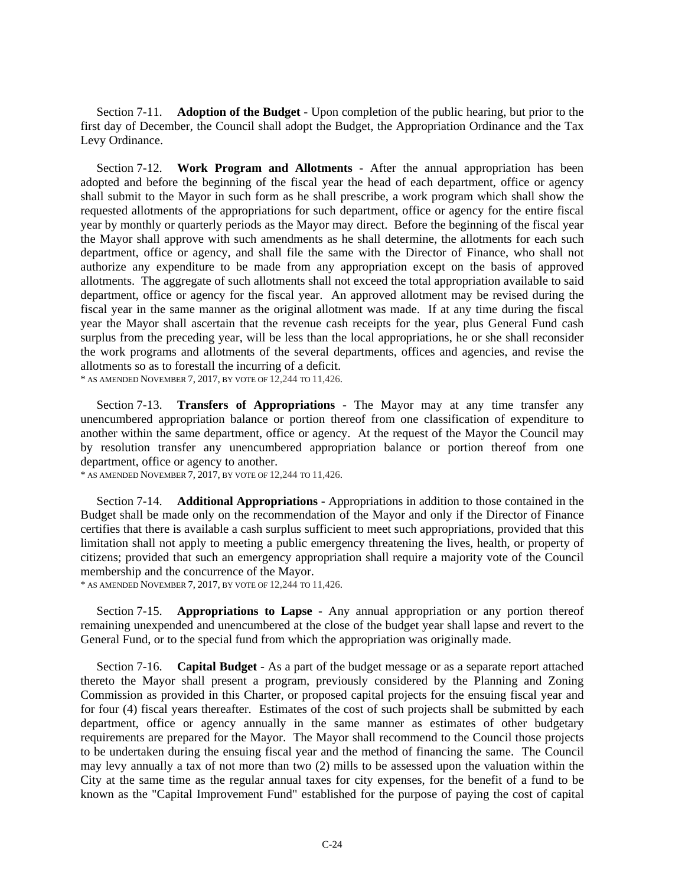Section 7-11. **Adoption of the Budget** - Upon completion of the public hearing, but prior to the first day of December, the Council shall adopt the Budget, the Appropriation Ordinance and the Tax Levy Ordinance.

Section 7-12. **Work Program and Allotments** - After the annual appropriation has been adopted and before the beginning of the fiscal year the head of each department, office or agency shall submit to the Mayor in such form as he shall prescribe, a work program which shall show the requested allotments of the appropriations for such department, office or agency for the entire fiscal year by monthly or quarterly periods as the Mayor may direct. Before the beginning of the fiscal year the Mayor shall approve with such amendments as he shall determine, the allotments for each such department, office or agency, and shall file the same with the Director of Finance, who shall not authorize any expenditure to be made from any appropriation except on the basis of approved allotments. The aggregate of such allotments shall not exceed the total appropriation available to said department, office or agency for the fiscal year. An approved allotment may be revised during the fiscal year in the same manner as the original allotment was made. If at any time during the fiscal year the Mayor shall ascertain that the revenue cash receipts for the year, plus General Fund cash surplus from the preceding year, will be less than the local appropriations, he or she shall reconsider the work programs and allotments of the several departments, offices and agencies, and revise the allotments so as to forestall the incurring of a deficit. \* AS AMENDED NOVEMBER 7, 2017, BY VOTE OF 12,244 TO 11,426.

Section 7-13. **Transfers of Appropriations** - The Mayor may at any time transfer any unencumbered appropriation balance or portion thereof from one classification of expenditure to another within the same department, office or agency. At the request of the Mayor the Council may by resolution transfer any unencumbered appropriation balance or portion thereof from one department, office or agency to another.

\* AS AMENDED NOVEMBER 7, 2017, BY VOTE OF 12,244 TO 11,426.

Section 7-14. **Additional Appropriations** - Appropriations in addition to those contained in the Budget shall be made only on the recommendation of the Mayor and only if the Director of Finance certifies that there is available a cash surplus sufficient to meet such appropriations, provided that this limitation shall not apply to meeting a public emergency threatening the lives, health, or property of citizens; provided that such an emergency appropriation shall require a majority vote of the Council membership and the concurrence of the Mayor.<br>\* AS AMENDED NOVEMBER 7, 2017, BY VOTE OF 12,244 TO 11,426.

Section 7-15. **Appropriations to Lapse** - Any annual appropriation or any portion thereof remaining unexpended and unencumbered at the close of the budget year shall lapse and revert to the General Fund, or to the special fund from which the appropriation was originally made.

Section 7-16. **Capital Budget** - As a part of the budget message or as a separate report attached thereto the Mayor shall present a program, previously considered by the Planning and Zoning Commission as provided in this Charter, or proposed capital projects for the ensuing fiscal year and for four (4) fiscal years thereafter. Estimates of the cost of such projects shall be submitted by each department, office or agency annually in the same manner as estimates of other budgetary requirements are prepared for the Mayor. The Mayor shall recommend to the Council those projects to be undertaken during the ensuing fiscal year and the method of financing the same. The Council may levy annually a tax of not more than two (2) mills to be assessed upon the valuation within the City at the same time as the regular annual taxes for city expenses, for the benefit of a fund to be known as the "Capital Improvement Fund" established for the purpose of paying the cost of capital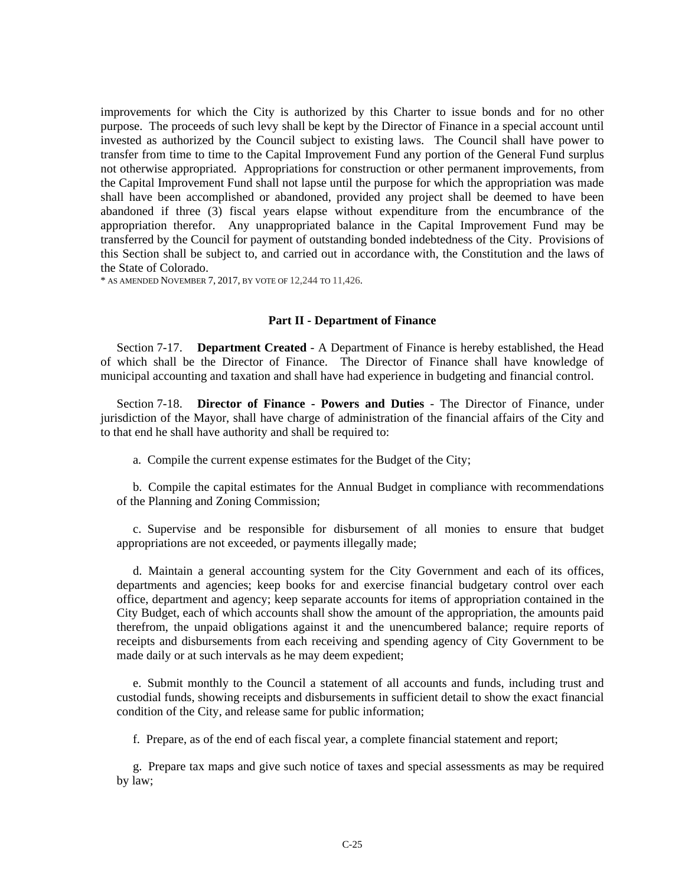improvements for which the City is authorized by this Charter to issue bonds and for no other purpose. The proceeds of such levy shall be kept by the Director of Finance in a special account until invested as authorized by the Council subject to existing laws. The Council shall have power to transfer from time to time to the Capital Improvement Fund any portion of the General Fund surplus not otherwise appropriated. Appropriations for construction or other permanent improvements, from the Capital Improvement Fund shall not lapse until the purpose for which the appropriation was made shall have been accomplished or abandoned, provided any project shall be deemed to have been abandoned if three (3) fiscal years elapse without expenditure from the encumbrance of the appropriation therefor. Any unappropriated balance in the Capital Improvement Fund may be transferred by the Council for payment of outstanding bonded indebtedness of the City. Provisions of this Section shall be subject to, and carried out in accordance with, the Constitution and the laws of the State of Colorado.

\* AS AMENDED NOVEMBER 7, 2017, BY VOTE OF 12,244 TO 11,426.

#### **Part II - Department of Finance**

Section 7-17. **Department Created** - A Department of Finance is hereby established, the Head of which shall be the Director of Finance. The Director of Finance shall have knowledge of municipal accounting and taxation and shall have had experience in budgeting and financial control.

Section 7-18. **Director of Finance - Powers and Duties** - The Director of Finance, under jurisdiction of the Mayor, shall have charge of administration of the financial affairs of the City and to that end he shall have authority and shall be required to:

a. Compile the current expense estimates for the Budget of the City;

b. Compile the capital estimates for the Annual Budget in compliance with recommendations of the Planning and Zoning Commission;

c. Supervise and be responsible for disbursement of all monies to ensure that budget appropriations are not exceeded, or payments illegally made;

d. Maintain a general accounting system for the City Government and each of its offices, departments and agencies; keep books for and exercise financial budgetary control over each office, department and agency; keep separate accounts for items of appropriation contained in the City Budget, each of which accounts shall show the amount of the appropriation, the amounts paid therefrom, the unpaid obligations against it and the unencumbered balance; require reports of receipts and disbursements from each receiving and spending agency of City Government to be made daily or at such intervals as he may deem expedient;

e. Submit monthly to the Council a statement of all accounts and funds, including trust and custodial funds, showing receipts and disbursements in sufficient detail to show the exact financial condition of the City, and release same for public information;

f. Prepare, as of the end of each fiscal year, a complete financial statement and report;

g. Prepare tax maps and give such notice of taxes and special assessments as may be required by law;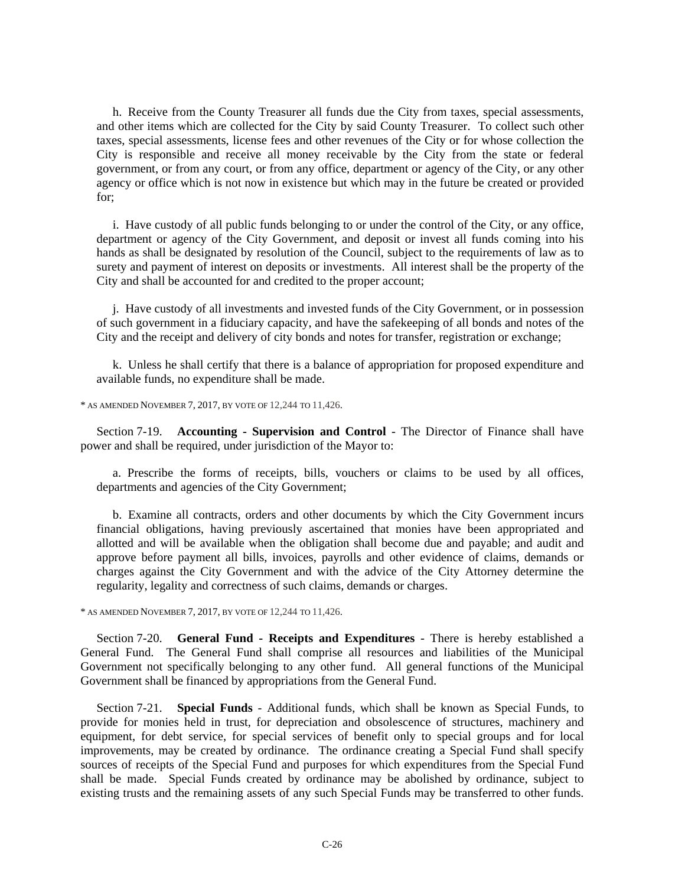h. Receive from the County Treasurer all funds due the City from taxes, special assessments, and other items which are collected for the City by said County Treasurer. To collect such other taxes, special assessments, license fees and other revenues of the City or for whose collection the City is responsible and receive all money receivable by the City from the state or federal government, or from any court, or from any office, department or agency of the City, or any other agency or office which is not now in existence but which may in the future be created or provided for;

i. Have custody of all public funds belonging to or under the control of the City, or any office, department or agency of the City Government, and deposit or invest all funds coming into his hands as shall be designated by resolution of the Council, subject to the requirements of law as to surety and payment of interest on deposits or investments. All interest shall be the property of the City and shall be accounted for and credited to the proper account;

j. Have custody of all investments and invested funds of the City Government, or in possession of such government in a fiduciary capacity, and have the safekeeping of all bonds and notes of the City and the receipt and delivery of city bonds and notes for transfer, registration or exchange;

k. Unless he shall certify that there is a balance of appropriation for proposed expenditure and available funds, no expenditure shall be made.

\* AS AMENDED NOVEMBER 7, 2017, BY VOTE OF 12,244 TO 11,426.

Section 7-19. **Accounting - Supervision and Control** - The Director of Finance shall have power and shall be required, under jurisdiction of the Mayor to:

a. Prescribe the forms of receipts, bills, vouchers or claims to be used by all offices, departments and agencies of the City Government;

b. Examine all contracts, orders and other documents by which the City Government incurs financial obligations, having previously ascertained that monies have been appropriated and allotted and will be available when the obligation shall become due and payable; and audit and approve before payment all bills, invoices, payrolls and other evidence of claims, demands or charges against the City Government and with the advice of the City Attorney determine the regularity, legality and correctness of such claims, demands or charges.

\* AS AMENDED NOVEMBER 7, 2017, BY VOTE OF 12,244 TO 11,426.

Section 7-20. **General Fund - Receipts and Expenditures** - There is hereby established a General Fund. The General Fund shall comprise all resources and liabilities of the Municipal Government not specifically belonging to any other fund. All general functions of the Municipal Government shall be financed by appropriations from the General Fund.

Section 7-21. **Special Funds** - Additional funds, which shall be known as Special Funds, to provide for monies held in trust, for depreciation and obsolescence of structures, machinery and equipment, for debt service, for special services of benefit only to special groups and for local improvements, may be created by ordinance. The ordinance creating a Special Fund shall specify sources of receipts of the Special Fund and purposes for which expenditures from the Special Fund shall be made. Special Funds created by ordinance may be abolished by ordinance, subject to existing trusts and the remaining assets of any such Special Funds may be transferred to other funds.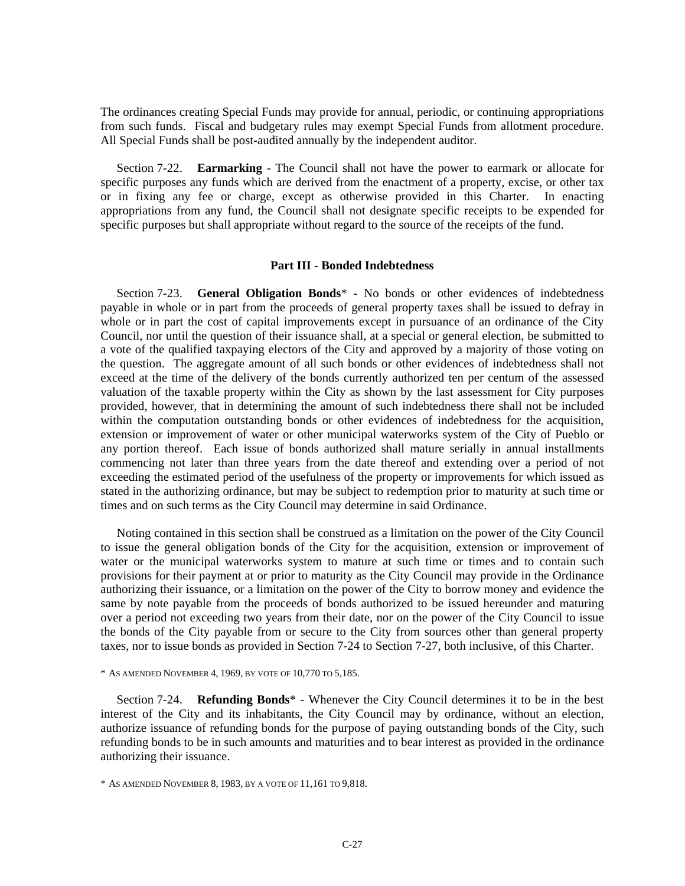The ordinances creating Special Funds may provide for annual, periodic, or continuing appropriations from such funds. Fiscal and budgetary rules may exempt Special Funds from allotment procedure. All Special Funds shall be post-audited annually by the independent auditor.

Section 7-22. **Earmarking** - The Council shall not have the power to earmark or allocate for specific purposes any funds which are derived from the enactment of a property, excise, or other tax or in fixing any fee or charge, except as otherwise provided in this Charter. In enacting appropriations from any fund, the Council shall not designate specific receipts to be expended for specific purposes but shall appropriate without regard to the source of the receipts of the fund.

#### **Part III - Bonded Indebtedness**

Section 7-23. **General Obligation Bonds**\* - No bonds or other evidences of indebtedness payable in whole or in part from the proceeds of general property taxes shall be issued to defray in whole or in part the cost of capital improvements except in pursuance of an ordinance of the City Council, nor until the question of their issuance shall, at a special or general election, be submitted to a vote of the qualified taxpaying electors of the City and approved by a majority of those voting on the question. The aggregate amount of all such bonds or other evidences of indebtedness shall not exceed at the time of the delivery of the bonds currently authorized ten per centum of the assessed valuation of the taxable property within the City as shown by the last assessment for City purposes provided, however, that in determining the amount of such indebtedness there shall not be included within the computation outstanding bonds or other evidences of indebtedness for the acquisition, extension or improvement of water or other municipal waterworks system of the City of Pueblo or any portion thereof. Each issue of bonds authorized shall mature serially in annual installments commencing not later than three years from the date thereof and extending over a period of not exceeding the estimated period of the usefulness of the property or improvements for which issued as stated in the authorizing ordinance, but may be subject to redemption prior to maturity at such time or times and on such terms as the City Council may determine in said Ordinance.

Noting contained in this section shall be construed as a limitation on the power of the City Council to issue the general obligation bonds of the City for the acquisition, extension or improvement of water or the municipal waterworks system to mature at such time or times and to contain such provisions for their payment at or prior to maturity as the City Council may provide in the Ordinance authorizing their issuance, or a limitation on the power of the City to borrow money and evidence the same by note payable from the proceeds of bonds authorized to be issued hereunder and maturing over a period not exceeding two years from their date, nor on the power of the City Council to issue the bonds of the City payable from or secure to the City from sources other than general property taxes, nor to issue bonds as provided in Section 7-24 to Section 7-27, both inclusive, of this Charter.

#### \* AS AMENDED NOVEMBER 4, 1969, BY VOTE OF 10,770 TO 5,185.

Section 7-24. **Refunding Bonds**\* - Whenever the City Council determines it to be in the best interest of the City and its inhabitants, the City Council may by ordinance, without an election, authorize issuance of refunding bonds for the purpose of paying outstanding bonds of the City, such refunding bonds to be in such amounts and maturities and to bear interest as provided in the ordinance authorizing their issuance.

<sup>\*</sup> AS AMENDED NOVEMBER 8, 1983, BY A VOTE OF 11,161 TO 9,818.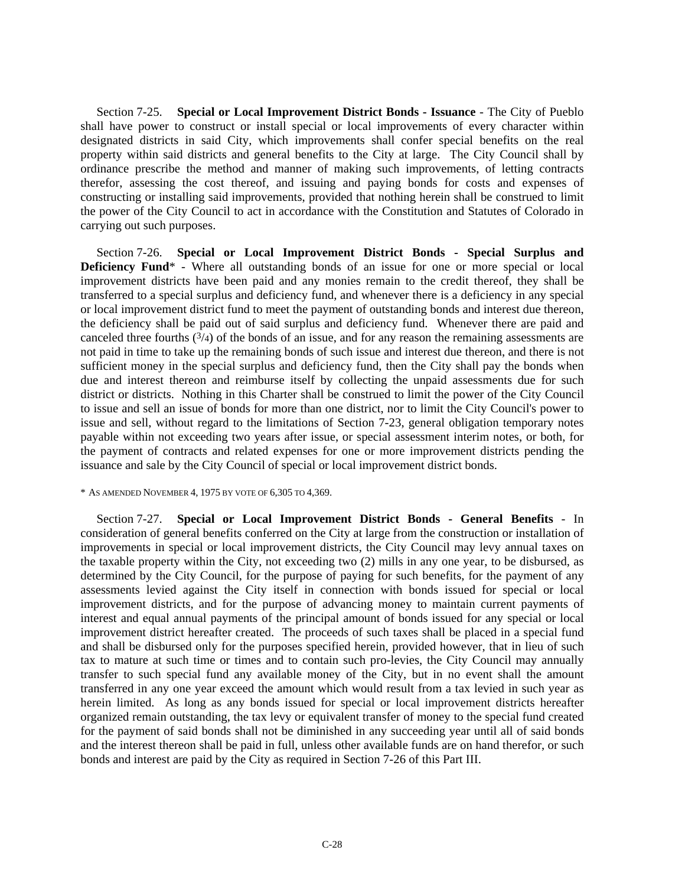Section 7-25. **Special or Local Improvement District Bonds - Issuance** - The City of Pueblo shall have power to construct or install special or local improvements of every character within designated districts in said City, which improvements shall confer special benefits on the real property within said districts and general benefits to the City at large. The City Council shall by ordinance prescribe the method and manner of making such improvements, of letting contracts therefor, assessing the cost thereof, and issuing and paying bonds for costs and expenses of constructing or installing said improvements, provided that nothing herein shall be construed to limit the power of the City Council to act in accordance with the Constitution and Statutes of Colorado in carrying out such purposes.

Section 7-26. **Special or Local Improvement District Bonds - Special Surplus and Deficiency Fund**<sup>\*</sup> - Where all outstanding bonds of an issue for one or more special or local improvement districts have been paid and any monies remain to the credit thereof, they shall be transferred to a special surplus and deficiency fund, and whenever there is a deficiency in any special or local improvement district fund to meet the payment of outstanding bonds and interest due thereon, the deficiency shall be paid out of said surplus and deficiency fund. Whenever there are paid and canceled three fourths  $(3/4)$  of the bonds of an issue, and for any reason the remaining assessments are not paid in time to take up the remaining bonds of such issue and interest due thereon, and there is not sufficient money in the special surplus and deficiency fund, then the City shall pay the bonds when due and interest thereon and reimburse itself by collecting the unpaid assessments due for such district or districts. Nothing in this Charter shall be construed to limit the power of the City Council to issue and sell an issue of bonds for more than one district, nor to limit the City Council's power to issue and sell, without regard to the limitations of Section 7-23, general obligation temporary notes payable within not exceeding two years after issue, or special assessment interim notes, or both, for the payment of contracts and related expenses for one or more improvement districts pending the issuance and sale by the City Council of special or local improvement district bonds.

#### \* AS AMENDED NOVEMBER 4, 1975 BY VOTE OF 6,305 TO 4,369.

Section 7-27. **Special or Local Improvement District Bonds - General Benefits** - In consideration of general benefits conferred on the City at large from the construction or installation of improvements in special or local improvement districts, the City Council may levy annual taxes on the taxable property within the City, not exceeding two (2) mills in any one year, to be disbursed, as determined by the City Council, for the purpose of paying for such benefits, for the payment of any assessments levied against the City itself in connection with bonds issued for special or local improvement districts, and for the purpose of advancing money to maintain current payments of interest and equal annual payments of the principal amount of bonds issued for any special or local improvement district hereafter created. The proceeds of such taxes shall be placed in a special fund and shall be disbursed only for the purposes specified herein, provided however, that in lieu of such tax to mature at such time or times and to contain such pro-levies, the City Council may annually transfer to such special fund any available money of the City, but in no event shall the amount transferred in any one year exceed the amount which would result from a tax levied in such year as herein limited. As long as any bonds issued for special or local improvement districts hereafter organized remain outstanding, the tax levy or equivalent transfer of money to the special fund created for the payment of said bonds shall not be diminished in any succeeding year until all of said bonds and the interest thereon shall be paid in full, unless other available funds are on hand therefor, or such bonds and interest are paid by the City as required in Section 7-26 of this Part III.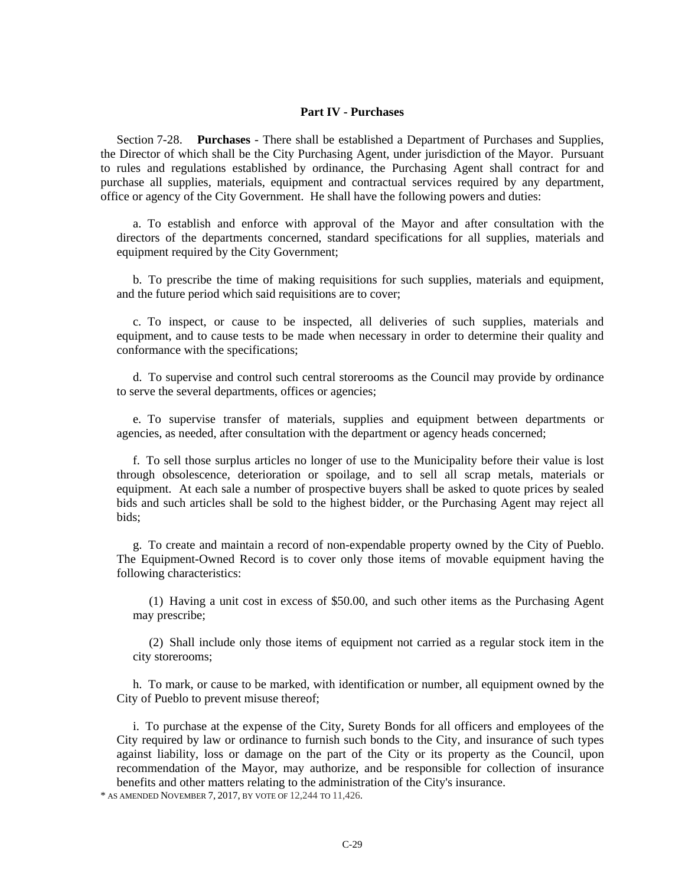#### **Part IV - Purchases**

Section 7-28. **Purchases** - There shall be established a Department of Purchases and Supplies, the Director of which shall be the City Purchasing Agent, under jurisdiction of the Mayor. Pursuant to rules and regulations established by ordinance, the Purchasing Agent shall contract for and purchase all supplies, materials, equipment and contractual services required by any department, office or agency of the City Government. He shall have the following powers and duties:

a. To establish and enforce with approval of the Mayor and after consultation with the directors of the departments concerned, standard specifications for all supplies, materials and equipment required by the City Government;

b. To prescribe the time of making requisitions for such supplies, materials and equipment, and the future period which said requisitions are to cover;

c. To inspect, or cause to be inspected, all deliveries of such supplies, materials and equipment, and to cause tests to be made when necessary in order to determine their quality and conformance with the specifications;

d. To supervise and control such central storerooms as the Council may provide by ordinance to serve the several departments, offices or agencies;

e. To supervise transfer of materials, supplies and equipment between departments or agencies, as needed, after consultation with the department or agency heads concerned;

f. To sell those surplus articles no longer of use to the Municipality before their value is lost through obsolescence, deterioration or spoilage, and to sell all scrap metals, materials or equipment. At each sale a number of prospective buyers shall be asked to quote prices by sealed bids and such articles shall be sold to the highest bidder, or the Purchasing Agent may reject all bids;

g. To create and maintain a record of non-expendable property owned by the City of Pueblo. The Equipment-Owned Record is to cover only those items of movable equipment having the following characteristics:

(1) Having a unit cost in excess of \$50.00, and such other items as the Purchasing Agent may prescribe;

(2) Shall include only those items of equipment not carried as a regular stock item in the city storerooms;

h. To mark, or cause to be marked, with identification or number, all equipment owned by the City of Pueblo to prevent misuse thereof;

i. To purchase at the expense of the City, Surety Bonds for all officers and employees of the City required by law or ordinance to furnish such bonds to the City, and insurance of such types against liability, loss or damage on the part of the City or its property as the Council, upon recommendation of the Mayor, may authorize, and be responsible for collection of insurance benefits and other matters relating to the administration of the City's insurance.<br>\* AS AMENDED NOVEMBER 7, 2017, BY VOTE OF 12,244 TO 11,426.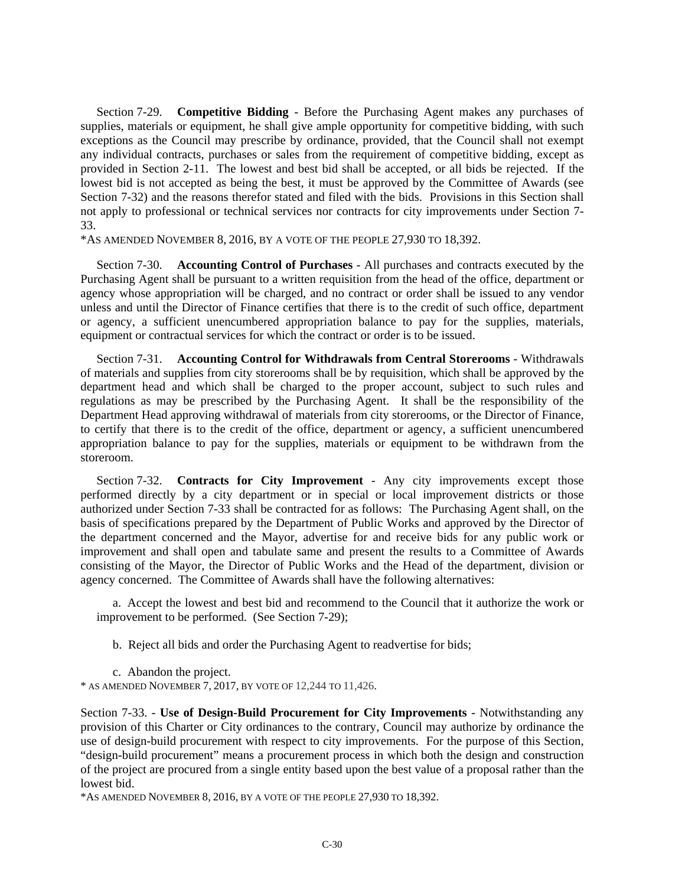Section 7-29. **Competitive Bidding** - Before the Purchasing Agent makes any purchases of supplies, materials or equipment, he shall give ample opportunity for competitive bidding, with such exceptions as the Council may prescribe by ordinance, provided, that the Council shall not exempt any individual contracts, purchases or sales from the requirement of competitive bidding, except as provided in Section 2-11. The lowest and best bid shall be accepted, or all bids be rejected. If the lowest bid is not accepted as being the best, it must be approved by the Committee of Awards (see Section 7-32) and the reasons therefor stated and filed with the bids. Provisions in this Section shall not apply to professional or technical services nor contracts for city improvements under Section 7- 33.

\*AS AMENDED NOVEMBER 8, 2016, BY A VOTE OF THE PEOPLE 27,930 TO 18,392.

Section 7-30. **Accounting Control of Purchases** - All purchases and contracts executed by the Purchasing Agent shall be pursuant to a written requisition from the head of the office, department or agency whose appropriation will be charged, and no contract or order shall be issued to any vendor unless and until the Director of Finance certifies that there is to the credit of such office, department or agency, a sufficient unencumbered appropriation balance to pay for the supplies, materials, equipment or contractual services for which the contract or order is to be issued.

Section 7-31. **Accounting Control for Withdrawals from Central Storerooms** - Withdrawals of materials and supplies from city storerooms shall be by requisition, which shall be approved by the department head and which shall be charged to the proper account, subject to such rules and regulations as may be prescribed by the Purchasing Agent. It shall be the responsibility of the Department Head approving withdrawal of materials from city storerooms, or the Director of Finance, to certify that there is to the credit of the office, department or agency, a sufficient unencumbered appropriation balance to pay for the supplies, materials or equipment to be withdrawn from the storeroom.

Section 7-32. **Contracts for City Improvement** - Any city improvements except those performed directly by a city department or in special or local improvement districts or those authorized under Section 7-33 shall be contracted for as follows: The Purchasing Agent shall, on the basis of specifications prepared by the Department of Public Works and approved by the Director of the department concerned and the Mayor, advertise for and receive bids for any public work or improvement and shall open and tabulate same and present the results to a Committee of Awards consisting of the Mayor, the Director of Public Works and the Head of the department, division or agency concerned. The Committee of Awards shall have the following alternatives:

a. Accept the lowest and best bid and recommend to the Council that it authorize the work or improvement to be performed. (See Section 7-29);

b. Reject all bids and order the Purchasing Agent to readvertise for bids;

c. Abandon the project.

\* AS AMENDED NOVEMBER 7, 2017, BY VOTE OF 12,244 TO 11,426.

Section 7-33. - **Use of Design-Build Procurement for City Improvements** - Notwithstanding any provision of this Charter or City ordinances to the contrary, Council may authorize by ordinance the use of design-build procurement with respect to city improvements. For the purpose of this Section, "design-build procurement" means a procurement process in which both the design and construction of the project are procured from a single entity based upon the best value of a proposal rather than the lowest bid.

\*AS AMENDED NOVEMBER 8, 2016, BY A VOTE OF THE PEOPLE 27,930 TO 18,392.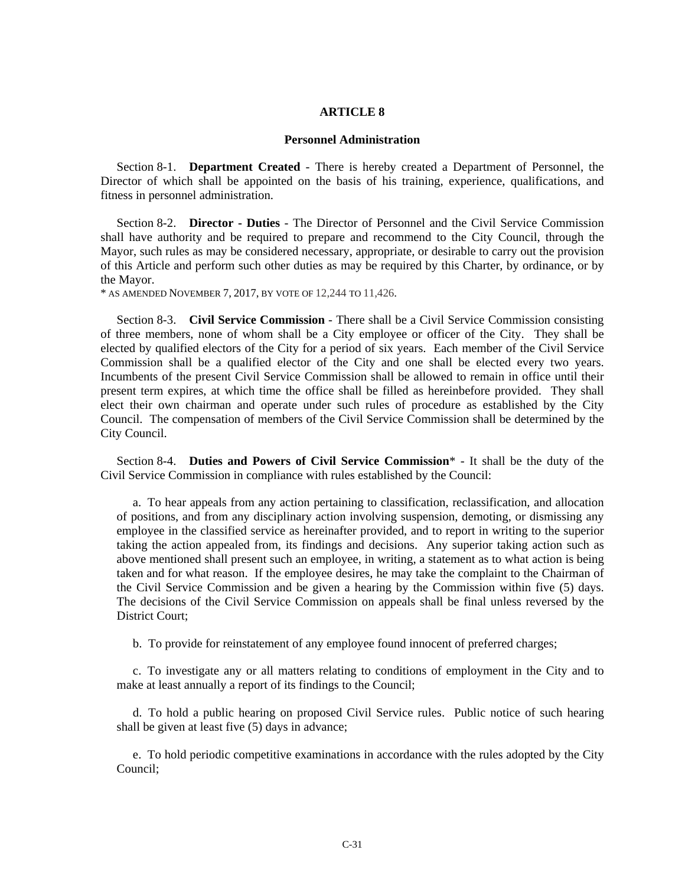#### **ARTICLE 8**

#### **Personnel Administration**

Section 8-1. **Department Created** - There is hereby created a Department of Personnel, the Director of which shall be appointed on the basis of his training, experience, qualifications, and fitness in personnel administration.

Section 8-2. **Director - Duties** - The Director of Personnel and the Civil Service Commission shall have authority and be required to prepare and recommend to the City Council, through the Mayor, such rules as may be considered necessary, appropriate, or desirable to carry out the provision of this Article and perform such other duties as may be required by this Charter, by ordinance, or by the Mayor.

\* AS AMENDED NOVEMBER 7, 2017, BY VOTE OF 12,244 TO 11,426.

Section 8-3. **Civil Service Commission** - There shall be a Civil Service Commission consisting of three members, none of whom shall be a City employee or officer of the City. They shall be elected by qualified electors of the City for a period of six years. Each member of the Civil Service Commission shall be a qualified elector of the City and one shall be elected every two years. Incumbents of the present Civil Service Commission shall be allowed to remain in office until their present term expires, at which time the office shall be filled as hereinbefore provided. They shall elect their own chairman and operate under such rules of procedure as established by the City Council. The compensation of members of the Civil Service Commission shall be determined by the City Council.

Section 8-4. **Duties and Powers of Civil Service Commission**\* - It shall be the duty of the Civil Service Commission in compliance with rules established by the Council:

a. To hear appeals from any action pertaining to classification, reclassification, and allocation of positions, and from any disciplinary action involving suspension, demoting, or dismissing any employee in the classified service as hereinafter provided, and to report in writing to the superior taking the action appealed from, its findings and decisions. Any superior taking action such as above mentioned shall present such an employee, in writing, a statement as to what action is being taken and for what reason. If the employee desires, he may take the complaint to the Chairman of the Civil Service Commission and be given a hearing by the Commission within five (5) days. The decisions of the Civil Service Commission on appeals shall be final unless reversed by the District Court;

b. To provide for reinstatement of any employee found innocent of preferred charges;

c. To investigate any or all matters relating to conditions of employment in the City and to make at least annually a report of its findings to the Council;

d. To hold a public hearing on proposed Civil Service rules. Public notice of such hearing shall be given at least five (5) days in advance;

e. To hold periodic competitive examinations in accordance with the rules adopted by the City Council;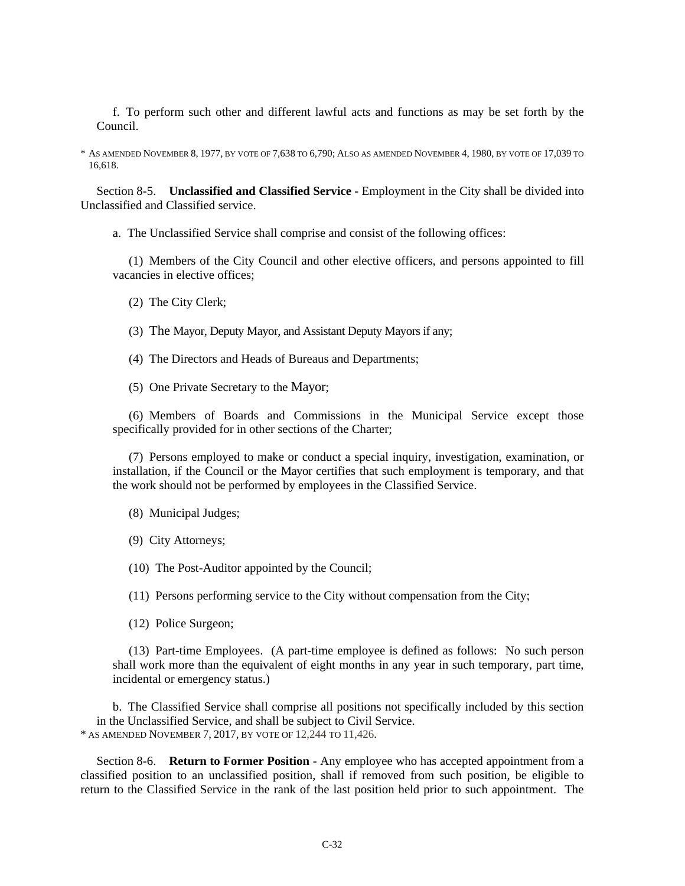f. To perform such other and different lawful acts and functions as may be set forth by the Council.

\* AS AMENDED NOVEMBER 8, 1977, BY VOTE OF 7,638 TO 6,790; ALSO AS AMENDED NOVEMBER 4, 1980, BY VOTE OF 17,039 TO 16,618.

Section 8-5. **Unclassified and Classified Service** - Employment in the City shall be divided into Unclassified and Classified service.

a. The Unclassified Service shall comprise and consist of the following offices:

(1) Members of the City Council and other elective officers, and persons appointed to fill vacancies in elective offices;

(2) The City Clerk;

(3) The Mayor, Deputy Mayor, and Assistant Deputy Mayors if any;

- (4) The Directors and Heads of Bureaus and Departments;
- (5) One Private Secretary to the Mayor;

(6) Members of Boards and Commissions in the Municipal Service except those specifically provided for in other sections of the Charter;

(7) Persons employed to make or conduct a special inquiry, investigation, examination, or installation, if the Council or the Mayor certifies that such employment is temporary, and that the work should not be performed by employees in the Classified Service.

- (8) Municipal Judges;
- (9) City Attorneys;

(10) The Post-Auditor appointed by the Council;

(11) Persons performing service to the City without compensation from the City;

(12) Police Surgeon;

(13) Part-time Employees. (A part-time employee is defined as follows: No such person shall work more than the equivalent of eight months in any year in such temporary, part time, incidental or emergency status.)

b. The Classified Service shall comprise all positions not specifically included by this section in the Unclassified Service, and shall be subject to Civil Service. \* AS AMENDED NOVEMBER 7, 2017, BY VOTE OF 12,244 TO 11,426.

Section 8-6. **Return to Former Position** - Any employee who has accepted appointment from a classified position to an unclassified position, shall if removed from such position, be eligible to return to the Classified Service in the rank of the last position held prior to such appointment. The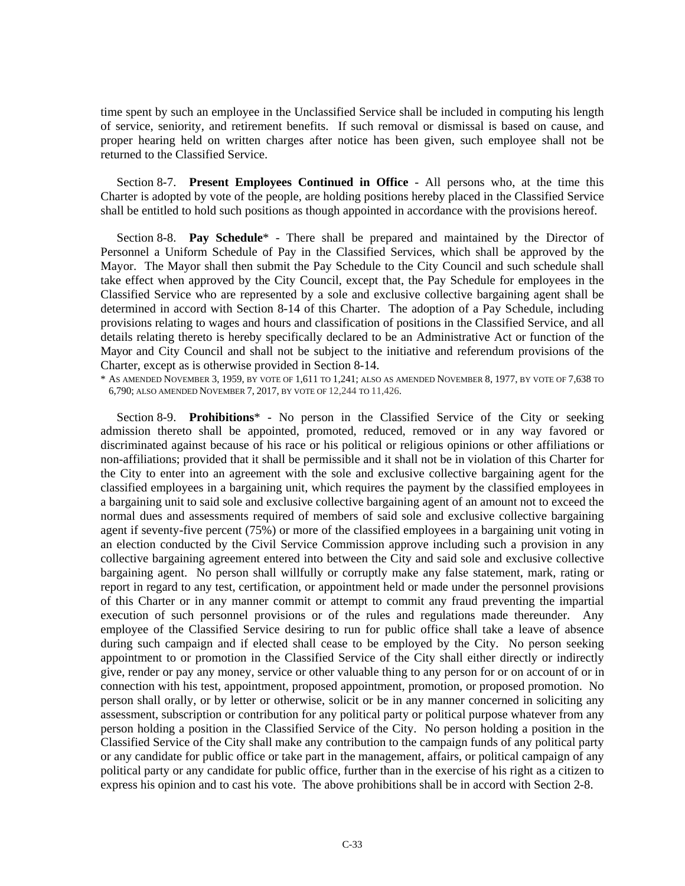time spent by such an employee in the Unclassified Service shall be included in computing his length of service, seniority, and retirement benefits. If such removal or dismissal is based on cause, and proper hearing held on written charges after notice has been given, such employee shall not be returned to the Classified Service.

Section 8-7. **Present Employees Continued in Office** - All persons who, at the time this Charter is adopted by vote of the people, are holding positions hereby placed in the Classified Service shall be entitled to hold such positions as though appointed in accordance with the provisions hereof.

Section 8-8. **Pay Schedule**\* - There shall be prepared and maintained by the Director of Personnel a Uniform Schedule of Pay in the Classified Services, which shall be approved by the Mayor. The Mayor shall then submit the Pay Schedule to the City Council and such schedule shall take effect when approved by the City Council, except that, the Pay Schedule for employees in the Classified Service who are represented by a sole and exclusive collective bargaining agent shall be determined in accord with Section 8-14 of this Charter. The adoption of a Pay Schedule, including provisions relating to wages and hours and classification of positions in the Classified Service, and all details relating thereto is hereby specifically declared to be an Administrative Act or function of the Mayor and City Council and shall not be subject to the initiative and referendum provisions of the Charter, except as is otherwise provided in Section 8-14.

\* AS AMENDED NOVEMBER 3, 1959, BY VOTE OF 1,611 TO 1,241; ALSO AS AMENDED NOVEMBER 8, 1977, BY VOTE OF 7,638 TO 6,790; ALSO AMENDED NOVEMBER 7, 2017, BY VOTE OF 12,244 TO 11,426.

Section 8-9. **Prohibitions**\* - No person in the Classified Service of the City or seeking admission thereto shall be appointed, promoted, reduced, removed or in any way favored or discriminated against because of his race or his political or religious opinions or other affiliations or non-affiliations; provided that it shall be permissible and it shall not be in violation of this Charter for the City to enter into an agreement with the sole and exclusive collective bargaining agent for the classified employees in a bargaining unit, which requires the payment by the classified employees in a bargaining unit to said sole and exclusive collective bargaining agent of an amount not to exceed the normal dues and assessments required of members of said sole and exclusive collective bargaining agent if seventy-five percent (75%) or more of the classified employees in a bargaining unit voting in an election conducted by the Civil Service Commission approve including such a provision in any collective bargaining agreement entered into between the City and said sole and exclusive collective bargaining agent. No person shall willfully or corruptly make any false statement, mark, rating or report in regard to any test, certification, or appointment held or made under the personnel provisions of this Charter or in any manner commit or attempt to commit any fraud preventing the impartial execution of such personnel provisions or of the rules and regulations made thereunder. Any employee of the Classified Service desiring to run for public office shall take a leave of absence during such campaign and if elected shall cease to be employed by the City. No person seeking appointment to or promotion in the Classified Service of the City shall either directly or indirectly give, render or pay any money, service or other valuable thing to any person for or on account of or in connection with his test, appointment, proposed appointment, promotion, or proposed promotion. No person shall orally, or by letter or otherwise, solicit or be in any manner concerned in soliciting any assessment, subscription or contribution for any political party or political purpose whatever from any person holding a position in the Classified Service of the City. No person holding a position in the Classified Service of the City shall make any contribution to the campaign funds of any political party or any candidate for public office or take part in the management, affairs, or political campaign of any political party or any candidate for public office, further than in the exercise of his right as a citizen to express his opinion and to cast his vote. The above prohibitions shall be in accord with Section 2-8.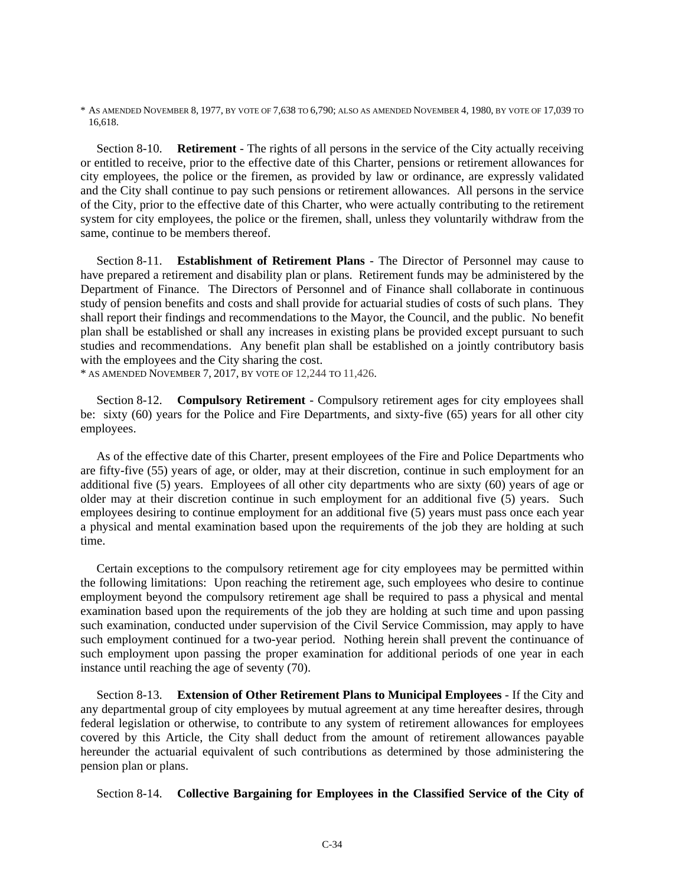\* AS AMENDED NOVEMBER 8, 1977, BY VOTE OF 7,638 TO 6,790; ALSO AS AMENDED NOVEMBER 4, 1980, BY VOTE OF 17,039 TO 16,618.

Section 8-10. **Retirement** - The rights of all persons in the service of the City actually receiving or entitled to receive, prior to the effective date of this Charter, pensions or retirement allowances for city employees, the police or the firemen, as provided by law or ordinance, are expressly validated and the City shall continue to pay such pensions or retirement allowances. All persons in the service of the City, prior to the effective date of this Charter, who were actually contributing to the retirement system for city employees, the police or the firemen, shall, unless they voluntarily withdraw from the same, continue to be members thereof.

Section 8-11. **Establishment of Retirement Plans** - The Director of Personnel may cause to have prepared a retirement and disability plan or plans. Retirement funds may be administered by the Department of Finance. The Directors of Personnel and of Finance shall collaborate in continuous study of pension benefits and costs and shall provide for actuarial studies of costs of such plans. They shall report their findings and recommendations to the Mayor, the Council, and the public. No benefit plan shall be established or shall any increases in existing plans be provided except pursuant to such studies and recommendations. Any benefit plan shall be established on a jointly contributory basis with the employees and the City sharing the cost.

\* AS AMENDED NOVEMBER 7, 2017, BY VOTE OF 12,244 TO 11,426.

Section 8-12. **Compulsory Retirement** - Compulsory retirement ages for city employees shall be: sixty (60) years for the Police and Fire Departments, and sixty-five (65) years for all other city employees.

As of the effective date of this Charter, present employees of the Fire and Police Departments who are fifty-five (55) years of age, or older, may at their discretion, continue in such employment for an additional five (5) years. Employees of all other city departments who are sixty (60) years of age or older may at their discretion continue in such employment for an additional five (5) years. Such employees desiring to continue employment for an additional five (5) years must pass once each year a physical and mental examination based upon the requirements of the job they are holding at such time.

Certain exceptions to the compulsory retirement age for city employees may be permitted within the following limitations: Upon reaching the retirement age, such employees who desire to continue employment beyond the compulsory retirement age shall be required to pass a physical and mental examination based upon the requirements of the job they are holding at such time and upon passing such examination, conducted under supervision of the Civil Service Commission, may apply to have such employment continued for a two-year period. Nothing herein shall prevent the continuance of such employment upon passing the proper examination for additional periods of one year in each instance until reaching the age of seventy (70).

Section 8-13. **Extension of Other Retirement Plans to Municipal Employees** - If the City and any departmental group of city employees by mutual agreement at any time hereafter desires, through federal legislation or otherwise, to contribute to any system of retirement allowances for employees covered by this Article, the City shall deduct from the amount of retirement allowances payable hereunder the actuarial equivalent of such contributions as determined by those administering the pension plan or plans.

Section 8-14. **Collective Bargaining for Employees in the Classified Service of the City of**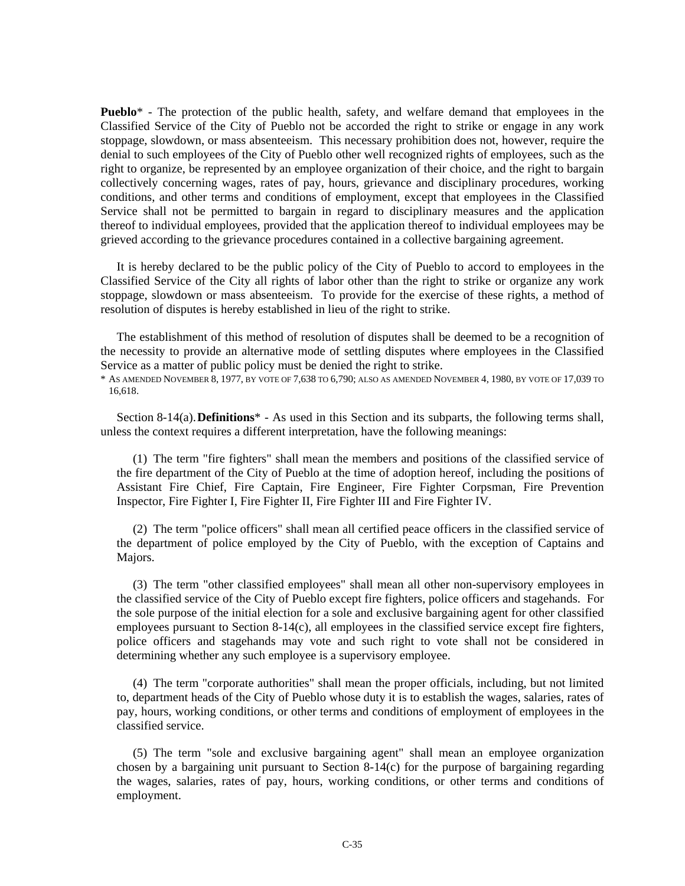**Pueblo**<sup>\*</sup> - The protection of the public health, safety, and welfare demand that employees in the Classified Service of the City of Pueblo not be accorded the right to strike or engage in any work stoppage, slowdown, or mass absenteeism. This necessary prohibition does not, however, require the denial to such employees of the City of Pueblo other well recognized rights of employees, such as the right to organize, be represented by an employee organization of their choice, and the right to bargain collectively concerning wages, rates of pay, hours, grievance and disciplinary procedures, working conditions, and other terms and conditions of employment, except that employees in the Classified Service shall not be permitted to bargain in regard to disciplinary measures and the application thereof to individual employees, provided that the application thereof to individual employees may be grieved according to the grievance procedures contained in a collective bargaining agreement.

It is hereby declared to be the public policy of the City of Pueblo to accord to employees in the Classified Service of the City all rights of labor other than the right to strike or organize any work stoppage, slowdown or mass absenteeism. To provide for the exercise of these rights, a method of resolution of disputes is hereby established in lieu of the right to strike.

The establishment of this method of resolution of disputes shall be deemed to be a recognition of the necessity to provide an alternative mode of settling disputes where employees in the Classified Service as a matter of public policy must be denied the right to strike.

\* AS AMENDED NOVEMBER 8, 1977, BY VOTE OF 7,638 TO 6,790; ALSO AS AMENDED NOVEMBER 4, 1980, BY VOTE OF 17,039 TO 16,618.

Section 8-14(a). **Definitions**\* - As used in this Section and its subparts, the following terms shall, unless the context requires a different interpretation, have the following meanings:

(1) The term "fire fighters" shall mean the members and positions of the classified service of the fire department of the City of Pueblo at the time of adoption hereof, including the positions of Assistant Fire Chief, Fire Captain, Fire Engineer, Fire Fighter Corpsman, Fire Prevention Inspector, Fire Fighter I, Fire Fighter II, Fire Fighter III and Fire Fighter IV.

(2) The term "police officers" shall mean all certified peace officers in the classified service of the department of police employed by the City of Pueblo, with the exception of Captains and Majors.

(3) The term "other classified employees" shall mean all other non-supervisory employees in the classified service of the City of Pueblo except fire fighters, police officers and stagehands. For the sole purpose of the initial election for a sole and exclusive bargaining agent for other classified employees pursuant to Section 8-14(c), all employees in the classified service except fire fighters, police officers and stagehands may vote and such right to vote shall not be considered in determining whether any such employee is a supervisory employee.

(4) The term "corporate authorities" shall mean the proper officials, including, but not limited to, department heads of the City of Pueblo whose duty it is to establish the wages, salaries, rates of pay, hours, working conditions, or other terms and conditions of employment of employees in the classified service.

(5) The term "sole and exclusive bargaining agent" shall mean an employee organization chosen by a bargaining unit pursuant to Section  $8-14(c)$  for the purpose of bargaining regarding the wages, salaries, rates of pay, hours, working conditions, or other terms and conditions of employment.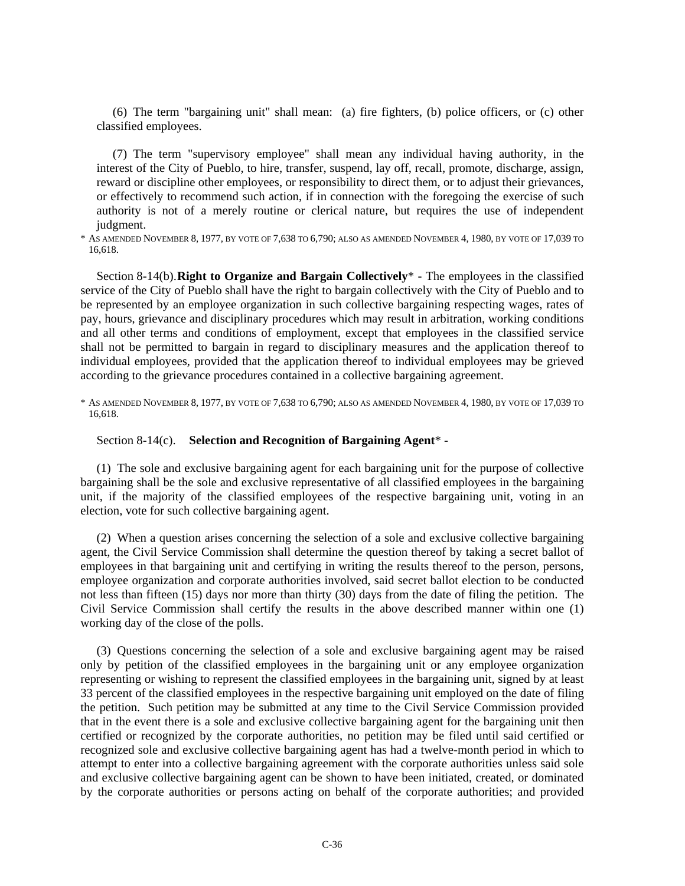(6) The term "bargaining unit" shall mean: (a) fire fighters, (b) police officers, or (c) other classified employees.

(7) The term "supervisory employee" shall mean any individual having authority, in the interest of the City of Pueblo, to hire, transfer, suspend, lay off, recall, promote, discharge, assign, reward or discipline other employees, or responsibility to direct them, or to adjust their grievances, or effectively to recommend such action, if in connection with the foregoing the exercise of such authority is not of a merely routine or clerical nature, but requires the use of independent judgment.

\* AS AMENDED NOVEMBER 8, 1977, BY VOTE OF 7,638 TO 6,790; ALSO AS AMENDED NOVEMBER 4, 1980, BY VOTE OF 17,039 TO 16,618.

Section 8-14(b). **Right to Organize and Bargain Collectively**\* - The employees in the classified service of the City of Pueblo shall have the right to bargain collectively with the City of Pueblo and to be represented by an employee organization in such collective bargaining respecting wages, rates of pay, hours, grievance and disciplinary procedures which may result in arbitration, working conditions and all other terms and conditions of employment, except that employees in the classified service shall not be permitted to bargain in regard to disciplinary measures and the application thereof to individual employees, provided that the application thereof to individual employees may be grieved according to the grievance procedures contained in a collective bargaining agreement.

\* AS AMENDED NOVEMBER 8, 1977, BY VOTE OF 7,638 TO 6,790; ALSO AS AMENDED NOVEMBER 4, 1980, BY VOTE OF 17,039 TO 16,618.

Section 8-14(c). **Selection and Recognition of Bargaining Agent**\* -

(1) The sole and exclusive bargaining agent for each bargaining unit for the purpose of collective bargaining shall be the sole and exclusive representative of all classified employees in the bargaining unit, if the majority of the classified employees of the respective bargaining unit, voting in an election, vote for such collective bargaining agent.

(2) When a question arises concerning the selection of a sole and exclusive collective bargaining agent, the Civil Service Commission shall determine the question thereof by taking a secret ballot of employees in that bargaining unit and certifying in writing the results thereof to the person, persons, employee organization and corporate authorities involved, said secret ballot election to be conducted not less than fifteen (15) days nor more than thirty (30) days from the date of filing the petition. The Civil Service Commission shall certify the results in the above described manner within one (1) working day of the close of the polls.

(3) Questions concerning the selection of a sole and exclusive bargaining agent may be raised only by petition of the classified employees in the bargaining unit or any employee organization representing or wishing to represent the classified employees in the bargaining unit, signed by at least 33 percent of the classified employees in the respective bargaining unit employed on the date of filing the petition. Such petition may be submitted at any time to the Civil Service Commission provided that in the event there is a sole and exclusive collective bargaining agent for the bargaining unit then certified or recognized by the corporate authorities, no petition may be filed until said certified or recognized sole and exclusive collective bargaining agent has had a twelve-month period in which to attempt to enter into a collective bargaining agreement with the corporate authorities unless said sole and exclusive collective bargaining agent can be shown to have been initiated, created, or dominated by the corporate authorities or persons acting on behalf of the corporate authorities; and provided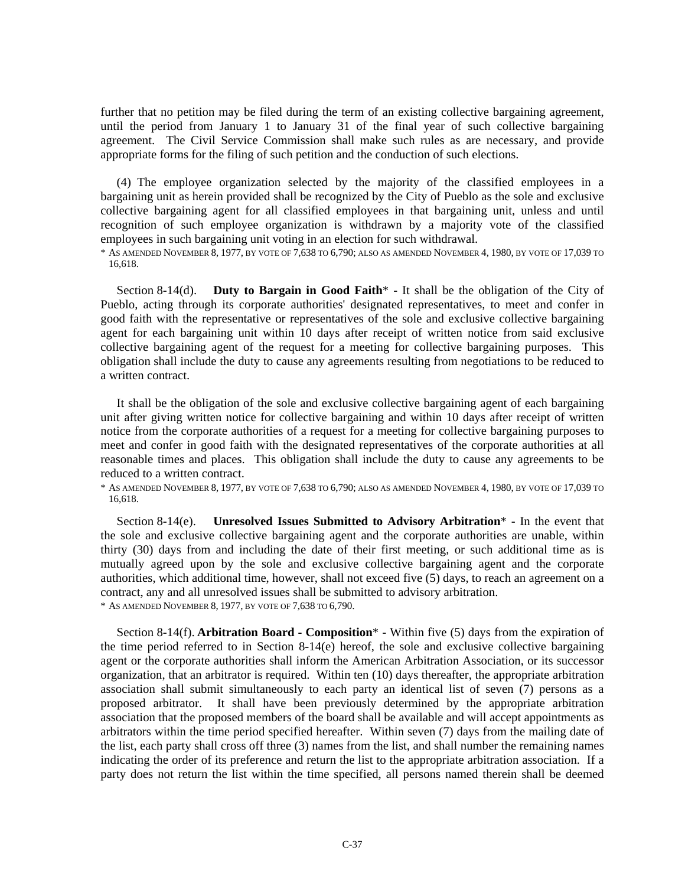further that no petition may be filed during the term of an existing collective bargaining agreement, until the period from January 1 to January 31 of the final year of such collective bargaining agreement. The Civil Service Commission shall make such rules as are necessary, and provide appropriate forms for the filing of such petition and the conduction of such elections.

(4) The employee organization selected by the majority of the classified employees in a bargaining unit as herein provided shall be recognized by the City of Pueblo as the sole and exclusive collective bargaining agent for all classified employees in that bargaining unit, unless and until recognition of such employee organization is withdrawn by a majority vote of the classified employees in such bargaining unit voting in an election for such withdrawal.

\* AS AMENDED NOVEMBER 8, 1977, BY VOTE OF 7,638 TO 6,790; ALSO AS AMENDED NOVEMBER 4, 1980, BY VOTE OF 17,039 TO 16,618.

Section 8-14(d). **Duty to Bargain in Good Faith**\* - It shall be the obligation of the City of Pueblo, acting through its corporate authorities' designated representatives, to meet and confer in good faith with the representative or representatives of the sole and exclusive collective bargaining agent for each bargaining unit within 10 days after receipt of written notice from said exclusive collective bargaining agent of the request for a meeting for collective bargaining purposes. This obligation shall include the duty to cause any agreements resulting from negotiations to be reduced to a written contract.

It shall be the obligation of the sole and exclusive collective bargaining agent of each bargaining unit after giving written notice for collective bargaining and within 10 days after receipt of written notice from the corporate authorities of a request for a meeting for collective bargaining purposes to meet and confer in good faith with the designated representatives of the corporate authorities at all reasonable times and places. This obligation shall include the duty to cause any agreements to be reduced to a written contract.

\* AS AMENDED NOVEMBER 8, 1977, BY VOTE OF 7,638 TO 6,790; ALSO AS AMENDED NOVEMBER 4, 1980, BY VOTE OF 17,039 TO 16,618.

Section 8-14(e). **Unresolved Issues Submitted to Advisory Arbitration**\* - In the event that the sole and exclusive collective bargaining agent and the corporate authorities are unable, within thirty (30) days from and including the date of their first meeting, or such additional time as is mutually agreed upon by the sole and exclusive collective bargaining agent and the corporate authorities, which additional time, however, shall not exceed five (5) days, to reach an agreement on a contract, any and all unresolved issues shall be submitted to advisory arbitration. \* AS AMENDED NOVEMBER 8, 1977, BY VOTE OF 7,638 TO 6,790.

Section 8-14(f). **Arbitration Board - Composition**\* - Within five (5) days from the expiration of the time period referred to in Section 8-14(e) hereof, the sole and exclusive collective bargaining agent or the corporate authorities shall inform the American Arbitration Association, or its successor organization, that an arbitrator is required. Within ten (10) days thereafter, the appropriate arbitration association shall submit simultaneously to each party an identical list of seven (7) persons as a proposed arbitrator. It shall have been previously determined by the appropriate arbitration association that the proposed members of the board shall be available and will accept appointments as arbitrators within the time period specified hereafter. Within seven (7) days from the mailing date of the list, each party shall cross off three (3) names from the list, and shall number the remaining names indicating the order of its preference and return the list to the appropriate arbitration association. If a party does not return the list within the time specified, all persons named therein shall be deemed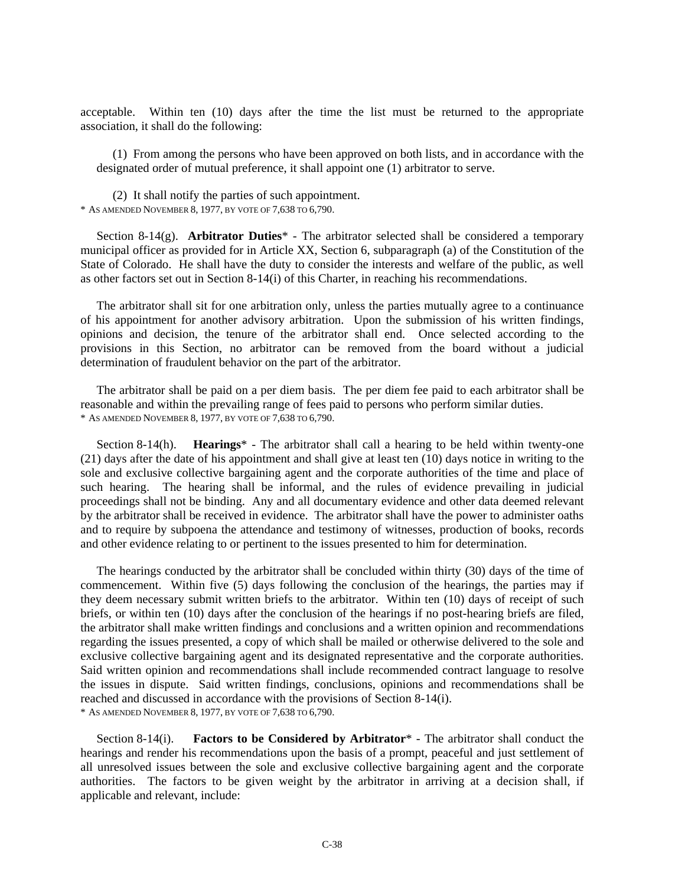acceptable. Within ten (10) days after the time the list must be returned to the appropriate association, it shall do the following:

(1) From among the persons who have been approved on both lists, and in accordance with the designated order of mutual preference, it shall appoint one (1) arbitrator to serve.

(2) It shall notify the parties of such appointment. \* AS AMENDED NOVEMBER 8, 1977, BY VOTE OF 7,638 TO 6,790.

Section 8-14(g). **Arbitrator Duties**\* - The arbitrator selected shall be considered a temporary municipal officer as provided for in Article XX, Section 6, subparagraph (a) of the Constitution of the State of Colorado. He shall have the duty to consider the interests and welfare of the public, as well as other factors set out in Section 8-14(i) of this Charter, in reaching his recommendations.

The arbitrator shall sit for one arbitration only, unless the parties mutually agree to a continuance of his appointment for another advisory arbitration. Upon the submission of his written findings, opinions and decision, the tenure of the arbitrator shall end. Once selected according to the provisions in this Section, no arbitrator can be removed from the board without a judicial determination of fraudulent behavior on the part of the arbitrator.

The arbitrator shall be paid on a per diem basis. The per diem fee paid to each arbitrator shall be reasonable and within the prevailing range of fees paid to persons who perform similar duties. \* AS AMENDED NOVEMBER 8, 1977, BY VOTE OF 7,638 TO 6,790.

Section 8-14(h). **Hearings**\* - The arbitrator shall call a hearing to be held within twenty-one (21) days after the date of his appointment and shall give at least ten (10) days notice in writing to the sole and exclusive collective bargaining agent and the corporate authorities of the time and place of such hearing. The hearing shall be informal, and the rules of evidence prevailing in judicial proceedings shall not be binding. Any and all documentary evidence and other data deemed relevant by the arbitrator shall be received in evidence. The arbitrator shall have the power to administer oaths and to require by subpoena the attendance and testimony of witnesses, production of books, records and other evidence relating to or pertinent to the issues presented to him for determination.

The hearings conducted by the arbitrator shall be concluded within thirty (30) days of the time of commencement. Within five (5) days following the conclusion of the hearings, the parties may if they deem necessary submit written briefs to the arbitrator. Within ten (10) days of receipt of such briefs, or within ten (10) days after the conclusion of the hearings if no post-hearing briefs are filed, the arbitrator shall make written findings and conclusions and a written opinion and recommendations regarding the issues presented, a copy of which shall be mailed or otherwise delivered to the sole and exclusive collective bargaining agent and its designated representative and the corporate authorities. Said written opinion and recommendations shall include recommended contract language to resolve the issues in dispute. Said written findings, conclusions, opinions and recommendations shall be reached and discussed in accordance with the provisions of Section 8-14(i). \* AS AMENDED NOVEMBER 8, 1977, BY VOTE OF 7,638 TO 6,790.

Section 8-14(i). **Factors to be Considered by Arbitrator**\* - The arbitrator shall conduct the hearings and render his recommendations upon the basis of a prompt, peaceful and just settlement of all unresolved issues between the sole and exclusive collective bargaining agent and the corporate authorities. The factors to be given weight by the arbitrator in arriving at a decision shall, if applicable and relevant, include: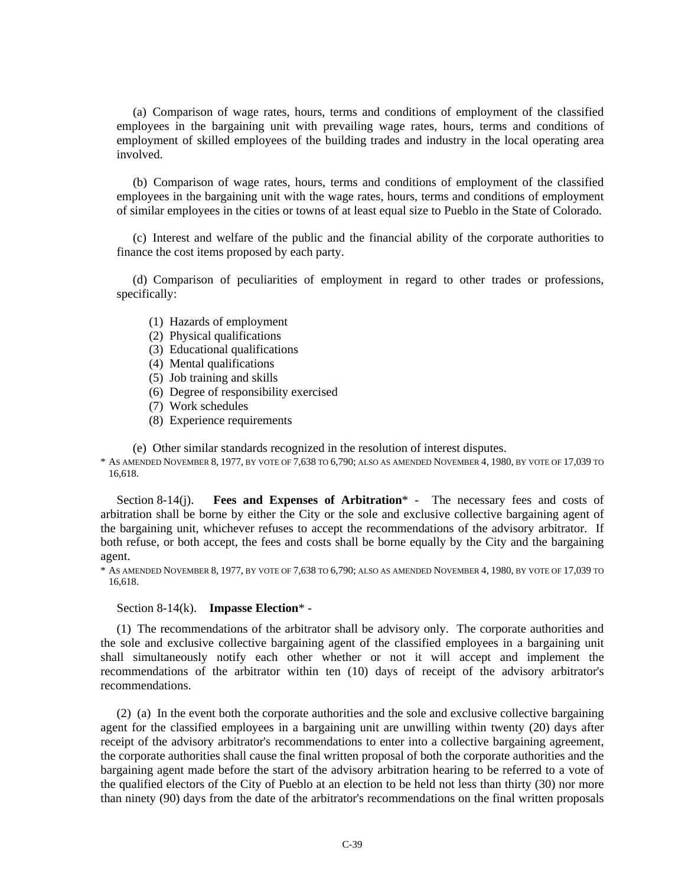(a) Comparison of wage rates, hours, terms and conditions of employment of the classified employees in the bargaining unit with prevailing wage rates, hours, terms and conditions of employment of skilled employees of the building trades and industry in the local operating area involved.

(b) Comparison of wage rates, hours, terms and conditions of employment of the classified employees in the bargaining unit with the wage rates, hours, terms and conditions of employment of similar employees in the cities or towns of at least equal size to Pueblo in the State of Colorado.

(c) Interest and welfare of the public and the financial ability of the corporate authorities to finance the cost items proposed by each party.

(d) Comparison of peculiarities of employment in regard to other trades or professions, specifically:

- (1) Hazards of employment
- (2) Physical qualifications
- (3) Educational qualifications
- (4) Mental qualifications
- (5) Job training and skills
- (6) Degree of responsibility exercised
- (7) Work schedules
- (8) Experience requirements

(e) Other similar standards recognized in the resolution of interest disputes.

\* AS AMENDED NOVEMBER 8, 1977, BY VOTE OF 7,638 TO 6,790; ALSO AS AMENDED NOVEMBER 4, 1980, BY VOTE OF 17,039 TO 16,618.

Section 8-14(j). **Fees and Expenses of Arbitration**\* - The necessary fees and costs of arbitration shall be borne by either the City or the sole and exclusive collective bargaining agent of the bargaining unit, whichever refuses to accept the recommendations of the advisory arbitrator. If both refuse, or both accept, the fees and costs shall be borne equally by the City and the bargaining agent.

\* AS AMENDED NOVEMBER 8, 1977, BY VOTE OF 7,638 TO 6,790; ALSO AS AMENDED NOVEMBER 4, 1980, BY VOTE OF 17,039 TO 16,618.

#### Section 8-14(k). **Impasse Election**\* -

(1) The recommendations of the arbitrator shall be advisory only. The corporate authorities and the sole and exclusive collective bargaining agent of the classified employees in a bargaining unit shall simultaneously notify each other whether or not it will accept and implement the recommendations of the arbitrator within ten (10) days of receipt of the advisory arbitrator's recommendations.

(2) (a) In the event both the corporate authorities and the sole and exclusive collective bargaining agent for the classified employees in a bargaining unit are unwilling within twenty (20) days after receipt of the advisory arbitrator's recommendations to enter into a collective bargaining agreement, the corporate authorities shall cause the final written proposal of both the corporate authorities and the bargaining agent made before the start of the advisory arbitration hearing to be referred to a vote of the qualified electors of the City of Pueblo at an election to be held not less than thirty (30) nor more than ninety (90) days from the date of the arbitrator's recommendations on the final written proposals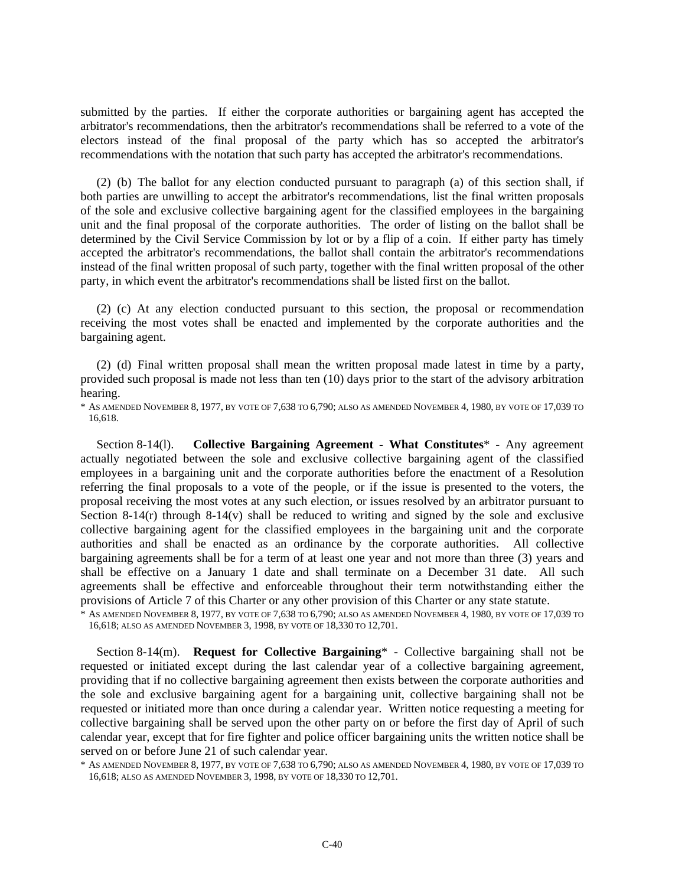submitted by the parties. If either the corporate authorities or bargaining agent has accepted the arbitrator's recommendations, then the arbitrator's recommendations shall be referred to a vote of the electors instead of the final proposal of the party which has so accepted the arbitrator's recommendations with the notation that such party has accepted the arbitrator's recommendations.

(2) (b) The ballot for any election conducted pursuant to paragraph (a) of this section shall, if both parties are unwilling to accept the arbitrator's recommendations, list the final written proposals of the sole and exclusive collective bargaining agent for the classified employees in the bargaining unit and the final proposal of the corporate authorities. The order of listing on the ballot shall be determined by the Civil Service Commission by lot or by a flip of a coin. If either party has timely accepted the arbitrator's recommendations, the ballot shall contain the arbitrator's recommendations instead of the final written proposal of such party, together with the final written proposal of the other party, in which event the arbitrator's recommendations shall be listed first on the ballot.

(2) (c) At any election conducted pursuant to this section, the proposal or recommendation receiving the most votes shall be enacted and implemented by the corporate authorities and the bargaining agent.

(2) (d) Final written proposal shall mean the written proposal made latest in time by a party, provided such proposal is made not less than ten (10) days prior to the start of the advisory arbitration hearing.

\* AS AMENDED NOVEMBER 8, 1977, BY VOTE OF 7,638 TO 6,790; ALSO AS AMENDED NOVEMBER 4, 1980, BY VOTE OF 17,039 TO 16,618.

Section 8-14(l). **Collective Bargaining Agreement - What Constitutes**\* - Any agreement actually negotiated between the sole and exclusive collective bargaining agent of the classified employees in a bargaining unit and the corporate authorities before the enactment of a Resolution referring the final proposals to a vote of the people, or if the issue is presented to the voters, the proposal receiving the most votes at any such election, or issues resolved by an arbitrator pursuant to Section 8-14(r) through 8-14(v) shall be reduced to writing and signed by the sole and exclusive collective bargaining agent for the classified employees in the bargaining unit and the corporate authorities and shall be enacted as an ordinance by the corporate authorities. All collective bargaining agreements shall be for a term of at least one year and not more than three (3) years and shall be effective on a January 1 date and shall terminate on a December 31 date. All such agreements shall be effective and enforceable throughout their term notwithstanding either the provisions of Article 7 of this Charter or any other provision of this Charter or any state statute.

\* AS AMENDED NOVEMBER 8, 1977, BY VOTE OF 7,638 TO 6,790; ALSO AS AMENDED NOVEMBER 4, 1980, BY VOTE OF 17,039 TO 16,618; ALSO AS AMENDED NOVEMBER 3, 1998, BY VOTE OF 18,330 TO 12,701.

Section 8-14(m). **Request for Collective Bargaining**\* - Collective bargaining shall not be requested or initiated except during the last calendar year of a collective bargaining agreement, providing that if no collective bargaining agreement then exists between the corporate authorities and the sole and exclusive bargaining agent for a bargaining unit, collective bargaining shall not be requested or initiated more than once during a calendar year. Written notice requesting a meeting for collective bargaining shall be served upon the other party on or before the first day of April of such calendar year, except that for fire fighter and police officer bargaining units the written notice shall be served on or before June 21 of such calendar year.

<sup>\*</sup> AS AMENDED NOVEMBER 8, 1977, BY VOTE OF 7,638 TO 6,790; ALSO AS AMENDED NOVEMBER 4, 1980, BY VOTE OF 17,039 TO 16,618; ALSO AS AMENDED NOVEMBER 3, 1998, BY VOTE OF 18,330 TO 12,701.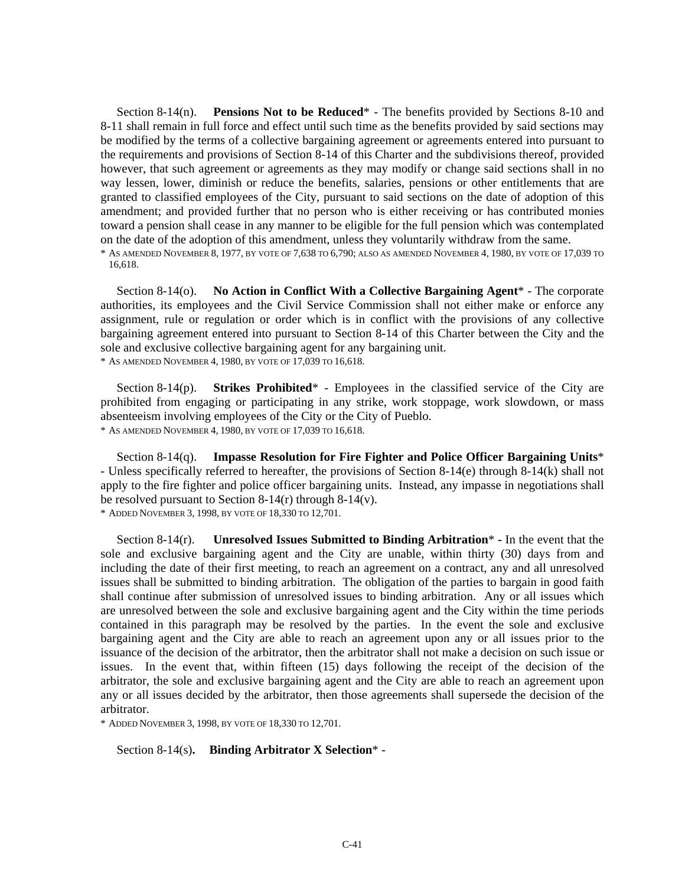Section 8-14(n). **Pensions Not to be Reduced**\* - The benefits provided by Sections 8-10 and 8-11 shall remain in full force and effect until such time as the benefits provided by said sections may be modified by the terms of a collective bargaining agreement or agreements entered into pursuant to the requirements and provisions of Section 8-14 of this Charter and the subdivisions thereof, provided however, that such agreement or agreements as they may modify or change said sections shall in no way lessen, lower, diminish or reduce the benefits, salaries, pensions or other entitlements that are granted to classified employees of the City, pursuant to said sections on the date of adoption of this amendment; and provided further that no person who is either receiving or has contributed monies toward a pension shall cease in any manner to be eligible for the full pension which was contemplated on the date of the adoption of this amendment, unless they voluntarily withdraw from the same.

\* AS AMENDED NOVEMBER 8, 1977, BY VOTE OF 7,638 TO 6,790; ALSO AS AMENDED NOVEMBER 4, 1980, BY VOTE OF 17,039 TO 16,618.

Section 8-14(o). **No Action in Conflict With a Collective Bargaining Agent**\* - The corporate authorities, its employees and the Civil Service Commission shall not either make or enforce any assignment, rule or regulation or order which is in conflict with the provisions of any collective bargaining agreement entered into pursuant to Section 8-14 of this Charter between the City and the sole and exclusive collective bargaining agent for any bargaining unit. \* AS AMENDED NOVEMBER 4, 1980, BY VOTE OF 17,039 TO 16,618.

Section 8-14(p). **Strikes Prohibited**\* - Employees in the classified service of the City are prohibited from engaging or participating in any strike, work stoppage, work slowdown, or mass absenteeism involving employees of the City or the City of Pueblo. \* AS AMENDED NOVEMBER 4, 1980, BY VOTE OF 17,039 TO 16,618.

Section 8-14(q). **Impasse Resolution for Fire Fighter and Police Officer Bargaining Units**\* - Unless specifically referred to hereafter, the provisions of Section 8-14(e) through 8-14(k) shall not apply to the fire fighter and police officer bargaining units. Instead, any impasse in negotiations shall be resolved pursuant to Section 8-14(r) through 8-14(v). \* ADDED NOVEMBER 3, 1998, BY VOTE OF 18,330 TO 12,701.

Section 8-14(r). **Unresolved Issues Submitted to Binding Arbitration**\* **-** In the event that the sole and exclusive bargaining agent and the City are unable, within thirty (30) days from and including the date of their first meeting, to reach an agreement on a contract, any and all unresolved issues shall be submitted to binding arbitration. The obligation of the parties to bargain in good faith shall continue after submission of unresolved issues to binding arbitration. Any or all issues which are unresolved between the sole and exclusive bargaining agent and the City within the time periods contained in this paragraph may be resolved by the parties. In the event the sole and exclusive bargaining agent and the City are able to reach an agreement upon any or all issues prior to the issuance of the decision of the arbitrator, then the arbitrator shall not make a decision on such issue or issues. In the event that, within fifteen (15) days following the receipt of the decision of the arbitrator, the sole and exclusive bargaining agent and the City are able to reach an agreement upon any or all issues decided by the arbitrator, then those agreements shall supersede the decision of the arbitrator.

\* ADDED NOVEMBER 3, 1998, BY VOTE OF 18,330 TO 12,701.

Section 8-14(s)**. Binding Arbitrator X Selection**\* -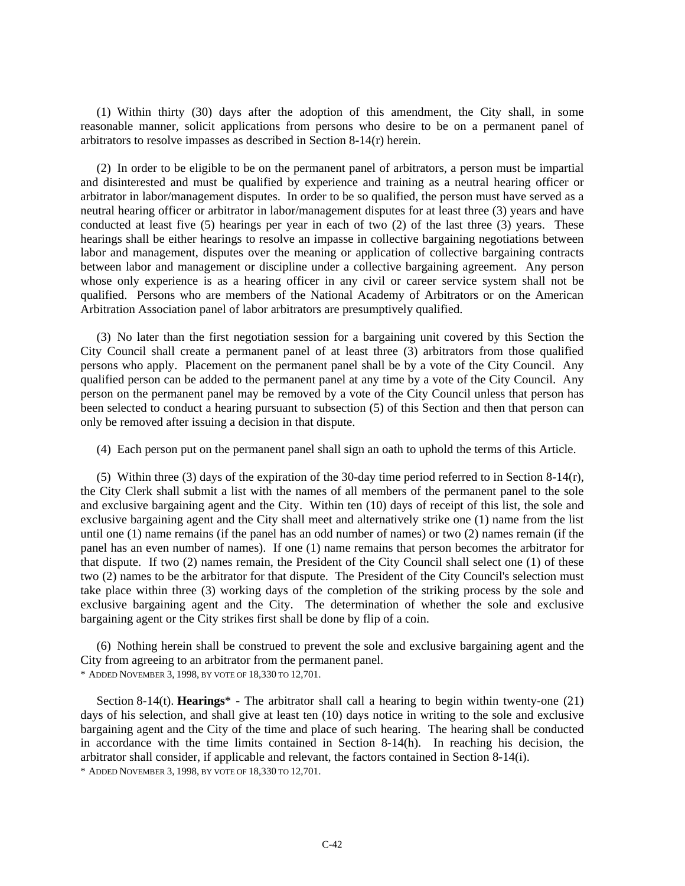(1) Within thirty (30) days after the adoption of this amendment, the City shall, in some reasonable manner, solicit applications from persons who desire to be on a permanent panel of arbitrators to resolve impasses as described in Section 8-14(r) herein.

(2) In order to be eligible to be on the permanent panel of arbitrators, a person must be impartial and disinterested and must be qualified by experience and training as a neutral hearing officer or arbitrator in labor/management disputes. In order to be so qualified, the person must have served as a neutral hearing officer or arbitrator in labor/management disputes for at least three (3) years and have conducted at least five (5) hearings per year in each of two (2) of the last three (3) years. These hearings shall be either hearings to resolve an impasse in collective bargaining negotiations between labor and management, disputes over the meaning or application of collective bargaining contracts between labor and management or discipline under a collective bargaining agreement. Any person whose only experience is as a hearing officer in any civil or career service system shall not be qualified. Persons who are members of the National Academy of Arbitrators or on the American Arbitration Association panel of labor arbitrators are presumptively qualified.

(3) No later than the first negotiation session for a bargaining unit covered by this Section the City Council shall create a permanent panel of at least three (3) arbitrators from those qualified persons who apply. Placement on the permanent panel shall be by a vote of the City Council. Any qualified person can be added to the permanent panel at any time by a vote of the City Council. Any person on the permanent panel may be removed by a vote of the City Council unless that person has been selected to conduct a hearing pursuant to subsection (5) of this Section and then that person can only be removed after issuing a decision in that dispute.

(4) Each person put on the permanent panel shall sign an oath to uphold the terms of this Article.

(5) Within three (3) days of the expiration of the 30-day time period referred to in Section 8-14(r), the City Clerk shall submit a list with the names of all members of the permanent panel to the sole and exclusive bargaining agent and the City. Within ten (10) days of receipt of this list, the sole and exclusive bargaining agent and the City shall meet and alternatively strike one (1) name from the list until one (1) name remains (if the panel has an odd number of names) or two (2) names remain (if the panel has an even number of names). If one (1) name remains that person becomes the arbitrator for that dispute. If two (2) names remain, the President of the City Council shall select one (1) of these two (2) names to be the arbitrator for that dispute. The President of the City Council's selection must take place within three (3) working days of the completion of the striking process by the sole and exclusive bargaining agent and the City. The determination of whether the sole and exclusive bargaining agent or the City strikes first shall be done by flip of a coin.

(6) Nothing herein shall be construed to prevent the sole and exclusive bargaining agent and the City from agreeing to an arbitrator from the permanent panel. \* ADDED NOVEMBER 3, 1998, BY VOTE OF 18,330 TO 12,701.

Section 8-14(t). **Hearings**\* **-** The arbitrator shall call a hearing to begin within twenty-one (21) days of his selection, and shall give at least ten (10) days notice in writing to the sole and exclusive bargaining agent and the City of the time and place of such hearing. The hearing shall be conducted in accordance with the time limits contained in Section  $8-14(h)$ . In reaching his decision, the arbitrator shall consider, if applicable and relevant, the factors contained in Section 8-14(i). \* ADDED NOVEMBER 3, 1998, BY VOTE OF 18,330 TO 12,701.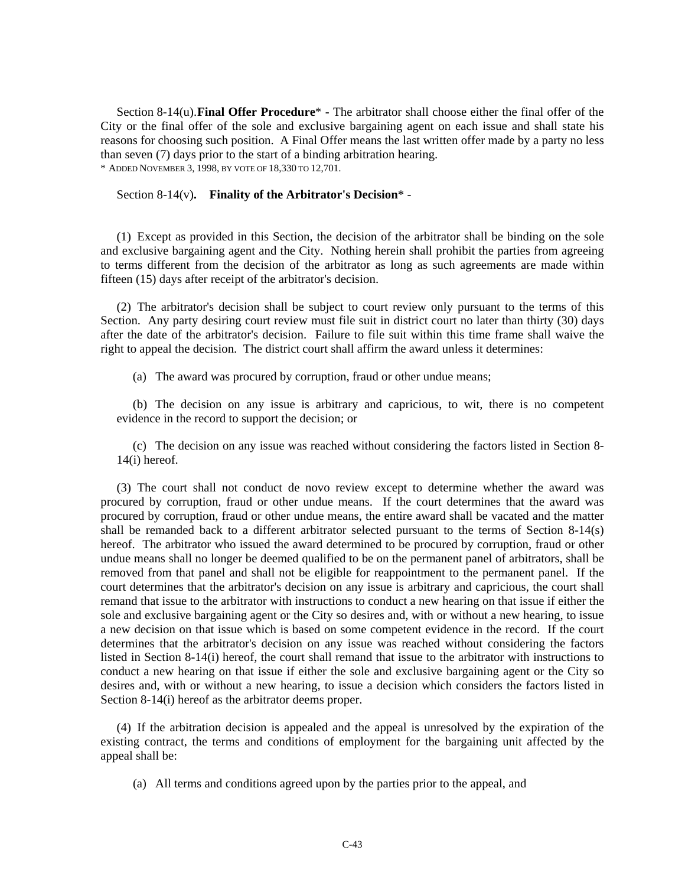Section 8-14(u). **Final Offer Procedure**\* **-** The arbitrator shall choose either the final offer of the City or the final offer of the sole and exclusive bargaining agent on each issue and shall state his reasons for choosing such position. A Final Offer means the last written offer made by a party no less than seven (7) days prior to the start of a binding arbitration hearing. \* ADDED NOVEMBER 3, 1998, BY VOTE OF 18,330 TO 12,701.

#### Section 8-14(v)**. Finality of the Arbitrator's Decision**\* -

(1) Except as provided in this Section, the decision of the arbitrator shall be binding on the sole and exclusive bargaining agent and the City. Nothing herein shall prohibit the parties from agreeing to terms different from the decision of the arbitrator as long as such agreements are made within fifteen (15) days after receipt of the arbitrator's decision.

(2) The arbitrator's decision shall be subject to court review only pursuant to the terms of this Section. Any party desiring court review must file suit in district court no later than thirty (30) days after the date of the arbitrator's decision. Failure to file suit within this time frame shall waive the right to appeal the decision. The district court shall affirm the award unless it determines:

(a) The award was procured by corruption, fraud or other undue means;

(b) The decision on any issue is arbitrary and capricious, to wit, there is no competent evidence in the record to support the decision; or

(c) The decision on any issue was reached without considering the factors listed in Section 8- 14(i) hereof.

(3) The court shall not conduct de novo review except to determine whether the award was procured by corruption, fraud or other undue means. If the court determines that the award was procured by corruption, fraud or other undue means, the entire award shall be vacated and the matter shall be remanded back to a different arbitrator selected pursuant to the terms of Section 8-14(s) hereof. The arbitrator who issued the award determined to be procured by corruption, fraud or other undue means shall no longer be deemed qualified to be on the permanent panel of arbitrators, shall be removed from that panel and shall not be eligible for reappointment to the permanent panel. If the court determines that the arbitrator's decision on any issue is arbitrary and capricious, the court shall remand that issue to the arbitrator with instructions to conduct a new hearing on that issue if either the sole and exclusive bargaining agent or the City so desires and, with or without a new hearing, to issue a new decision on that issue which is based on some competent evidence in the record. If the court determines that the arbitrator's decision on any issue was reached without considering the factors listed in Section 8-14(i) hereof, the court shall remand that issue to the arbitrator with instructions to conduct a new hearing on that issue if either the sole and exclusive bargaining agent or the City so desires and, with or without a new hearing, to issue a decision which considers the factors listed in Section 8-14(i) hereof as the arbitrator deems proper.

(4) If the arbitration decision is appealed and the appeal is unresolved by the expiration of the existing contract, the terms and conditions of employment for the bargaining unit affected by the appeal shall be:

(a) All terms and conditions agreed upon by the parties prior to the appeal, and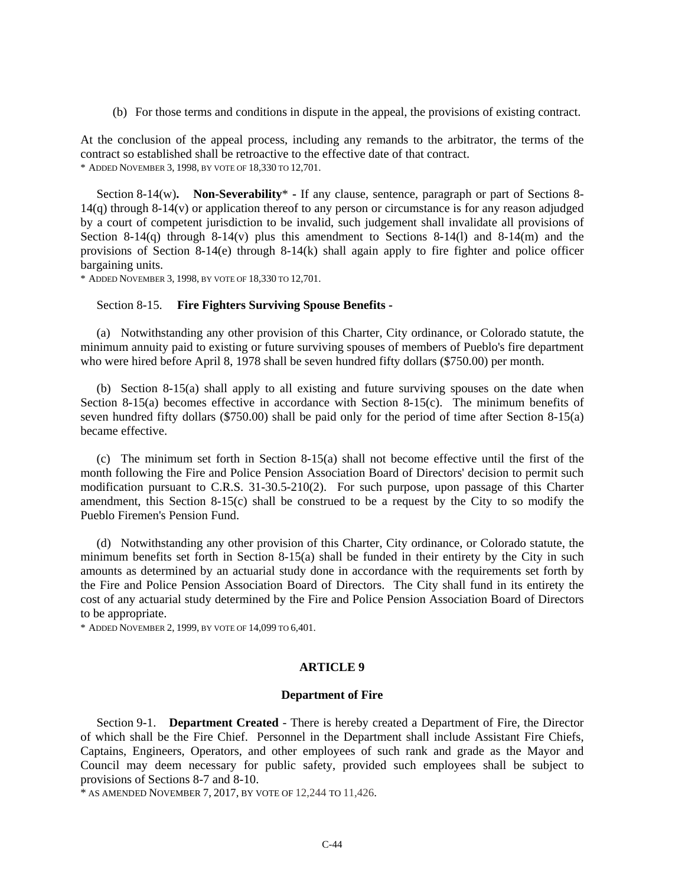(b) For those terms and conditions in dispute in the appeal, the provisions of existing contract.

At the conclusion of the appeal process, including any remands to the arbitrator, the terms of the contract so established shall be retroactive to the effective date of that contract. \* ADDED NOVEMBER 3, 1998, BY VOTE OF 18,330 TO 12,701.

Section 8-14(w). Non-Severability<sup>\*</sup> - If any clause, sentence, paragraph or part of Sections 8-14(q) through 8-14(v) or application thereof to any person or circumstance is for any reason adjudged by a court of competent jurisdiction to be invalid, such judgement shall invalidate all provisions of Section 8-14(q) through 8-14(v) plus this amendment to Sections 8-14(l) and 8-14(m) and the provisions of Section 8-14(e) through 8-14(k) shall again apply to fire fighter and police officer bargaining units.

\* ADDED NOVEMBER 3, 1998, BY VOTE OF 18,330 TO 12,701.

#### Section 8-15. **Fire Fighters Surviving Spouse Benefits -**

(a) Notwithstanding any other provision of this Charter, City ordinance, or Colorado statute, the minimum annuity paid to existing or future surviving spouses of members of Pueblo's fire department who were hired before April 8, 1978 shall be seven hundred fifty dollars (\$750.00) per month.

(b) Section 8-15(a) shall apply to all existing and future surviving spouses on the date when Section 8-15(a) becomes effective in accordance with Section 8-15(c). The minimum benefits of seven hundred fifty dollars (\$750.00) shall be paid only for the period of time after Section 8-15(a) became effective.

(c) The minimum set forth in Section 8-15(a) shall not become effective until the first of the month following the Fire and Police Pension Association Board of Directors' decision to permit such modification pursuant to C.R.S. 31-30.5-210(2). For such purpose, upon passage of this Charter amendment, this Section 8-15(c) shall be construed to be a request by the City to so modify the Pueblo Firemen's Pension Fund.

(d) Notwithstanding any other provision of this Charter, City ordinance, or Colorado statute, the minimum benefits set forth in Section  $8-15(a)$  shall be funded in their entirety by the City in such amounts as determined by an actuarial study done in accordance with the requirements set forth by the Fire and Police Pension Association Board of Directors. The City shall fund in its entirety the cost of any actuarial study determined by the Fire and Police Pension Association Board of Directors to be appropriate.

\* ADDED NOVEMBER 2, 1999, BY VOTE OF 14,099 TO 6,401.

#### **ARTICLE 9**

#### **Department of Fire**

Section 9-1. **Department Created** - There is hereby created a Department of Fire, the Director of which shall be the Fire Chief. Personnel in the Department shall include Assistant Fire Chiefs, Captains, Engineers, Operators, and other employees of such rank and grade as the Mayor and Council may deem necessary for public safety, provided such employees shall be subject to provisions of Sections 8-7 and 8-10.

\* AS AMENDED NOVEMBER 7, 2017, BY VOTE OF 12,244 TO 11,426.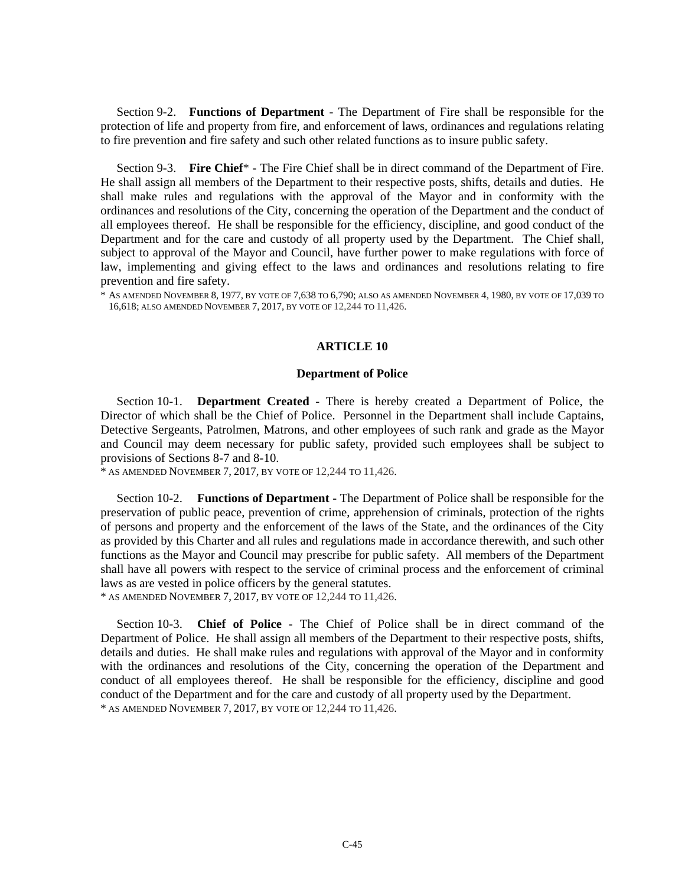Section 9-2. **Functions of Department** - The Department of Fire shall be responsible for the protection of life and property from fire, and enforcement of laws, ordinances and regulations relating to fire prevention and fire safety and such other related functions as to insure public safety.

Section 9-3. **Fire Chief**\* - The Fire Chief shall be in direct command of the Department of Fire. He shall assign all members of the Department to their respective posts, shifts, details and duties. He shall make rules and regulations with the approval of the Mayor and in conformity with the ordinances and resolutions of the City, concerning the operation of the Department and the conduct of all employees thereof. He shall be responsible for the efficiency, discipline, and good conduct of the Department and for the care and custody of all property used by the Department. The Chief shall, subject to approval of the Mayor and Council, have further power to make regulations with force of law, implementing and giving effect to the laws and ordinances and resolutions relating to fire prevention and fire safety.

 $^*$  As amended November 8, 1977, by vote of 7,638 to 6,790; also as amended November 4, 1980, by vote of 17,039 to 16,618; ALSO AMENDED NOVEMBER 7, 2017, BY VOTE OF 12,244 TO 11,426.

#### **ARTICLE 10**

#### **Department of Police**

Section 10-1. **Department Created** - There is hereby created a Department of Police, the Director of which shall be the Chief of Police. Personnel in the Department shall include Captains, Detective Sergeants, Patrolmen, Matrons, and other employees of such rank and grade as the Mayor and Council may deem necessary for public safety, provided such employees shall be subject to provisions of Sections 8-7 and 8-10.

 $*$  AS AMENDED NOVEMBER 7, 2017, BY VOTE OF 12,244 TO 11,426.

Section 10-2. **Functions of Department** - The Department of Police shall be responsible for the preservation of public peace, prevention of crime, apprehension of criminals, protection of the rights of persons and property and the enforcement of the laws of the State, and the ordinances of the City as provided by this Charter and all rules and regulations made in accordance therewith, and such other functions as the Mayor and Council may prescribe for public safety. All members of the Department shall have all powers with respect to the service of criminal process and the enforcement of criminal laws as are vested in police officers by the general statutes.

\* AS AMENDED NOVEMBER 7, 2017, BY VOTE OF 12,244 TO 11,426.

Section 10-3. **Chief of Police** - The Chief of Police shall be in direct command of the Department of Police. He shall assign all members of the Department to their respective posts, shifts, details and duties. He shall make rules and regulations with approval of the Mayor and in conformity with the ordinances and resolutions of the City, concerning the operation of the Department and conduct of all employees thereof. He shall be responsible for the efficiency, discipline and good conduct of the Department and for the care and custody of all property used by the Department. \* AS AMENDED NOVEMBER 7, 2017, BY VOTE OF 12,244 TO 11,426.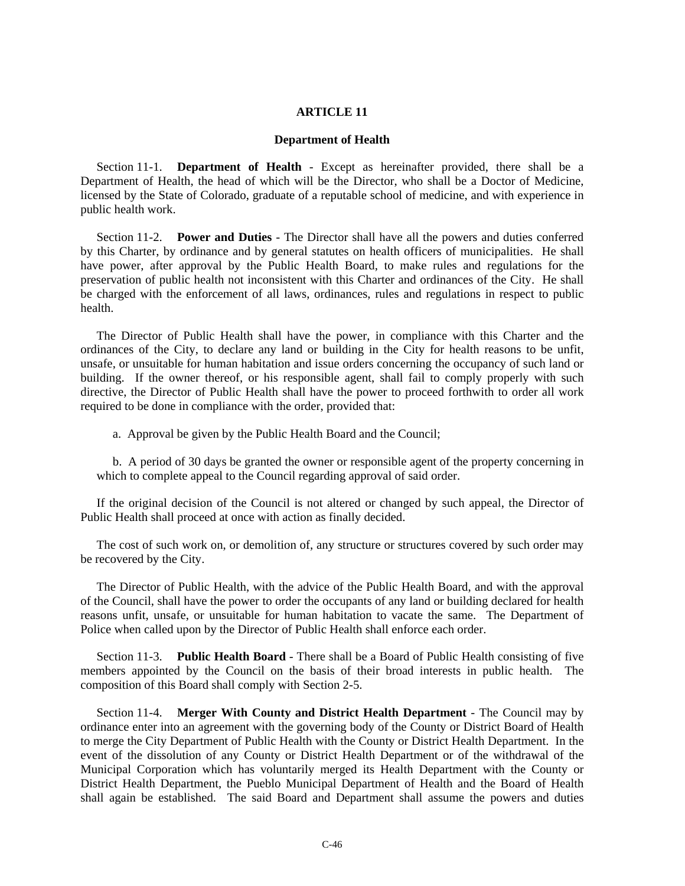#### **ARTICLE 11**

#### **Department of Health**

Section 11-1. **Department of Health** - Except as hereinafter provided, there shall be a Department of Health, the head of which will be the Director, who shall be a Doctor of Medicine, licensed by the State of Colorado, graduate of a reputable school of medicine, and with experience in public health work.

Section 11-2. **Power and Duties** - The Director shall have all the powers and duties conferred by this Charter, by ordinance and by general statutes on health officers of municipalities. He shall have power, after approval by the Public Health Board, to make rules and regulations for the preservation of public health not inconsistent with this Charter and ordinances of the City. He shall be charged with the enforcement of all laws, ordinances, rules and regulations in respect to public health.

The Director of Public Health shall have the power, in compliance with this Charter and the ordinances of the City, to declare any land or building in the City for health reasons to be unfit, unsafe, or unsuitable for human habitation and issue orders concerning the occupancy of such land or building. If the owner thereof, or his responsible agent, shall fail to comply properly with such directive, the Director of Public Health shall have the power to proceed forthwith to order all work required to be done in compliance with the order, provided that:

a. Approval be given by the Public Health Board and the Council;

b. A period of 30 days be granted the owner or responsible agent of the property concerning in which to complete appeal to the Council regarding approval of said order.

If the original decision of the Council is not altered or changed by such appeal, the Director of Public Health shall proceed at once with action as finally decided.

The cost of such work on, or demolition of, any structure or structures covered by such order may be recovered by the City.

The Director of Public Health, with the advice of the Public Health Board, and with the approval of the Council, shall have the power to order the occupants of any land or building declared for health reasons unfit, unsafe, or unsuitable for human habitation to vacate the same. The Department of Police when called upon by the Director of Public Health shall enforce each order.

Section 11-3. **Public Health Board** - There shall be a Board of Public Health consisting of five members appointed by the Council on the basis of their broad interests in public health. The composition of this Board shall comply with Section 2-5.

Section 11-4. **Merger With County and District Health Department** - The Council may by ordinance enter into an agreement with the governing body of the County or District Board of Health to merge the City Department of Public Health with the County or District Health Department. In the event of the dissolution of any County or District Health Department or of the withdrawal of the Municipal Corporation which has voluntarily merged its Health Department with the County or District Health Department, the Pueblo Municipal Department of Health and the Board of Health shall again be established. The said Board and Department shall assume the powers and duties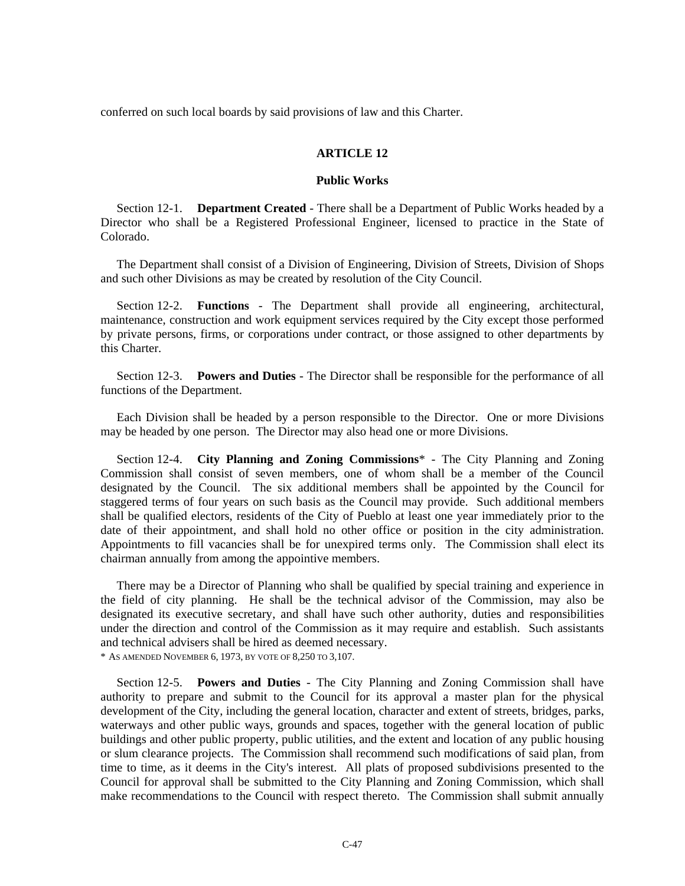conferred on such local boards by said provisions of law and this Charter.

#### **ARTICLE 12**

#### **Public Works**

Section 12-1. **Department Created** - There shall be a Department of Public Works headed by a Director who shall be a Registered Professional Engineer, licensed to practice in the State of Colorado.

The Department shall consist of a Division of Engineering, Division of Streets, Division of Shops and such other Divisions as may be created by resolution of the City Council.

Section 12-2. **Functions** - The Department shall provide all engineering, architectural, maintenance, construction and work equipment services required by the City except those performed by private persons, firms, or corporations under contract, or those assigned to other departments by this Charter.

Section 12-3. **Powers and Duties** - The Director shall be responsible for the performance of all functions of the Department.

Each Division shall be headed by a person responsible to the Director. One or more Divisions may be headed by one person. The Director may also head one or more Divisions.

Section 12-4. **City Planning and Zoning Commissions**\* - The City Planning and Zoning Commission shall consist of seven members, one of whom shall be a member of the Council designated by the Council. The six additional members shall be appointed by the Council for staggered terms of four years on such basis as the Council may provide. Such additional members shall be qualified electors, residents of the City of Pueblo at least one year immediately prior to the date of their appointment, and shall hold no other office or position in the city administration. Appointments to fill vacancies shall be for unexpired terms only. The Commission shall elect its chairman annually from among the appointive members.

There may be a Director of Planning who shall be qualified by special training and experience in the field of city planning. He shall be the technical advisor of the Commission, may also be designated its executive secretary, and shall have such other authority, duties and responsibilities under the direction and control of the Commission as it may require and establish. Such assistants and technical advisers shall be hired as deemed necessary. \* AS AMENDED NOVEMBER 6, 1973, BY VOTE OF 8,250 TO 3,107.

Section 12-5. **Powers and Duties** - The City Planning and Zoning Commission shall have authority to prepare and submit to the Council for its approval a master plan for the physical development of the City, including the general location, character and extent of streets, bridges, parks, waterways and other public ways, grounds and spaces, together with the general location of public buildings and other public property, public utilities, and the extent and location of any public housing or slum clearance projects. The Commission shall recommend such modifications of said plan, from time to time, as it deems in the City's interest. All plats of proposed subdivisions presented to the Council for approval shall be submitted to the City Planning and Zoning Commission, which shall make recommendations to the Council with respect thereto. The Commission shall submit annually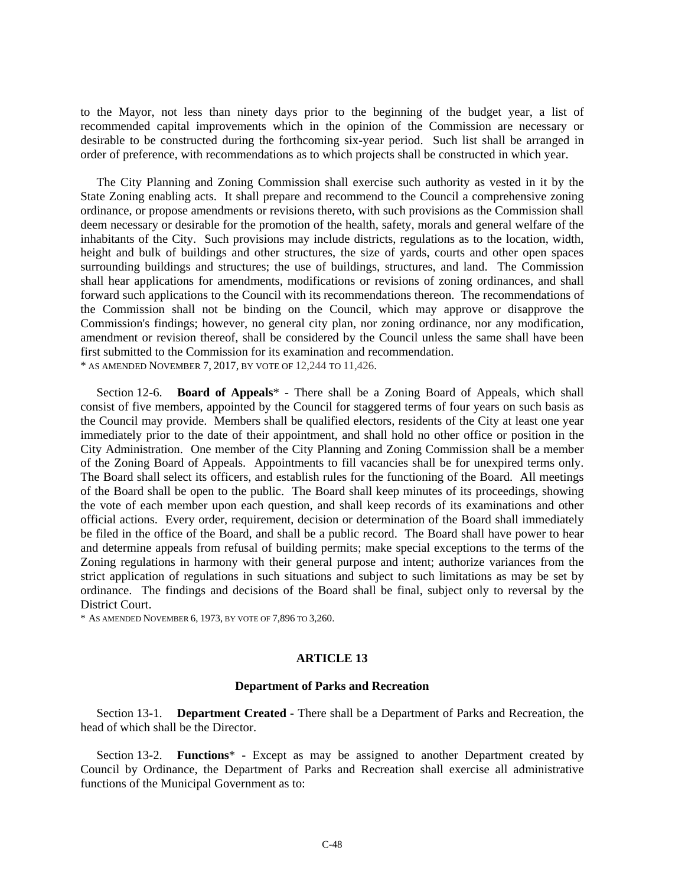to the Mayor, not less than ninety days prior to the beginning of the budget year, a list of recommended capital improvements which in the opinion of the Commission are necessary or desirable to be constructed during the forthcoming six-year period. Such list shall be arranged in order of preference, with recommendations as to which projects shall be constructed in which year.

The City Planning and Zoning Commission shall exercise such authority as vested in it by the State Zoning enabling acts. It shall prepare and recommend to the Council a comprehensive zoning ordinance, or propose amendments or revisions thereto, with such provisions as the Commission shall deem necessary or desirable for the promotion of the health, safety, morals and general welfare of the inhabitants of the City. Such provisions may include districts, regulations as to the location, width, height and bulk of buildings and other structures, the size of yards, courts and other open spaces surrounding buildings and structures; the use of buildings, structures, and land. The Commission shall hear applications for amendments, modifications or revisions of zoning ordinances, and shall forward such applications to the Council with its recommendations thereon. The recommendations of the Commission shall not be binding on the Council, which may approve or disapprove the Commission's findings; however, no general city plan, nor zoning ordinance, nor any modification, amendment or revision thereof, shall be considered by the Council unless the same shall have been first submitted to the Commission for its examination and recommendation. \* AS AMENDED NOVEMBER 7, 2017, BY VOTE OF 12,244 TO 11,426.

Section 12-6. **Board of Appeals**\* - There shall be a Zoning Board of Appeals, which shall consist of five members, appointed by the Council for staggered terms of four years on such basis as the Council may provide. Members shall be qualified electors, residents of the City at least one year immediately prior to the date of their appointment, and shall hold no other office or position in the City Administration. One member of the City Planning and Zoning Commission shall be a member of the Zoning Board of Appeals. Appointments to fill vacancies shall be for unexpired terms only. The Board shall select its officers, and establish rules for the functioning of the Board. All meetings of the Board shall be open to the public. The Board shall keep minutes of its proceedings, showing the vote of each member upon each question, and shall keep records of its examinations and other official actions. Every order, requirement, decision or determination of the Board shall immediately be filed in the office of the Board, and shall be a public record. The Board shall have power to hear and determine appeals from refusal of building permits; make special exceptions to the terms of the Zoning regulations in harmony with their general purpose and intent; authorize variances from the strict application of regulations in such situations and subject to such limitations as may be set by ordinance. The findings and decisions of the Board shall be final, subject only to reversal by the District Court.

\* AS AMENDED NOVEMBER 6, 1973, BY VOTE OF 7,896 TO 3,260.

#### **ARTICLE 13**

#### **Department of Parks and Recreation**

Section 13-1. **Department Created** - There shall be a Department of Parks and Recreation, the head of which shall be the Director.

Section 13-2. **Functions**\* - Except as may be assigned to another Department created by Council by Ordinance, the Department of Parks and Recreation shall exercise all administrative functions of the Municipal Government as to: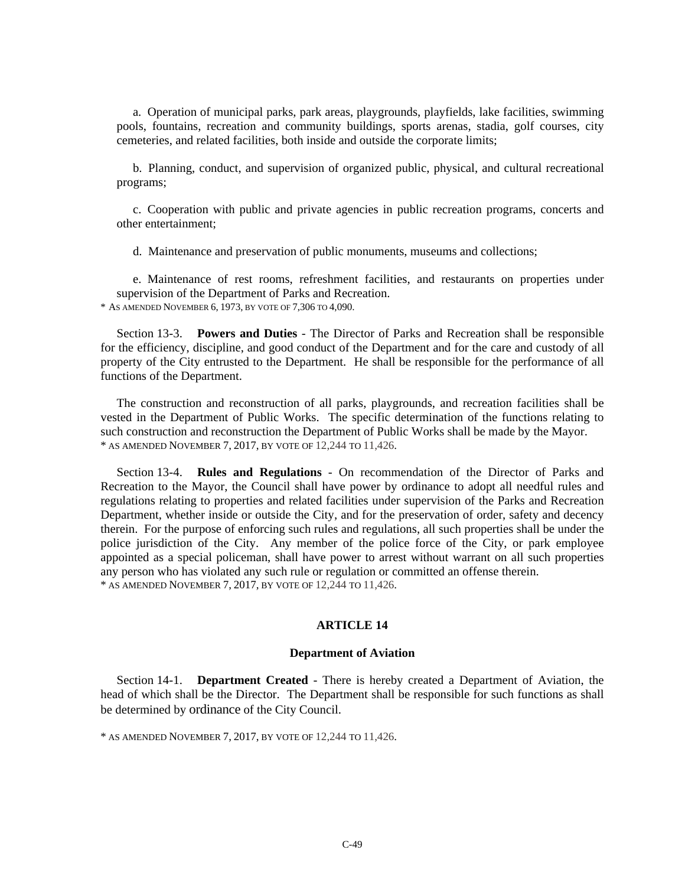a. Operation of municipal parks, park areas, playgrounds, playfields, lake facilities, swimming pools, fountains, recreation and community buildings, sports arenas, stadia, golf courses, city cemeteries, and related facilities, both inside and outside the corporate limits;

b. Planning, conduct, and supervision of organized public, physical, and cultural recreational programs;

c. Cooperation with public and private agencies in public recreation programs, concerts and other entertainment;

d. Maintenance and preservation of public monuments, museums and collections;

e. Maintenance of rest rooms, refreshment facilities, and restaurants on properties under supervision of the Department of Parks and Recreation. \* AS AMENDED NOVEMBER 6, 1973, BY VOTE OF 7,306 TO 4,090.

Section 13-3. **Powers and Duties** - The Director of Parks and Recreation shall be responsible for the efficiency, discipline, and good conduct of the Department and for the care and custody of all property of the City entrusted to the Department. He shall be responsible for the performance of all functions of the Department.

The construction and reconstruction of all parks, playgrounds, and recreation facilities shall be vested in the Department of Public Works. The specific determination of the functions relating to such construction and reconstruction the Department of Public Works shall be made by the Mayor. \* AS AMENDED NOVEMBER 7, 2017, BY VOTE OF 12,244 TO 11,426.

Section 13-4. **Rules and Regulations** - On recommendation of the Director of Parks and Recreation to the Mayor, the Council shall have power by ordinance to adopt all needful rules and regulations relating to properties and related facilities under supervision of the Parks and Recreation Department, whether inside or outside the City, and for the preservation of order, safety and decency therein. For the purpose of enforcing such rules and regulations, all such properties shall be under the police jurisdiction of the City. Any member of the police force of the City, or park employee appointed as a special policeman, shall have power to arrest without warrant on all such properties any person who has violated any such rule or regulation or committed an offense therein. \* AS AMENDED NOVEMBER 7, 2017, BY VOTE OF 12,244 TO 11,426.

#### **ARTICLE 14**

#### **Department of Aviation**

Section 14-1. **Department Created** - There is hereby created a Department of Aviation, the head of which shall be the Director. The Department shall be responsible for such functions as shall be determined by ordinance of the City Council.

\* AS AMENDED NOVEMBER 7, 2017, BY VOTE OF 12,244 TO 11,426.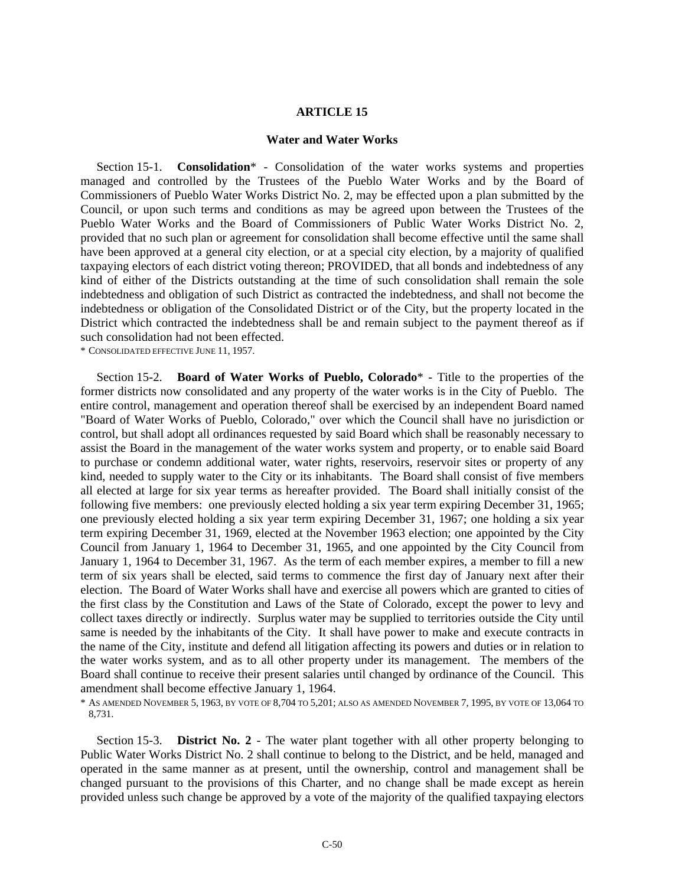#### **ARTICLE 15**

#### **Water and Water Works**

Section 15-1. **Consolidation**\* - Consolidation of the water works systems and properties managed and controlled by the Trustees of the Pueblo Water Works and by the Board of Commissioners of Pueblo Water Works District No. 2, may be effected upon a plan submitted by the Council, or upon such terms and conditions as may be agreed upon between the Trustees of the Pueblo Water Works and the Board of Commissioners of Public Water Works District No. 2, provided that no such plan or agreement for consolidation shall become effective until the same shall have been approved at a general city election, or at a special city election, by a majority of qualified taxpaying electors of each district voting thereon; PROVIDED, that all bonds and indebtedness of any kind of either of the Districts outstanding at the time of such consolidation shall remain the sole indebtedness and obligation of such District as contracted the indebtedness, and shall not become the indebtedness or obligation of the Consolidated District or of the City, but the property located in the District which contracted the indebtedness shall be and remain subject to the payment thereof as if such consolidation had not been effected.

\* CONSOLIDATED EFFECTIVE JUNE 11, 1957.

Section 15-2. **Board of Water Works of Pueblo, Colorado**\* - Title to the properties of the former districts now consolidated and any property of the water works is in the City of Pueblo. The entire control, management and operation thereof shall be exercised by an independent Board named "Board of Water Works of Pueblo, Colorado," over which the Council shall have no jurisdiction or control, but shall adopt all ordinances requested by said Board which shall be reasonably necessary to assist the Board in the management of the water works system and property, or to enable said Board to purchase or condemn additional water, water rights, reservoirs, reservoir sites or property of any kind, needed to supply water to the City or its inhabitants. The Board shall consist of five members all elected at large for six year terms as hereafter provided. The Board shall initially consist of the following five members: one previously elected holding a six year term expiring December 31, 1965; one previously elected holding a six year term expiring December 31, 1967; one holding a six year term expiring December 31, 1969, elected at the November 1963 election; one appointed by the City Council from January 1, 1964 to December 31, 1965, and one appointed by the City Council from January 1, 1964 to December 31, 1967. As the term of each member expires, a member to fill a new term of six years shall be elected, said terms to commence the first day of January next after their election. The Board of Water Works shall have and exercise all powers which are granted to cities of the first class by the Constitution and Laws of the State of Colorado, except the power to levy and collect taxes directly or indirectly. Surplus water may be supplied to territories outside the City until same is needed by the inhabitants of the City. It shall have power to make and execute contracts in the name of the City, institute and defend all litigation affecting its powers and duties or in relation to the water works system, and as to all other property under its management. The members of the Board shall continue to receive their present salaries until changed by ordinance of the Council. This amendment shall become effective January 1, 1964.

\* AS AMENDED NOVEMBER 5, 1963, BY VOTE OF 8,704 TO 5,201; ALSO AS AMENDED NOVEMBER 7, 1995, BY VOTE OF 13,064 TO 8,731.

Section 15-3. **District No. 2** - The water plant together with all other property belonging to Public Water Works District No. 2 shall continue to belong to the District, and be held, managed and operated in the same manner as at present, until the ownership, control and management shall be changed pursuant to the provisions of this Charter, and no change shall be made except as herein provided unless such change be approved by a vote of the majority of the qualified taxpaying electors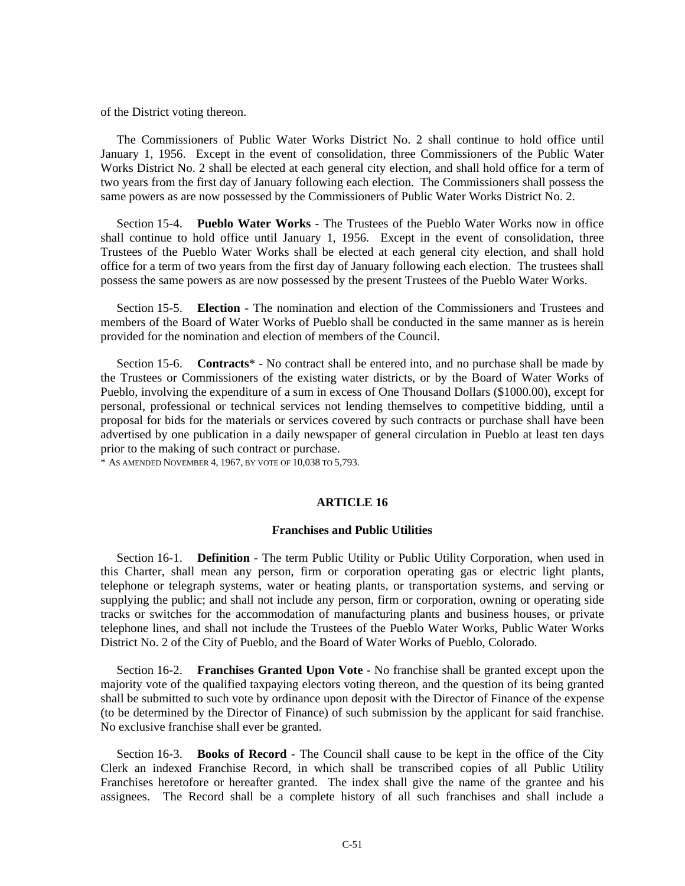of the District voting thereon.

The Commissioners of Public Water Works District No. 2 shall continue to hold office until January 1, 1956. Except in the event of consolidation, three Commissioners of the Public Water Works District No. 2 shall be elected at each general city election, and shall hold office for a term of two years from the first day of January following each election. The Commissioners shall possess the same powers as are now possessed by the Commissioners of Public Water Works District No. 2.

Section 15-4. **Pueblo Water Works** - The Trustees of the Pueblo Water Works now in office shall continue to hold office until January 1, 1956. Except in the event of consolidation, three Trustees of the Pueblo Water Works shall be elected at each general city election, and shall hold office for a term of two years from the first day of January following each election. The trustees shall possess the same powers as are now possessed by the present Trustees of the Pueblo Water Works.

Section 15-5. **Election** - The nomination and election of the Commissioners and Trustees and members of the Board of Water Works of Pueblo shall be conducted in the same manner as is herein provided for the nomination and election of members of the Council.

Section 15-6. **Contracts**\* - No contract shall be entered into, and no purchase shall be made by the Trustees or Commissioners of the existing water districts, or by the Board of Water Works of Pueblo, involving the expenditure of a sum in excess of One Thousand Dollars (\$1000.00), except for personal, professional or technical services not lending themselves to competitive bidding, until a proposal for bids for the materials or services covered by such contracts or purchase shall have been advertised by one publication in a daily newspaper of general circulation in Pueblo at least ten days prior to the making of such contract or purchase.

\* AS AMENDED NOVEMBER 4, 1967, BY VOTE OF 10,038 TO 5,793.

#### **ARTICLE 16**

#### **Franchises and Public Utilities**

Section 16-1. **Definition** - The term Public Utility or Public Utility Corporation, when used in this Charter, shall mean any person, firm or corporation operating gas or electric light plants, telephone or telegraph systems, water or heating plants, or transportation systems, and serving or supplying the public; and shall not include any person, firm or corporation, owning or operating side tracks or switches for the accommodation of manufacturing plants and business houses, or private telephone lines, and shall not include the Trustees of the Pueblo Water Works, Public Water Works District No. 2 of the City of Pueblo, and the Board of Water Works of Pueblo, Colorado.

Section 16-2. **Franchises Granted Upon Vote** - No franchise shall be granted except upon the majority vote of the qualified taxpaying electors voting thereon, and the question of its being granted shall be submitted to such vote by ordinance upon deposit with the Director of Finance of the expense (to be determined by the Director of Finance) of such submission by the applicant for said franchise. No exclusive franchise shall ever be granted.

Section 16-3. **Books of Record** - The Council shall cause to be kept in the office of the City Clerk an indexed Franchise Record, in which shall be transcribed copies of all Public Utility Franchises heretofore or hereafter granted. The index shall give the name of the grantee and his assignees. The Record shall be a complete history of all such franchises and shall include a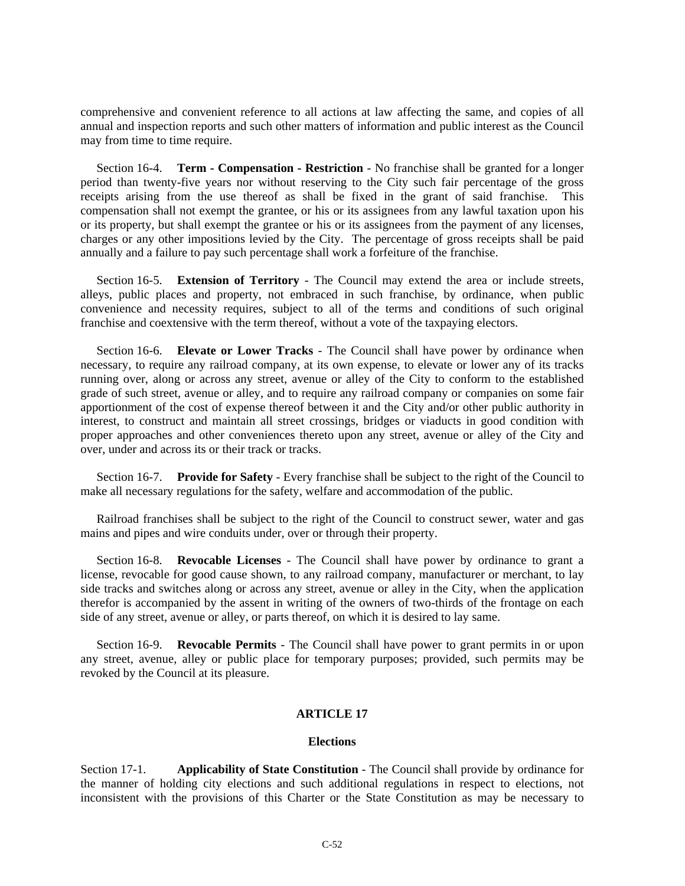comprehensive and convenient reference to all actions at law affecting the same, and copies of all annual and inspection reports and such other matters of information and public interest as the Council may from time to time require.

Section 16-4. **Term - Compensation - Restriction** - No franchise shall be granted for a longer period than twenty-five years nor without reserving to the City such fair percentage of the gross receipts arising from the use thereof as shall be fixed in the grant of said franchise. This compensation shall not exempt the grantee, or his or its assignees from any lawful taxation upon his or its property, but shall exempt the grantee or his or its assignees from the payment of any licenses, charges or any other impositions levied by the City. The percentage of gross receipts shall be paid annually and a failure to pay such percentage shall work a forfeiture of the franchise.

Section 16-5. **Extension of Territory** - The Council may extend the area or include streets, alleys, public places and property, not embraced in such franchise, by ordinance, when public convenience and necessity requires, subject to all of the terms and conditions of such original franchise and coextensive with the term thereof, without a vote of the taxpaying electors.

Section 16-6. **Elevate or Lower Tracks** - The Council shall have power by ordinance when necessary, to require any railroad company, at its own expense, to elevate or lower any of its tracks running over, along or across any street, avenue or alley of the City to conform to the established grade of such street, avenue or alley, and to require any railroad company or companies on some fair apportionment of the cost of expense thereof between it and the City and/or other public authority in interest, to construct and maintain all street crossings, bridges or viaducts in good condition with proper approaches and other conveniences thereto upon any street, avenue or alley of the City and over, under and across its or their track or tracks.

Section 16-7. **Provide for Safety** - Every franchise shall be subject to the right of the Council to make all necessary regulations for the safety, welfare and accommodation of the public.

Railroad franchises shall be subject to the right of the Council to construct sewer, water and gas mains and pipes and wire conduits under, over or through their property.

Section 16-8. **Revocable Licenses** - The Council shall have power by ordinance to grant a license, revocable for good cause shown, to any railroad company, manufacturer or merchant, to lay side tracks and switches along or across any street, avenue or alley in the City, when the application therefor is accompanied by the assent in writing of the owners of two-thirds of the frontage on each side of any street, avenue or alley, or parts thereof, on which it is desired to lay same.

Section 16-9. **Revocable Permits** - The Council shall have power to grant permits in or upon any street, avenue, alley or public place for temporary purposes; provided, such permits may be revoked by the Council at its pleasure.

#### **ARTICLE 17**

#### **Elections**

Section 17-1. **Applicability of State Constitution** - The Council shall provide by ordinance for the manner of holding city elections and such additional regulations in respect to elections, not inconsistent with the provisions of this Charter or the State Constitution as may be necessary to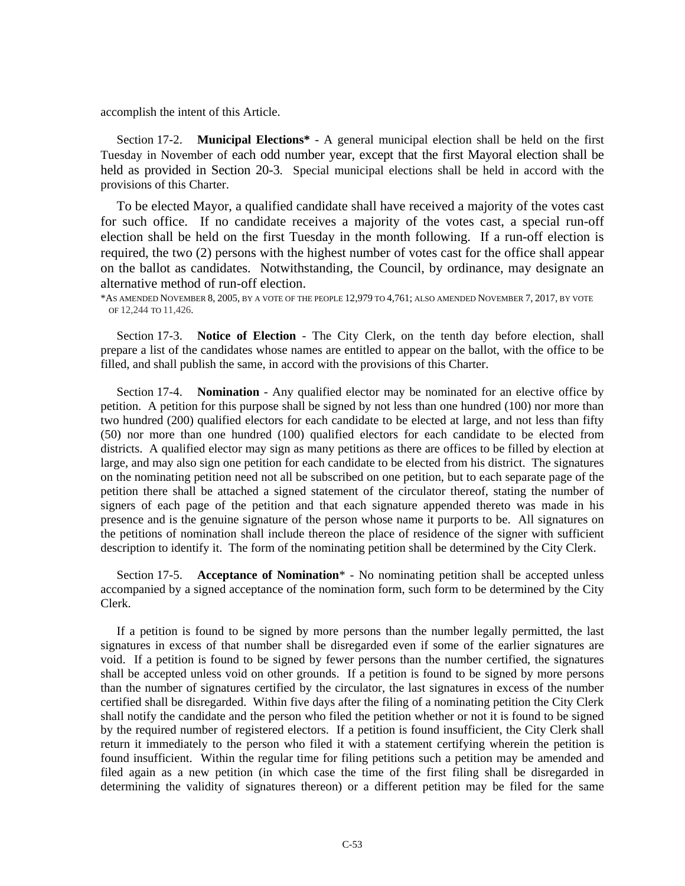accomplish the intent of this Article.

Section 17-2. **Municipal Elections\*** - A general municipal election shall be held on the first Tuesday in November of each odd number year, except that the first Mayoral election shall be held as provided in Section 20-3. Special municipal elections shall be held in accord with the provisions of this Charter.

To be elected Mayor, a qualified candidate shall have received a majority of the votes cast for such office. If no candidate receives a majority of the votes cast, a special run-off election shall be held on the first Tuesday in the month following. If a run-off election is required, the two (2) persons with the highest number of votes cast for the office shall appear on the ballot as candidates. Notwithstanding, the Council, by ordinance, may designate an alternative method of run-off election.

\*AS AMENDED NOVEMBER 8, 2005, BY A VOTE OF THE PEOPLE 12,979 TO 4,761; ALSO AMENDED NOVEMBER 7, 2017, BY VOTE OF 12,244 TO 11,426.

Section 17-3. **Notice of Election** - The City Clerk, on the tenth day before election, shall prepare a list of the candidates whose names are entitled to appear on the ballot, with the office to be filled, and shall publish the same, in accord with the provisions of this Charter.

Section 17-4. **Nomination** - Any qualified elector may be nominated for an elective office by petition. A petition for this purpose shall be signed by not less than one hundred (100) nor more than two hundred (200) qualified electors for each candidate to be elected at large, and not less than fifty (50) nor more than one hundred (100) qualified electors for each candidate to be elected from districts. A qualified elector may sign as many petitions as there are offices to be filled by election at large, and may also sign one petition for each candidate to be elected from his district. The signatures on the nominating petition need not all be subscribed on one petition, but to each separate page of the petition there shall be attached a signed statement of the circulator thereof, stating the number of signers of each page of the petition and that each signature appended thereto was made in his presence and is the genuine signature of the person whose name it purports to be. All signatures on the petitions of nomination shall include thereon the place of residence of the signer with sufficient description to identify it. The form of the nominating petition shall be determined by the City Clerk.

Section 17-5. **Acceptance of Nomination**\* - No nominating petition shall be accepted unless accompanied by a signed acceptance of the nomination form, such form to be determined by the City Clerk.

If a petition is found to be signed by more persons than the number legally permitted, the last signatures in excess of that number shall be disregarded even if some of the earlier signatures are void. If a petition is found to be signed by fewer persons than the number certified, the signatures shall be accepted unless void on other grounds. If a petition is found to be signed by more persons than the number of signatures certified by the circulator, the last signatures in excess of the number certified shall be disregarded. Within five days after the filing of a nominating petition the City Clerk shall notify the candidate and the person who filed the petition whether or not it is found to be signed by the required number of registered electors. If a petition is found insufficient, the City Clerk shall return it immediately to the person who filed it with a statement certifying wherein the petition is found insufficient. Within the regular time for filing petitions such a petition may be amended and filed again as a new petition (in which case the time of the first filing shall be disregarded in determining the validity of signatures thereon) or a different petition may be filed for the same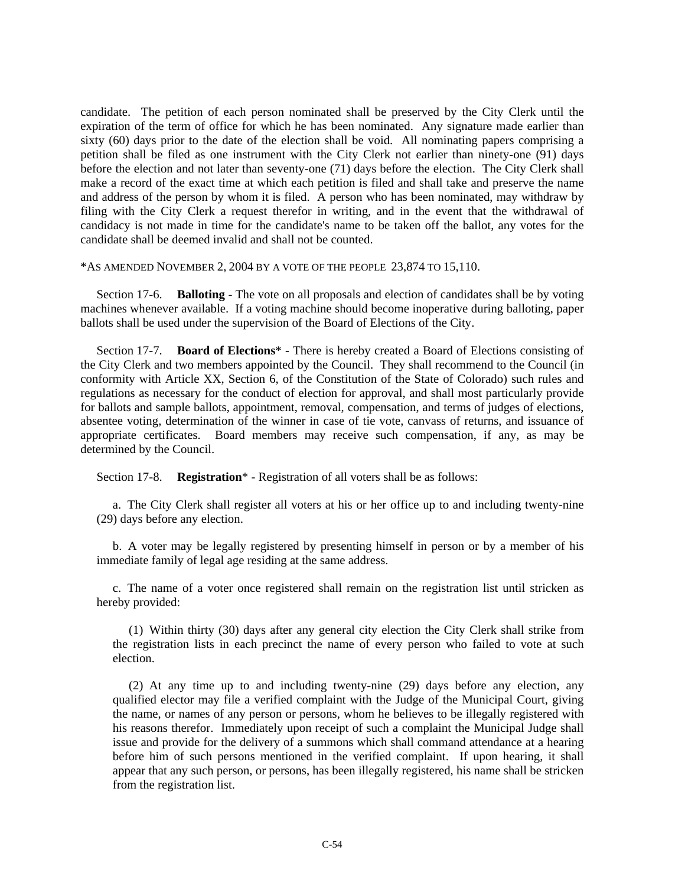candidate. The petition of each person nominated shall be preserved by the City Clerk until the expiration of the term of office for which he has been nominated. Any signature made earlier than sixty (60) days prior to the date of the election shall be void. All nominating papers comprising a petition shall be filed as one instrument with the City Clerk not earlier than ninety-one (91) days before the election and not later than seventy-one (71) days before the election. The City Clerk shall make a record of the exact time at which each petition is filed and shall take and preserve the name and address of the person by whom it is filed. A person who has been nominated, may withdraw by filing with the City Clerk a request therefor in writing, and in the event that the withdrawal of candidacy is not made in time for the candidate's name to be taken off the ballot, any votes for the candidate shall be deemed invalid and shall not be counted.

#### \*AS AMENDED NOVEMBER 2, 2004 BY A VOTE OF THE PEOPLE 23,874 TO 15,110.

Section 17-6. **Balloting** - The vote on all proposals and election of candidates shall be by voting machines whenever available. If a voting machine should become inoperative during balloting, paper ballots shall be used under the supervision of the Board of Elections of the City.

Section 17-7. **Board of Elections**\* - There is hereby created a Board of Elections consisting of the City Clerk and two members appointed by the Council. They shall recommend to the Council (in conformity with Article XX, Section 6, of the Constitution of the State of Colorado) such rules and regulations as necessary for the conduct of election for approval, and shall most particularly provide for ballots and sample ballots, appointment, removal, compensation, and terms of judges of elections, absentee voting, determination of the winner in case of tie vote, canvass of returns, and issuance of appropriate certificates. Board members may receive such compensation, if any, as may be determined by the Council.

Section 17-8. **Registration**\* - Registration of all voters shall be as follows:

a. The City Clerk shall register all voters at his or her office up to and including twenty-nine (29) days before any election.

b. A voter may be legally registered by presenting himself in person or by a member of his immediate family of legal age residing at the same address.

c. The name of a voter once registered shall remain on the registration list until stricken as hereby provided:

(1) Within thirty (30) days after any general city election the City Clerk shall strike from the registration lists in each precinct the name of every person who failed to vote at such election.

(2) At any time up to and including twenty-nine (29) days before any election, any qualified elector may file a verified complaint with the Judge of the Municipal Court, giving the name, or names of any person or persons, whom he believes to be illegally registered with his reasons therefor. Immediately upon receipt of such a complaint the Municipal Judge shall issue and provide for the delivery of a summons which shall command attendance at a hearing before him of such persons mentioned in the verified complaint. If upon hearing, it shall appear that any such person, or persons, has been illegally registered, his name shall be stricken from the registration list.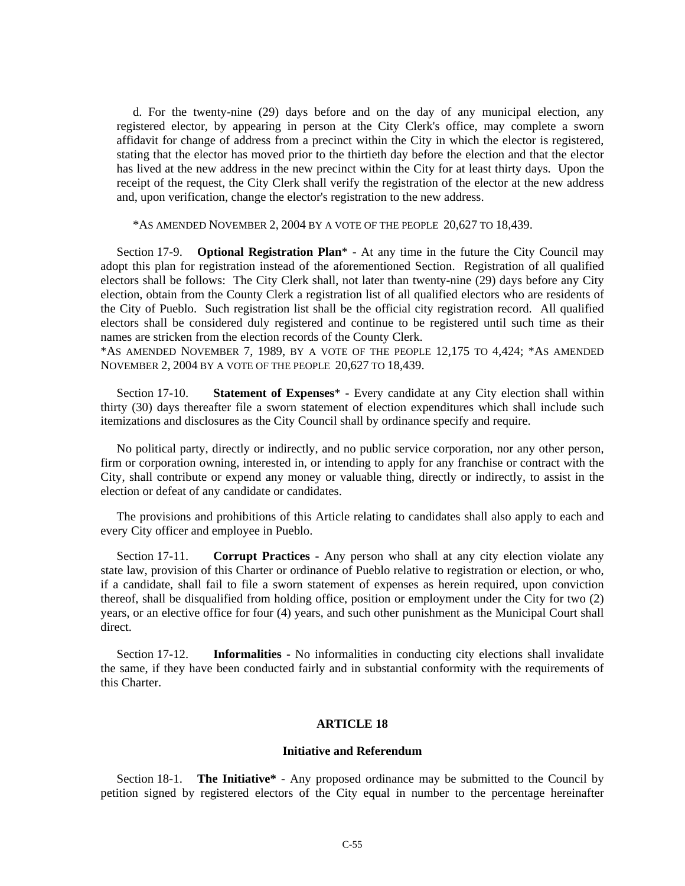d. For the twenty-nine (29) days before and on the day of any municipal election, any registered elector, by appearing in person at the City Clerk's office, may complete a sworn affidavit for change of address from a precinct within the City in which the elector is registered, stating that the elector has moved prior to the thirtieth day before the election and that the elector has lived at the new address in the new precinct within the City for at least thirty days. Upon the receipt of the request, the City Clerk shall verify the registration of the elector at the new address and, upon verification, change the elector's registration to the new address.

\*AS AMENDED NOVEMBER 2, 2004 BY A VOTE OF THE PEOPLE 20,627 TO 18,439.

Section 17-9. **Optional Registration Plan**\* - At any time in the future the City Council may adopt this plan for registration instead of the aforementioned Section. Registration of all qualified electors shall be follows: The City Clerk shall, not later than twenty-nine (29) days before any City election, obtain from the County Clerk a registration list of all qualified electors who are residents of the City of Pueblo. Such registration list shall be the official city registration record. All qualified electors shall be considered duly registered and continue to be registered until such time as their names are stricken from the election records of the County Clerk.

\*AS AMENDED NOVEMBER 7, 1989, BY A VOTE OF THE PEOPLE 12,175 TO 4,424; \*AS AMENDED NOVEMBER 2, 2004 BY A VOTE OF THE PEOPLE 20,627 TO 18,439.

Section 17-10. **Statement of Expenses**\* - Every candidate at any City election shall within thirty (30) days thereafter file a sworn statement of election expenditures which shall include such itemizations and disclosures as the City Council shall by ordinance specify and require.

No political party, directly or indirectly, and no public service corporation, nor any other person, firm or corporation owning, interested in, or intending to apply for any franchise or contract with the City, shall contribute or expend any money or valuable thing, directly or indirectly, to assist in the election or defeat of any candidate or candidates.

The provisions and prohibitions of this Article relating to candidates shall also apply to each and every City officer and employee in Pueblo.

Section 17-11. **Corrupt Practices** - Any person who shall at any city election violate any state law, provision of this Charter or ordinance of Pueblo relative to registration or election, or who, if a candidate, shall fail to file a sworn statement of expenses as herein required, upon conviction thereof, shall be disqualified from holding office, position or employment under the City for two (2) years, or an elective office for four (4) years, and such other punishment as the Municipal Court shall direct.

Section 17-12. **Informalities** - No informalities in conducting city elections shall invalidate the same, if they have been conducted fairly and in substantial conformity with the requirements of this Charter.

#### **ARTICLE 18**

#### **Initiative and Referendum**

Section 18-1. **The Initiative\*** - Any proposed ordinance may be submitted to the Council by petition signed by registered electors of the City equal in number to the percentage hereinafter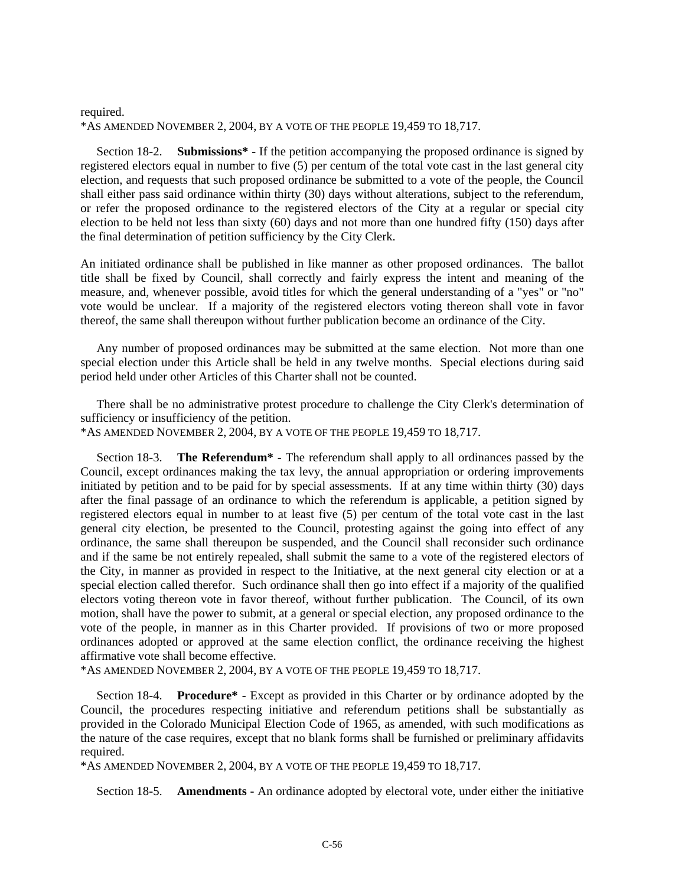#### required. \*AS AMENDED NOVEMBER 2, 2004, BY A VOTE OF THE PEOPLE 19,459 TO 18,717.

Section 18-2. **Submissions\*** - If the petition accompanying the proposed ordinance is signed by registered electors equal in number to five (5) per centum of the total vote cast in the last general city election, and requests that such proposed ordinance be submitted to a vote of the people, the Council shall either pass said ordinance within thirty (30) days without alterations, subject to the referendum, or refer the proposed ordinance to the registered electors of the City at a regular or special city election to be held not less than sixty (60) days and not more than one hundred fifty (150) days after the final determination of petition sufficiency by the City Clerk.

An initiated ordinance shall be published in like manner as other proposed ordinances. The ballot title shall be fixed by Council, shall correctly and fairly express the intent and meaning of the measure, and, whenever possible, avoid titles for which the general understanding of a "yes" or "no" vote would be unclear. If a majority of the registered electors voting thereon shall vote in favor thereof, the same shall thereupon without further publication become an ordinance of the City.

Any number of proposed ordinances may be submitted at the same election. Not more than one special election under this Article shall be held in any twelve months. Special elections during said period held under other Articles of this Charter shall not be counted.

There shall be no administrative protest procedure to challenge the City Clerk's determination of sufficiency or insufficiency of the petition.

\*AS AMENDED NOVEMBER 2, 2004, BY A VOTE OF THE PEOPLE 19,459 TO 18,717.

Section 18-3. **The Referendum\*** - The referendum shall apply to all ordinances passed by the Council, except ordinances making the tax levy, the annual appropriation or ordering improvements initiated by petition and to be paid for by special assessments. If at any time within thirty (30) days after the final passage of an ordinance to which the referendum is applicable, a petition signed by registered electors equal in number to at least five (5) per centum of the total vote cast in the last general city election, be presented to the Council, protesting against the going into effect of any ordinance, the same shall thereupon be suspended, and the Council shall reconsider such ordinance and if the same be not entirely repealed, shall submit the same to a vote of the registered electors of the City, in manner as provided in respect to the Initiative, at the next general city election or at a special election called therefor. Such ordinance shall then go into effect if a majority of the qualified electors voting thereon vote in favor thereof, without further publication. The Council, of its own motion, shall have the power to submit, at a general or special election, any proposed ordinance to the vote of the people, in manner as in this Charter provided. If provisions of two or more proposed ordinances adopted or approved at the same election conflict, the ordinance receiving the highest affirmative vote shall become effective.

\*AS AMENDED NOVEMBER 2, 2004, BY A VOTE OF THE PEOPLE 19,459 TO 18,717.

Section 18-4. **Procedure\*** - Except as provided in this Charter or by ordinance adopted by the Council, the procedures respecting initiative and referendum petitions shall be substantially as provided in the Colorado Municipal Election Code of 1965, as amended, with such modifications as the nature of the case requires, except that no blank forms shall be furnished or preliminary affidavits required.

\*AS AMENDED NOVEMBER 2, 2004, BY A VOTE OF THE PEOPLE 19,459 TO 18,717.

Section 18-5. **Amendments** - An ordinance adopted by electoral vote, under either the initiative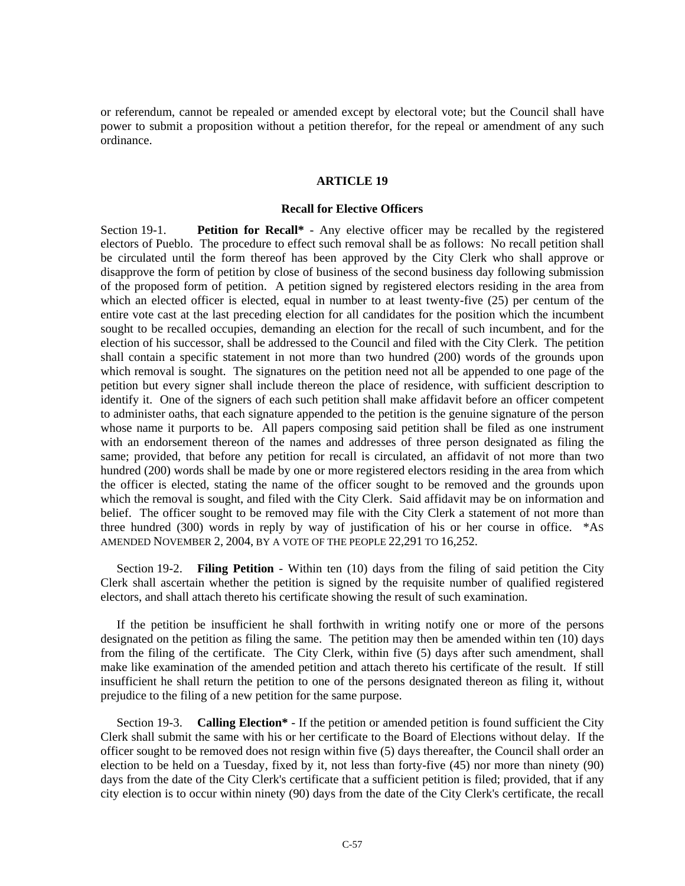or referendum, cannot be repealed or amended except by electoral vote; but the Council shall have power to submit a proposition without a petition therefor, for the repeal or amendment of any such ordinance.

#### **ARTICLE 19**

#### **Recall for Elective Officers**

Section 19-1. **Petition for Recall\*** - Any elective officer may be recalled by the registered electors of Pueblo. The procedure to effect such removal shall be as follows: No recall petition shall be circulated until the form thereof has been approved by the City Clerk who shall approve or disapprove the form of petition by close of business of the second business day following submission of the proposed form of petition. A petition signed by registered electors residing in the area from which an elected officer is elected, equal in number to at least twenty-five (25) per centum of the entire vote cast at the last preceding election for all candidates for the position which the incumbent sought to be recalled occupies, demanding an election for the recall of such incumbent, and for the election of his successor, shall be addressed to the Council and filed with the City Clerk. The petition shall contain a specific statement in not more than two hundred (200) words of the grounds upon which removal is sought. The signatures on the petition need not all be appended to one page of the petition but every signer shall include thereon the place of residence, with sufficient description to identify it. One of the signers of each such petition shall make affidavit before an officer competent to administer oaths, that each signature appended to the petition is the genuine signature of the person whose name it purports to be. All papers composing said petition shall be filed as one instrument with an endorsement thereon of the names and addresses of three person designated as filing the same; provided, that before any petition for recall is circulated, an affidavit of not more than two hundred (200) words shall be made by one or more registered electors residing in the area from which the officer is elected, stating the name of the officer sought to be removed and the grounds upon which the removal is sought, and filed with the City Clerk. Said affidavit may be on information and belief. The officer sought to be removed may file with the City Clerk a statement of not more than three hundred (300) words in reply by way of justification of his or her course in office. \*AS AMENDED NOVEMBER 2, 2004, BY A VOTE OF THE PEOPLE 22,291 TO 16,252.

Section 19-2. **Filing Petition** - Within ten (10) days from the filing of said petition the City Clerk shall ascertain whether the petition is signed by the requisite number of qualified registered electors, and shall attach thereto his certificate showing the result of such examination.

If the petition be insufficient he shall forthwith in writing notify one or more of the persons designated on the petition as filing the same. The petition may then be amended within ten (10) days from the filing of the certificate. The City Clerk, within five (5) days after such amendment, shall make like examination of the amended petition and attach thereto his certificate of the result. If still insufficient he shall return the petition to one of the persons designated thereon as filing it, without prejudice to the filing of a new petition for the same purpose.

Section 19-3. **Calling Election\*** - If the petition or amended petition is found sufficient the City Clerk shall submit the same with his or her certificate to the Board of Elections without delay. If the officer sought to be removed does not resign within five (5) days thereafter, the Council shall order an election to be held on a Tuesday, fixed by it, not less than forty-five (45) nor more than ninety (90) days from the date of the City Clerk's certificate that a sufficient petition is filed; provided, that if any city election is to occur within ninety (90) days from the date of the City Clerk's certificate, the recall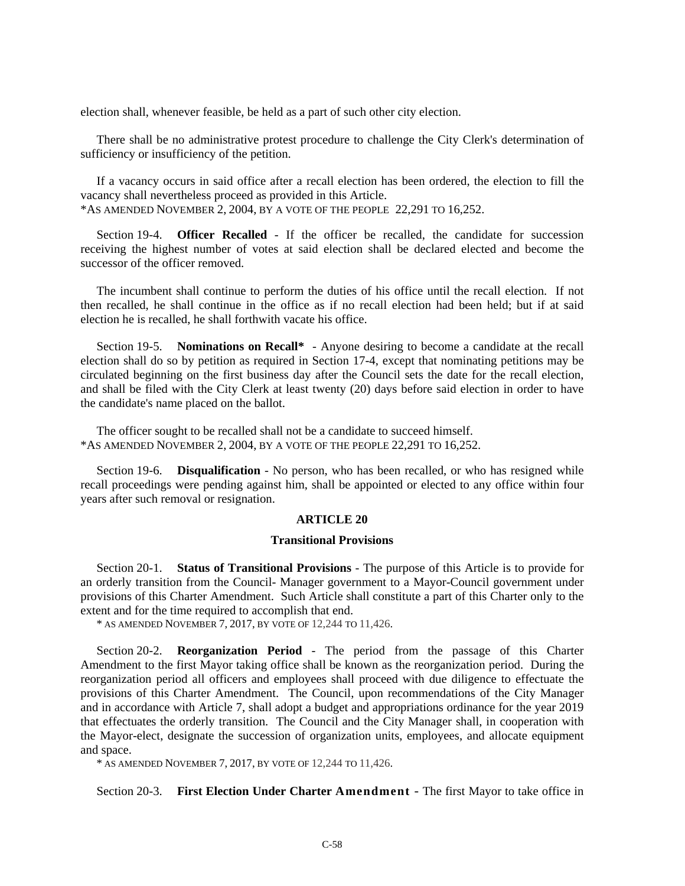election shall, whenever feasible, be held as a part of such other city election.

There shall be no administrative protest procedure to challenge the City Clerk's determination of sufficiency or insufficiency of the petition.

If a vacancy occurs in said office after a recall election has been ordered, the election to fill the vacancy shall nevertheless proceed as provided in this Article. \*AS AMENDED NOVEMBER 2, 2004, BY A VOTE OF THE PEOPLE 22,291 TO 16,252.

Section 19-4. **Officer Recalled** - If the officer be recalled, the candidate for succession receiving the highest number of votes at said election shall be declared elected and become the successor of the officer removed.

The incumbent shall continue to perform the duties of his office until the recall election. If not then recalled, he shall continue in the office as if no recall election had been held; but if at said election he is recalled, he shall forthwith vacate his office.

Section 19-5. **Nominations on Recall\*** - Anyone desiring to become a candidate at the recall election shall do so by petition as required in Section 17-4, except that nominating petitions may be circulated beginning on the first business day after the Council sets the date for the recall election, and shall be filed with the City Clerk at least twenty (20) days before said election in order to have the candidate's name placed on the ballot.

The officer sought to be recalled shall not be a candidate to succeed himself. \*AS AMENDED NOVEMBER 2, 2004, BY A VOTE OF THE PEOPLE 22,291 TO 16,252.

Section 19-6. **Disqualification** - No person, who has been recalled, or who has resigned while recall proceedings were pending against him, shall be appointed or elected to any office within four years after such removal or resignation.

#### **ARTICLE 20**

#### **Transitional Provisions**

Section 20-1. **Status of Transitional Provisions** - The purpose of this Article is to provide for an orderly transition from the Council- Manager government to a Mayor-Council government under provisions of this Charter Amendment. Such Article shall constitute a part of this Charter only to the extent and for the time required to accomplish that end.

\* AS AMENDED NOVEMBER 7, 2017, BY VOTE OF 12,244 TO 11,426.

Section 20-2. **Reorganization Period** - The period from the passage of this Charter Amendment to the first Mayor taking office shall be known as the reorganization period. During the reorganization period all officers and employees shall proceed with due diligence to effectuate the provisions of this Charter Amendment. The Council, upon recommendations of the City Manager and in accordance with Article 7, shall adopt a budget and appropriations ordinance for the year 2019 that effectuates the orderly transition. The Council and the City Manager shall, in cooperation with the Mayor-elect, designate the succession of organization units, employees, and allocate equipment and space.

\* AS AMENDED NOVEMBER 7, 2017, BY VOTE OF 12,244 TO 11,426.

Section 20-3. **First Election Under Charter Amendment** - The first Mayor to take office in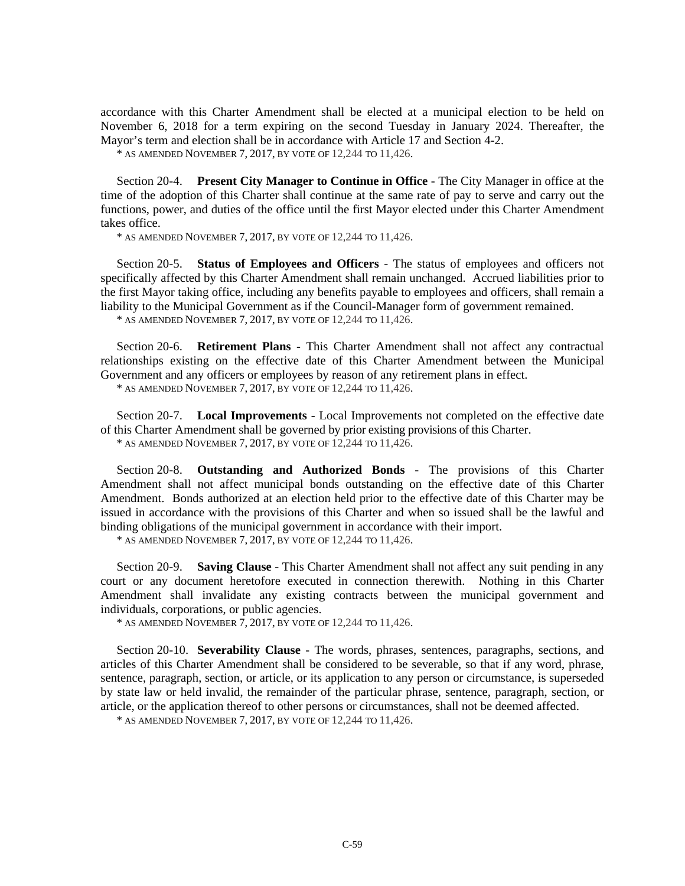accordance with this Charter Amendment shall be elected at a municipal election to be held on November 6, 2018 for a term expiring on the second Tuesday in January 2024. Thereafter, the Mayor's term and election shall be in accordance with Article 17 and Section 4-2.

\* AS AMENDED NOVEMBER 7, 2017, BY VOTE OF 12,244 TO 11,426.

Section 20-4. **Present City Manager to Continue in Office** - The City Manager in office at the time of the adoption of this Charter shall continue at the same rate of pay to serve and carry out the functions, power, and duties of the office until the first Mayor elected under this Charter Amendment takes office.

\* AS AMENDED NOVEMBER 7, 2017, BY VOTE OF 12,244 TO 11,426.

Section 20-5. **Status of Employees and Officers** - The status of employees and officers not specifically affected by this Charter Amendment shall remain unchanged. Accrued liabilities prior to the first Mayor taking office, including any benefits payable to employees and officers, shall remain a liability to the Municipal Government as if the Council-Manager form of government remained.

\* AS AMENDED NOVEMBER 7, 2017, BY VOTE OF 12,244 TO 11,426.

Section 20-6. **Retirement Plans** - This Charter Amendment shall not affect any contractual relationships existing on the effective date of this Charter Amendment between the Municipal Government and any officers or employees by reason of any retirement plans in effect.

\* AS AMENDED NOVEMBER 7, 2017, BY VOTE OF 12,244 TO 11,426.

Section 20-7. **Local Improvements** - Local Improvements not completed on the effective date of this Charter Amendment shall be governed by prior existing provisions of this Charter. \* AS AMENDED NOVEMBER 7, 2017, BY VOTE OF 12,244 TO 11,426.

Section 20-8. **Outstanding and Authorized Bonds** - The provisions of this Charter Amendment shall not affect municipal bonds outstanding on the effective date of this Charter Amendment. Bonds authorized at an election held prior to the effective date of this Charter may be issued in accordance with the provisions of this Charter and when so issued shall be the lawful and binding obligations of the municipal government in accordance with their import.

\* AS AMENDED NOVEMBER 7, 2017, BY VOTE OF 12,244 TO 11,426.

Section 20-9. **Saving Clause** - This Charter Amendment shall not affect any suit pending in any court or any document heretofore executed in connection therewith. Nothing in this Charter Amendment shall invalidate any existing contracts between the municipal government and individuals, corporations, or public agencies.

\* AS AMENDED NOVEMBER 7, 2017, BY VOTE OF 12,244 TO 11,426.

Section 20-10. **Severability Clause** - The words, phrases, sentences, paragraphs, sections, and articles of this Charter Amendment shall be considered to be severable, so that if any word, phrase, sentence, paragraph, section, or article, or its application to any person or circumstance, is superseded by state law or held invalid, the remainder of the particular phrase, sentence, paragraph, section, or article, or the application thereof to other persons or circumstances, shall not be deemed affected.

\* AS AMENDED NOVEMBER 7, 2017, BY VOTE OF 12,244 TO 11,426.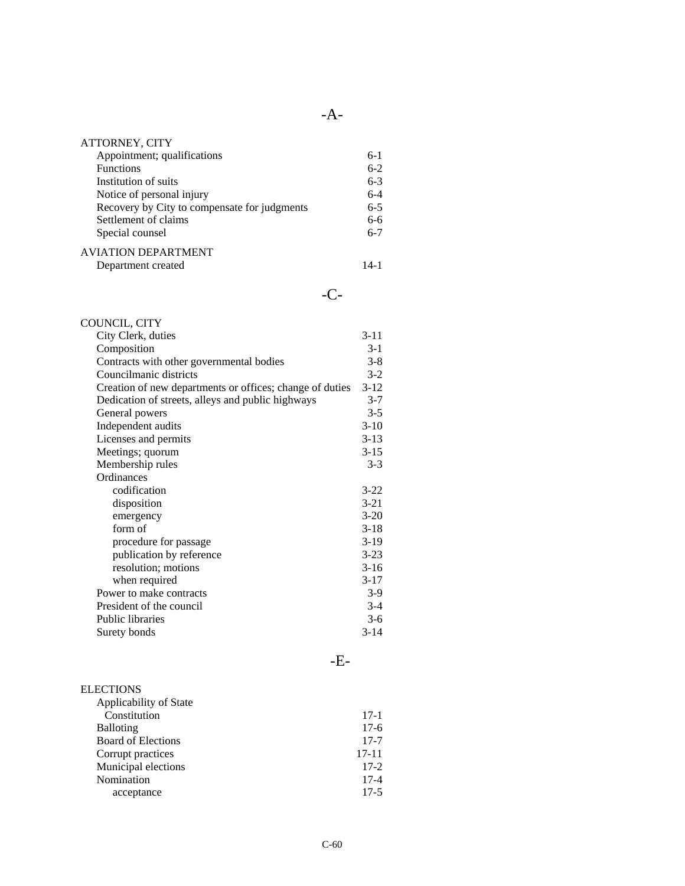| <b>ATTORNEY, CITY</b>                        |         |
|----------------------------------------------|---------|
| Appointment; qualifications                  | $6-1$   |
| <b>Functions</b>                             | $6-2$   |
| Institution of suits                         | $6 - 3$ |
| Notice of personal injury                    | $6 - 4$ |
| Recovery by City to compensate for judgments | $6 - 5$ |
| Settlement of claims                         | $6-6$   |
| Special counsel                              | $6 - 7$ |
| <b>AVIATION DEPARTMENT</b>                   |         |
| Department created                           | 14-1    |

### -C-

-A-

| COUNCIL, CITY                                            |          |
|----------------------------------------------------------|----------|
| City Clerk, duties                                       | $3-11$   |
| Composition                                              | $3-1$    |
| Contracts with other governmental bodies                 | $3 - 8$  |
| Councilmanic districts                                   | $3-2$    |
| Creation of new departments or offices; change of duties | $3-12$   |
| Dedication of streets, alleys and public highways        | $3 - 7$  |
| General powers                                           | $3-5$    |
| Independent audits                                       | $3-10$   |
| Licenses and permits                                     | $3-13$   |
| Meetings; quorum                                         | $3 - 15$ |
| Membership rules                                         | $3-3$    |
| Ordinances                                               |          |
| codification                                             | $3-22$   |
| disposition                                              | $3-21$   |
| emergency                                                | $3 - 20$ |
| form of                                                  | $3-18$   |
| procedure for passage                                    | $3-19$   |
| publication by reference                                 | $3 - 23$ |
| resolution; motions                                      | $3-16$   |
| when required                                            | $3-17$   |
| Power to make contracts                                  | $3-9$    |
| President of the council                                 | $3-4$    |
| <b>Public libraries</b>                                  | $3-6$    |
| Surety bonds                                             | $3 - 14$ |

| <b>ELECTIONS</b>          |           |
|---------------------------|-----------|
| Applicability of State    |           |
| Constitution              | $17-1$    |
| Balloting                 | $17-6$    |
| <b>Board of Elections</b> | $17 - 7$  |
| Corrupt practices         | $17 - 11$ |
| Municipal elections       | $17-2$    |
| Nomination                | $17 - 4$  |
| acceptance                | $17-5$    |
|                           |           |

-E-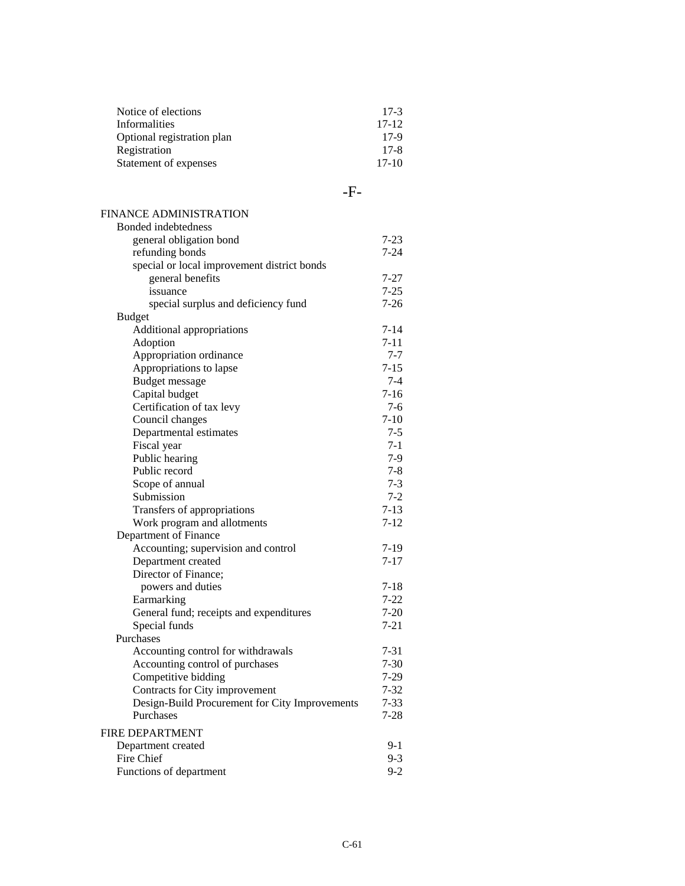| Notice of elections        | $17-3$   |
|----------------------------|----------|
| <b>Informalities</b>       | $17-12$  |
| Optional registration plan | $17-9$   |
| Registration               | $17 - 8$ |
| Statement of expenses      | $17-10$  |

-F-

#### FINANCE ADMINISTRATION

| Bonded indebtedness                            |          |
|------------------------------------------------|----------|
| general obligation bond                        | 7-23     |
| refunding bonds                                | $7-24$   |
| special or local improvement district bonds    |          |
| general benefits                               | 7-27     |
| issuance                                       | $7 - 25$ |
| special surplus and deficiency fund            | $7 - 26$ |
| <b>Budget</b>                                  |          |
| Additional appropriations                      | $7 - 14$ |
| Adoption                                       | $7 - 11$ |
| Appropriation ordinance                        | $7 - 7$  |
| Appropriations to lapse                        | $7 - 15$ |
| <b>Budget message</b>                          | $7 - 4$  |
| Capital budget                                 | $7 - 16$ |
| Certification of tax levy                      | $7 - 6$  |
| Council changes                                | $7-10$   |
| Departmental estimates                         | $7 - 5$  |
| Fiscal year                                    | $7-1$    |
| Public hearing                                 | $7-9$    |
| Public record                                  | $7 - 8$  |
| Scope of annual                                | $7 - 3$  |
| Submission                                     | $7 - 2$  |
| Transfers of appropriations                    | $7-13$   |
| Work program and allotments                    | $7 - 12$ |
| Department of Finance                          |          |
| Accounting; supervision and control            | $7-19$   |
| Department created                             | $7 - 17$ |
| Director of Finance;                           |          |
| powers and duties                              | $7 - 18$ |
| Earmarking                                     | $7 - 22$ |
| General fund; receipts and expenditures        | $7 - 20$ |
| Special funds                                  | $7 - 21$ |
| Purchases                                      |          |
| Accounting control for withdrawals             | $7 - 31$ |
| Accounting control of purchases                | $7 - 30$ |
| Competitive bidding                            | $7 - 29$ |
| Contracts for City improvement                 | $7 - 32$ |
| Design-Build Procurement for City Improvements | $7 - 33$ |
| Purchases                                      | $7-28$   |
| FIRE DEPARTMENT                                |          |
| Department created                             | $9-1$    |
| Fire Chief                                     | $9 - 3$  |
| Functions of department                        | $9 - 2$  |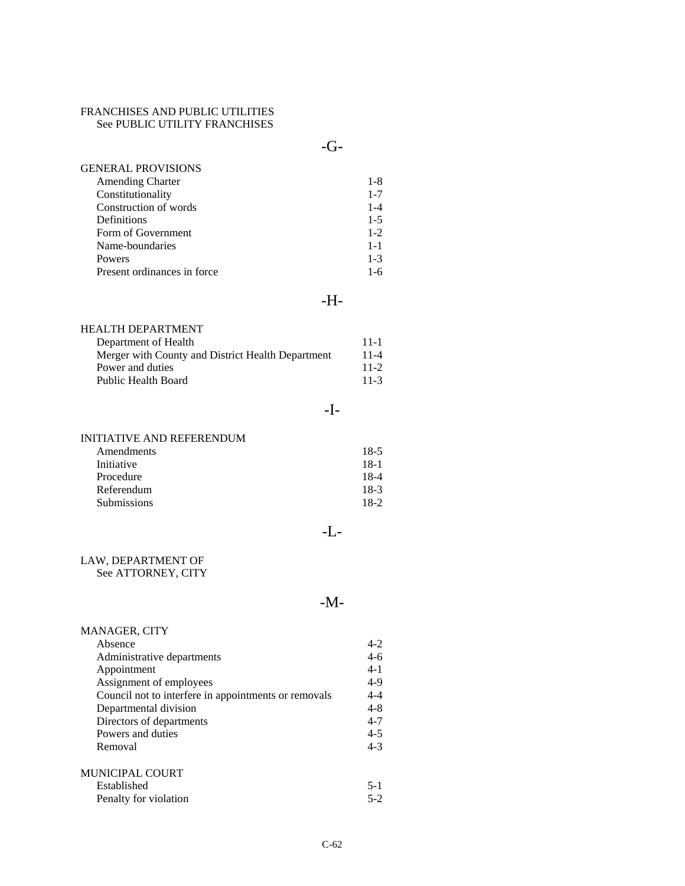#### FRANCHISES AND PUBLIC UTILITIES See PUBLIC UTILITY FRANCHISES

-G-

| $1 - 8$ |
|---------|
| $1 - 7$ |
| $1 - 4$ |
| $1 - 5$ |
| $1 - 2$ |
| $1 - 1$ |
| $1 - 3$ |
| 1-6     |
|         |

### -H-

| HEALTH DEPARTMENT                                 |          |
|---------------------------------------------------|----------|
| Department of Health                              | $11 - 1$ |
| Merger with County and District Health Department | $11 - 4$ |
| Power and duties                                  | $11-2$   |
| Public Health Board                               | $11-3$   |

### -I-

#### INITIATIVE AND REFERENDUM

| Amendments         | 18-5   |
|--------------------|--------|
| Initiative         | 18-1   |
| Procedure          | 18-4   |
| Referendum         | 18-3   |
| <b>Submissions</b> | $18-2$ |

### -L-

## LAW, DEPARTMENT OF

See ATTORNEY, CITY

### -M-

| MANAGER, CITY                                        |         |
|------------------------------------------------------|---------|
| Absence                                              | $4 - 2$ |
| Administrative departments                           | $4-6$   |
| Appointment                                          | $4 - 1$ |
| Assignment of employees                              | $4-9$   |
| Council not to interfere in appointments or removals | $4 - 4$ |
| Departmental division                                | $4 - 8$ |
| Directors of departments                             | $4 - 7$ |
| Powers and duties                                    | $4 - 5$ |
| Removal                                              | $4 - 3$ |
| <b>MUNICIPAL COURT</b>                               |         |
| Established                                          | $5-1$   |
| Penalty for violation                                | $5-2$   |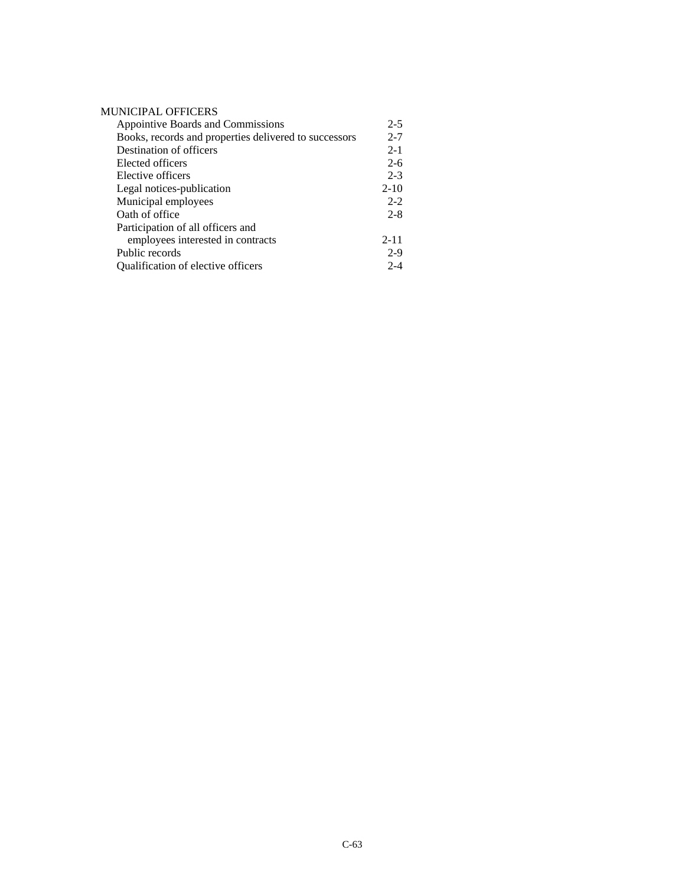#### MUNICIPAL OFFICERS

| Appointive Boards and Commissions                     | $2 - 5$  |
|-------------------------------------------------------|----------|
| Books, records and properties delivered to successors | $2 - 7$  |
| Destination of officers                               | $2 - 1$  |
| Elected officers                                      | $2 - 6$  |
| Elective officers                                     | $2 - 3$  |
| Legal notices-publication                             | $2 - 10$ |
| Municipal employees                                   | $2 - 2$  |
| Oath of office                                        | $2 - 8$  |
| Participation of all officers and                     |          |
| employees interested in contracts                     | $2 - 11$ |
| Public records                                        | $2-9$    |
| Qualification of elective officers                    | $2 - 4$  |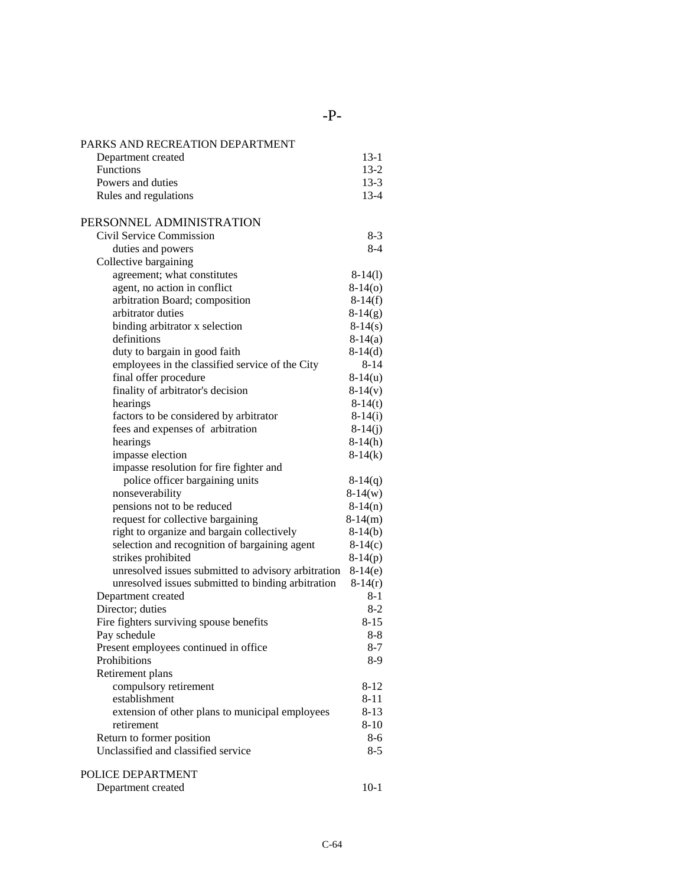-P-

| PARKS AND RECREATION DEPARTMENT                                          |                      |
|--------------------------------------------------------------------------|----------------------|
| Department created                                                       | $13-1$               |
| Functions                                                                | $13 - 2$             |
| Powers and duties                                                        | $13-3$               |
| Rules and regulations                                                    | $13 - 4$             |
| PERSONNEL ADMINISTRATION                                                 |                      |
| Civil Service Commission                                                 | $8-3$                |
| duties and powers                                                        | 8-4                  |
| Collective bargaining                                                    |                      |
| agreement; what constitutes                                              | $8-14(1)$            |
| agent, no action in conflict                                             | $8-14(0)$            |
| arbitration Board; composition                                           | $8-14(f)$            |
| arbitrator duties                                                        | $8-14(g)$            |
| binding arbitrator x selection                                           | $8-14(s)$            |
| definitions                                                              | $8-14(a)$            |
| duty to bargain in good faith                                            | $8-14(d)$            |
| employees in the classified service of the City                          | $8 - 14$             |
| final offer procedure                                                    | $8-14(u)$            |
| finality of arbitrator's decision                                        | $8-14(v)$            |
| hearings                                                                 | $8-14(t)$            |
| factors to be considered by arbitrator                                   | $8-14(i)$            |
| fees and expenses of arbitration                                         | $8-14(j)$            |
| hearings                                                                 | $8-14(h)$            |
| impasse election                                                         | $8-14(k)$            |
| impasse resolution for fire fighter and                                  |                      |
| police officer bargaining units                                          | $8-14(q)$            |
| nonseverability                                                          | $8-14(w)$            |
| pensions not to be reduced                                               | $8-14(n)$            |
| request for collective bargaining                                        | $8-14(m)$            |
| right to organize and bargain collectively                               | $8-14(b)$            |
| selection and recognition of bargaining agent                            | $8-14(c)$            |
| strikes prohibited                                                       | $8-14(p)$            |
| unresolved issues submitted to advisory arbitration                      | $8-14(e)$            |
| unresolved issues submitted to binding arbitration<br>Department created | $8-14(r)$<br>$8 - 1$ |
| Director; duties                                                         | $8-2$                |
| Fire fighters surviving spouse benefits                                  | $8 - 15$             |
| Pay schedule                                                             | 8-8                  |
| Present employees continued in office                                    | 8-7                  |
| Prohibitions                                                             | 8-9                  |
| Retirement plans                                                         |                      |
| compulsory retirement                                                    | $8 - 12$             |
| establishment                                                            | $8 - 11$             |
| extension of other plans to municipal employees                          | $8 - 13$             |
| retirement                                                               | $8 - 10$             |
| Return to former position                                                | $8 - 6$              |
| Unclassified and classified service                                      | $8 - 5$              |
| POLICE DEPARTMENT                                                        |                      |
| Department created                                                       | $10 - 1$             |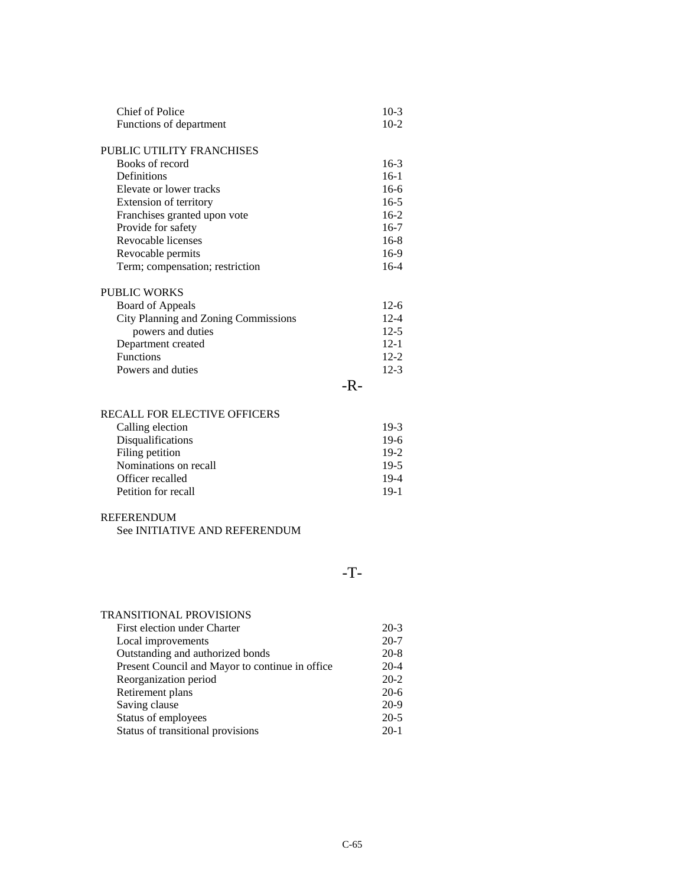| <b>Chief of Police</b>               |     | $10-3$        |
|--------------------------------------|-----|---------------|
| Functions of department              |     | $10-2$        |
| <b>PUBLIC UTILITY FRANCHISES</b>     |     |               |
| Books of record                      |     | $16-3$        |
| Definitions                          |     | $16-1$        |
| Elevate or lower tracks              |     | $16-6$        |
| Extension of territory               |     | $16-5$        |
| Franchises granted upon vote         |     | $16-2$        |
| Provide for safety                   |     | $16-7$        |
| Revocable licenses                   |     | $16-8$        |
| Revocable permits                    |     | 16-9          |
| Term; compensation; restriction      |     | $16-4$        |
| <b>PUBLIC WORKS</b>                  |     |               |
| <b>Board of Appeals</b>              |     | $12-6$        |
| City Planning and Zoning Commissions |     | $12 - 4$      |
| powers and duties                    |     | $12-5$        |
| Department created                   |     | $12 - 1$      |
| <b>Functions</b>                     |     | $12 - 2$      |
| Powers and duties                    |     | $12-3$        |
|                                      | -R- |               |
|                                      |     |               |
| <b>RECALL FOR ELECTIVE OFFICERS</b>  |     |               |
|                                      |     | $\sim$ $\sim$ |

| Calling election      | $19-3$ |
|-----------------------|--------|
| Disqualifications     | $19-6$ |
| Filing petition       | $19-2$ |
| Nominations on recall | $19-5$ |
| Officer recalled      | $19-4$ |
| Petition for recall   | $19-1$ |
|                       |        |

### REFERENDUM

|  | See INITIATIVE AND REFERENDUM |
|--|-------------------------------|
|  |                               |

## -T-

| <b>TRANSITIONAL PROVISIONS</b>                  |          |
|-------------------------------------------------|----------|
| First election under Charter                    | $20-3$   |
| Local improvements                              | $20 - 7$ |
| Outstanding and authorized bonds                | $20 - 8$ |
| Present Council and Mayor to continue in office | $20 - 4$ |
| Reorganization period                           | $20 - 2$ |
| Retirement plans                                | $20-6$   |
| Saving clause                                   | $20-9$   |
| Status of employees                             | $20 - 5$ |
| Status of transitional provisions               | $20-1$   |
|                                                 |          |